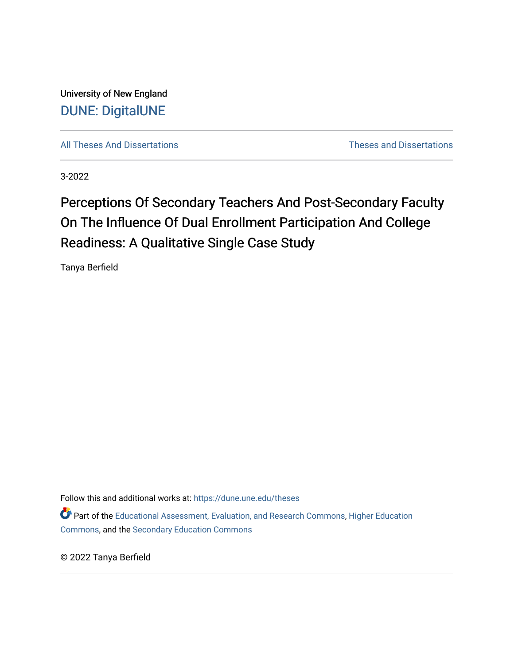University of New England [DUNE: DigitalUNE](https://dune.une.edu/) 

[All Theses And Dissertations](https://dune.une.edu/theses) [Theses and Dissertations](https://dune.une.edu/theses_dissertations) 

3-2022

# Perceptions Of Secondary Teachers And Post-Secondary Faculty On The Influence Of Dual Enrollment Participation And College Readiness: A Qualitative Single Case Study

Tanya Berfield

Follow this and additional works at: [https://dune.une.edu/theses](https://dune.une.edu/theses?utm_source=dune.une.edu%2Ftheses%2F414&utm_medium=PDF&utm_campaign=PDFCoverPages)  Part of the [Educational Assessment, Evaluation, and Research Commons](http://network.bepress.com/hgg/discipline/796?utm_source=dune.une.edu%2Ftheses%2F414&utm_medium=PDF&utm_campaign=PDFCoverPages), [Higher Education](http://network.bepress.com/hgg/discipline/1245?utm_source=dune.une.edu%2Ftheses%2F414&utm_medium=PDF&utm_campaign=PDFCoverPages)  [Commons](http://network.bepress.com/hgg/discipline/1245?utm_source=dune.une.edu%2Ftheses%2F414&utm_medium=PDF&utm_campaign=PDFCoverPages), and the [Secondary Education Commons](http://network.bepress.com/hgg/discipline/1382?utm_source=dune.une.edu%2Ftheses%2F414&utm_medium=PDF&utm_campaign=PDFCoverPages) 

© 2022 Tanya Berfield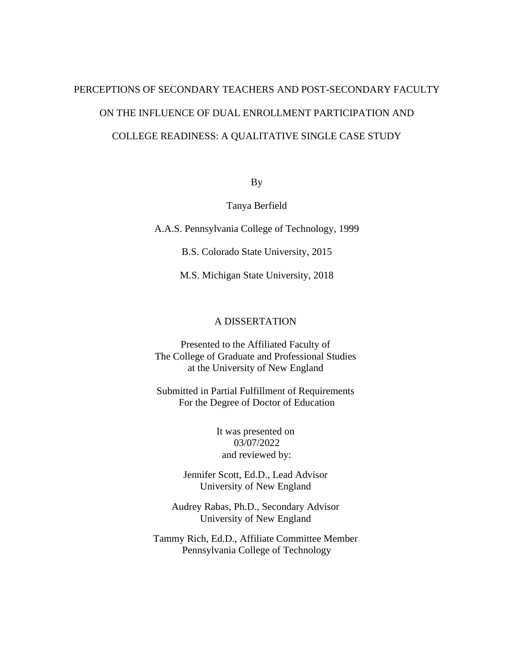# PERCEPTIONS OF SECONDARY TEACHERS AND POST-SECONDARY FACULTY ON THE INFLUENCE OF DUAL ENROLLMENT PARTICIPATION AND COLLEGE READINESS: A QUALITATIVE SINGLE CASE STUDY

By

Tanya Berfield

A.A.S. Pennsylvania College of Technology, 1999

B.S. Colorado State University, 2015

M.S. Michigan State University, 2018

# A DISSERTATION

Presented to the Affiliated Faculty of The College of Graduate and Professional Studies at the University of New England

Submitted in Partial Fulfillment of Requirements For the Degree of Doctor of Education

> It was presented on 03/07/2022 and reviewed by:

Jennifer Scott, Ed.D., Lead Advisor University of New England

Audrey Rabas, Ph.D., Secondary Advisor University of New England

Tammy Rich, Ed.D., Affiliate Committee Member Pennsylvania College of Technology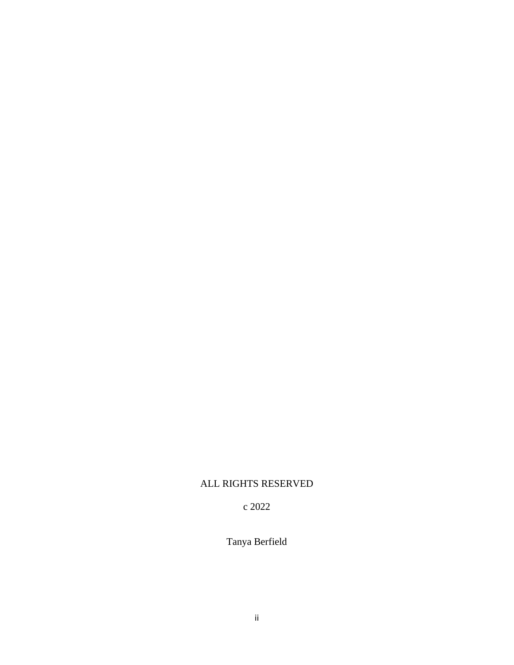# ALL RIGHTS RESERVED

c 2022

Tanya Berfield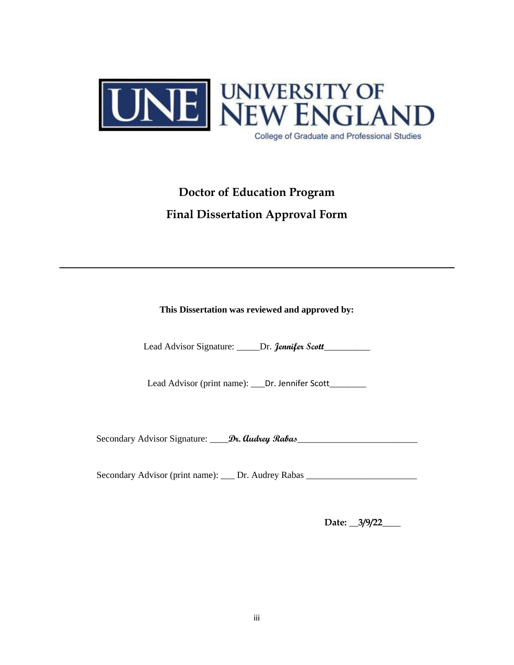

# **Doctor of Education Program Final Dissertation Approval Form**

**This Dissertation was reviewed and approved by:**

Lead Advisor Signature: \_\_\_\_\_Dr. **Jennifer Scott**\_\_\_\_\_\_\_\_\_\_

Lead Advisor (print name): \_\_\_Dr. Jennifer Scott\_\_\_\_\_\_\_

Secondary Advisor Signature:  $\frac{Dv}{2}$ . **Audrey Rabas** 

Secondary Advisor (print name): \_\_\_ Dr. Audrey Rabas \_\_\_\_\_\_\_\_\_\_\_\_\_\_\_\_\_\_\_\_\_\_\_\_\_\_\_

**Date: \_\_3/9/22\_\_\_\_**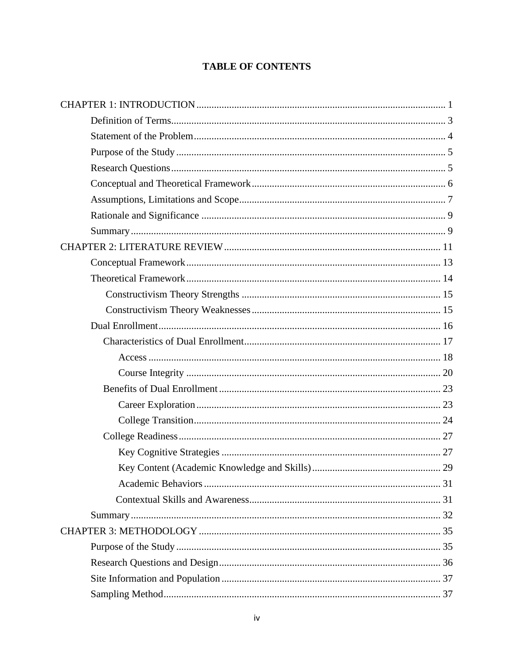# **TABLE OF CONTENTS**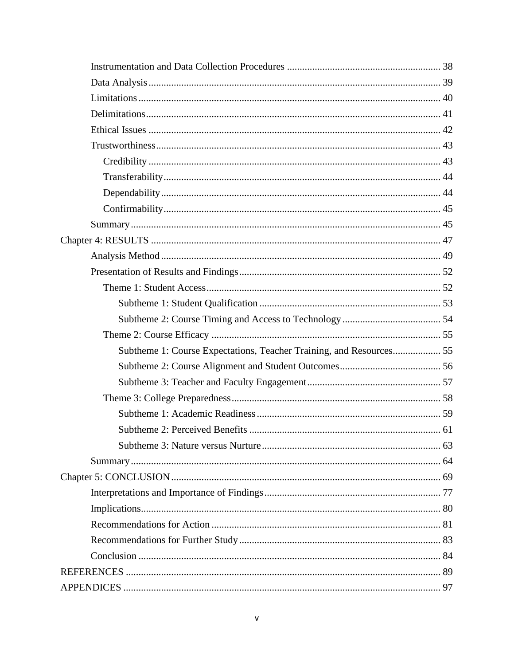| Subtheme 1: Course Expectations, Teacher Training, and Resources 55 |  |
|---------------------------------------------------------------------|--|
|                                                                     |  |
|                                                                     |  |
|                                                                     |  |
|                                                                     |  |
|                                                                     |  |
|                                                                     |  |
|                                                                     |  |
|                                                                     |  |
|                                                                     |  |
|                                                                     |  |
|                                                                     |  |
|                                                                     |  |
|                                                                     |  |
|                                                                     |  |
|                                                                     |  |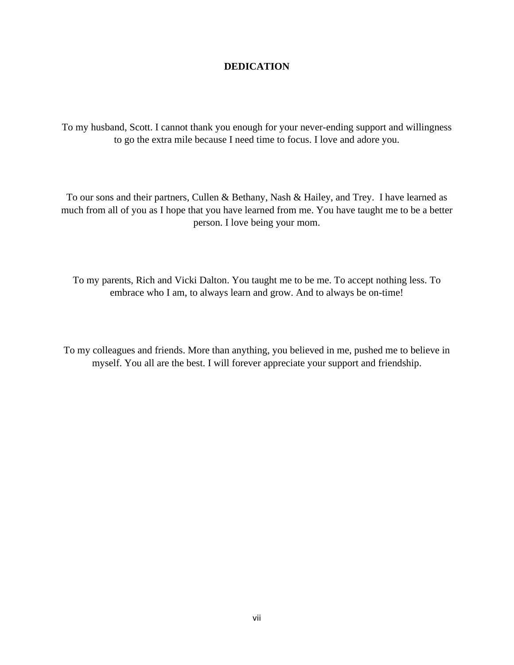# **DEDICATION**

To my husband, Scott. I cannot thank you enough for your never-ending support and willingness to go the extra mile because I need time to focus. I love and adore you.

To our sons and their partners, Cullen & Bethany, Nash & Hailey, and Trey. I have learned as much from all of you as I hope that you have learned from me. You have taught me to be a better person. I love being your mom.

To my parents, Rich and Vicki Dalton. You taught me to be me. To accept nothing less. To embrace who I am, to always learn and grow. And to always be on-time!

To my colleagues and friends. More than anything, you believed in me, pushed me to believe in myself. You all are the best. I will forever appreciate your support and friendship.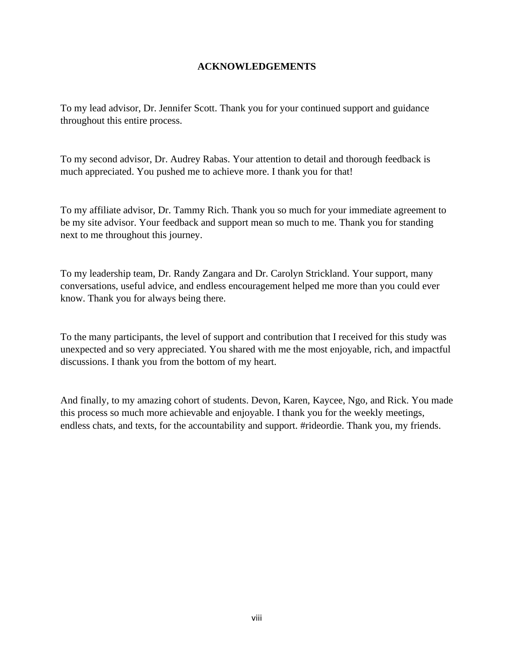# **ACKNOWLEDGEMENTS**

To my lead advisor, Dr. Jennifer Scott. Thank you for your continued support and guidance throughout this entire process.

To my second advisor, Dr. Audrey Rabas. Your attention to detail and thorough feedback is much appreciated. You pushed me to achieve more. I thank you for that!

To my affiliate advisor, Dr. Tammy Rich. Thank you so much for your immediate agreement to be my site advisor. Your feedback and support mean so much to me. Thank you for standing next to me throughout this journey.

To my leadership team, Dr. Randy Zangara and Dr. Carolyn Strickland. Your support, many conversations, useful advice, and endless encouragement helped me more than you could ever know. Thank you for always being there.

To the many participants, the level of support and contribution that I received for this study was unexpected and so very appreciated. You shared with me the most enjoyable, rich, and impactful discussions. I thank you from the bottom of my heart.

And finally, to my amazing cohort of students. Devon, Karen, Kaycee, Ngo, and Rick. You made this process so much more achievable and enjoyable. I thank you for the weekly meetings, endless chats, and texts, for the accountability and support. #rideordie. Thank you, my friends.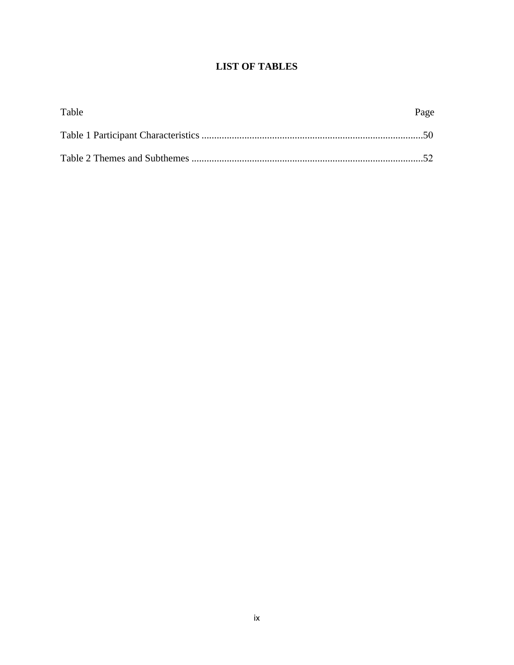# **LIST OF TABLES**

| Table | Page |
|-------|------|
|       |      |
|       |      |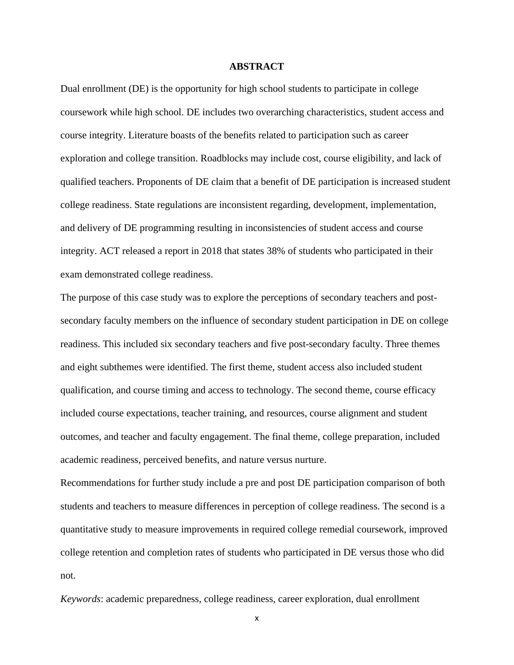## **ABSTRACT**

Dual enrollment (DE) is the opportunity for high school students to participate in college coursework while high school. DE includes two overarching characteristics, student access and course integrity. Literature boasts of the benefits related to participation such as career exploration and college transition. Roadblocks may include cost, course eligibility, and lack of qualified teachers. Proponents of DE claim that a benefit of DE participation is increased student college readiness. State regulations are inconsistent regarding, development, implementation, and delivery of DE programming resulting in inconsistencies of student access and course integrity. ACT released a report in 2018 that states 38% of students who participated in their exam demonstrated college readiness.

The purpose of this case study was to explore the perceptions of secondary teachers and postsecondary faculty members on the influence of secondary student participation in DE on college readiness. This included six secondary teachers and five post-secondary faculty. Three themes and eight subthemes were identified. The first theme, student access also included student qualification, and course timing and access to technology. The second theme, course efficacy included course expectations, teacher training, and resources, course alignment and student outcomes, and teacher and faculty engagement. The final theme, college preparation, included academic readiness, perceived benefits, and nature versus nurture.

Recommendations for further study include a pre and post DE participation comparison of both students and teachers to measure differences in perception of college readiness. The second is a quantitative study to measure improvements in required college remedial coursework, improved college retention and completion rates of students who participated in DE versus those who did not.

*Keywords*: academic preparedness, college readiness, career exploration, dual enrollment

x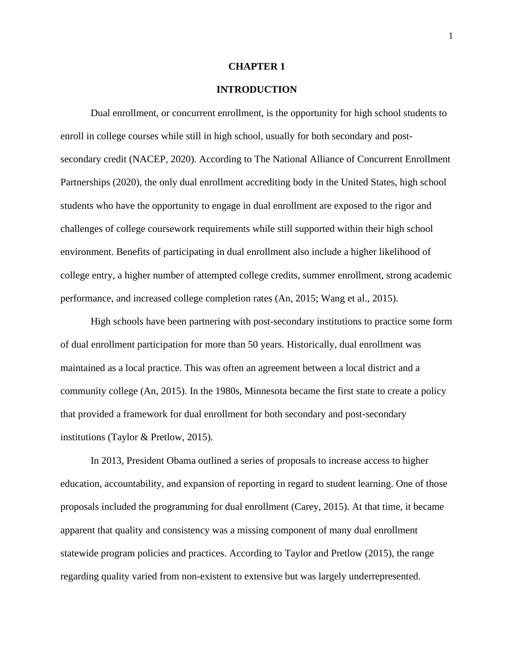#### **CHAPTER 1**

# **INTRODUCTION**

Dual enrollment, or concurrent enrollment, is the opportunity for high school students to enroll in college courses while still in high school, usually for both secondary and postsecondary credit (NACEP, 2020). According to The National Alliance of Concurrent Enrollment Partnerships (2020), the only dual enrollment accrediting body in the United States, high school students who have the opportunity to engage in dual enrollment are exposed to the rigor and challenges of college coursework requirements while still supported within their high school environment. Benefits of participating in dual enrollment also include a higher likelihood of college entry, a higher number of attempted college credits, summer enrollment, strong academic performance, and increased college completion rates (An, 2015; Wang et al., 2015).

High schools have been partnering with post-secondary institutions to practice some form of dual enrollment participation for more than 50 years. Historically, dual enrollment was maintained as a local practice. This was often an agreement between a local district and a community college (An, 2015). In the 1980s, Minnesota became the first state to create a policy that provided a framework for dual enrollment for both secondary and post-secondary institutions (Taylor & Pretlow, 2015).

In 2013, President Obama outlined a series of proposals to increase access to higher education, accountability, and expansion of reporting in regard to student learning. One of those proposals included the programming for dual enrollment (Carey, 2015). At that time, it became apparent that quality and consistency was a missing component of many dual enrollment statewide program policies and practices. According to Taylor and Pretlow (2015), the range regarding quality varied from non-existent to extensive but was largely underrepresented.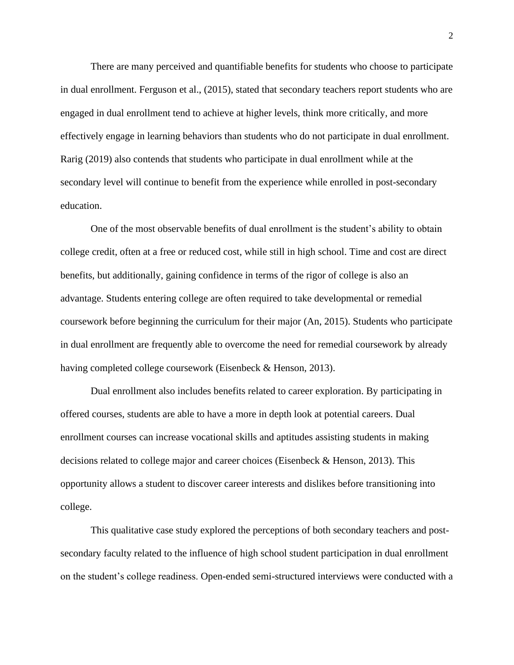There are many perceived and quantifiable benefits for students who choose to participate in dual enrollment. Ferguson et al., (2015), stated that secondary teachers report students who are engaged in dual enrollment tend to achieve at higher levels, think more critically, and more effectively engage in learning behaviors than students who do not participate in dual enrollment. Rarig (2019) also contends that students who participate in dual enrollment while at the secondary level will continue to benefit from the experience while enrolled in post-secondary education.

One of the most observable benefits of dual enrollment is the student's ability to obtain college credit, often at a free or reduced cost, while still in high school. Time and cost are direct benefits, but additionally, gaining confidence in terms of the rigor of college is also an advantage. Students entering college are often required to take developmental or remedial coursework before beginning the curriculum for their major (An, 2015). Students who participate in dual enrollment are frequently able to overcome the need for remedial coursework by already having completed college coursework (Eisenbeck & Henson, 2013).

Dual enrollment also includes benefits related to career exploration. By participating in offered courses, students are able to have a more in depth look at potential careers. Dual enrollment courses can increase vocational skills and aptitudes assisting students in making decisions related to college major and career choices (Eisenbeck & Henson, 2013). This opportunity allows a student to discover career interests and dislikes before transitioning into college.

This qualitative case study explored the perceptions of both secondary teachers and postsecondary faculty related to the influence of high school student participation in dual enrollment on the student's college readiness. Open-ended semi-structured interviews were conducted with a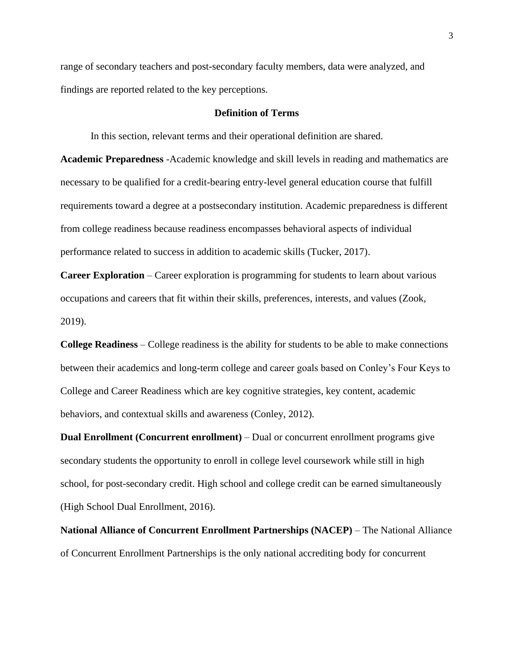range of secondary teachers and post-secondary faculty members, data were analyzed, and findings are reported related to the key perceptions.

#### **Definition of Terms**

In this section, relevant terms and their operational definition are shared.

**Academic Preparedness** -Academic knowledge and skill levels in reading and mathematics are necessary to be qualified for a credit-bearing entry-level general education course that fulfill requirements toward a degree at a postsecondary institution. Academic preparedness is different from college readiness because readiness encompasses behavioral aspects of individual performance related to success in addition to academic skills (Tucker, 2017).

**Career Exploration** – Career exploration is programming for students to learn about various occupations and careers that fit within their skills, preferences, interests, and values (Zook, 2019).

**College Readiness** – College readiness is the ability for students to be able to make connections between their academics and long-term college and career goals based on Conley's Four Keys to College and Career Readiness which are key cognitive strategies, key content, academic behaviors, and contextual skills and awareness (Conley, 2012).

**Dual Enrollment (Concurrent enrollment)** – Dual or concurrent enrollment programs give secondary students the opportunity to enroll in college level coursework while still in high school, for post-secondary credit. High school and college credit can be earned simultaneously (High School Dual Enrollment, 2016).

**National Alliance of Concurrent Enrollment Partnerships (NACEP)** – The National Alliance of Concurrent Enrollment Partnerships is the only national accrediting body for concurrent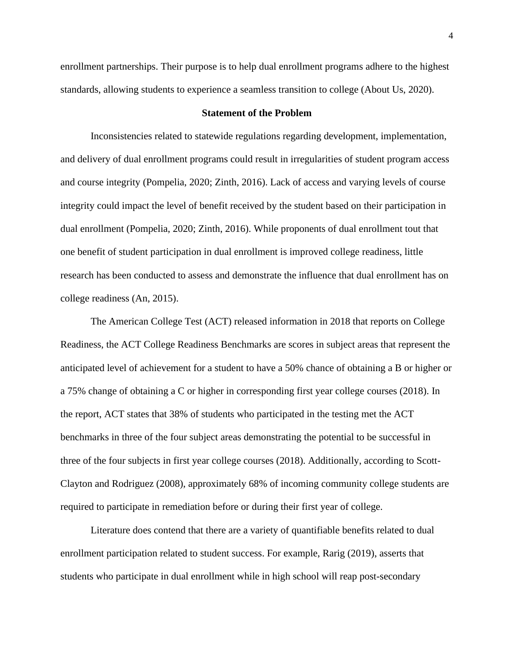enrollment partnerships. Their purpose is to help dual enrollment programs adhere to the highest standards, allowing students to experience a seamless transition to college (About Us, 2020).

## **Statement of the Problem**

Inconsistencies related to statewide regulations regarding development, implementation, and delivery of dual enrollment programs could result in irregularities of student program access and course integrity (Pompelia, 2020; Zinth, 2016). Lack of access and varying levels of course integrity could impact the level of benefit received by the student based on their participation in dual enrollment (Pompelia, 2020; Zinth, 2016). While proponents of dual enrollment tout that one benefit of student participation in dual enrollment is improved college readiness, little research has been conducted to assess and demonstrate the influence that dual enrollment has on college readiness (An, 2015).

The American College Test (ACT) released information in 2018 that reports on College Readiness, the ACT College Readiness Benchmarks are scores in subject areas that represent the anticipated level of achievement for a student to have a 50% chance of obtaining a B or higher or a 75% change of obtaining a C or higher in corresponding first year college courses (2018). In the report, ACT states that 38% of students who participated in the testing met the ACT benchmarks in three of the four subject areas demonstrating the potential to be successful in three of the four subjects in first year college courses (2018). Additionally, according to Scott-Clayton and Rodriguez (2008), approximately 68% of incoming community college students are required to participate in remediation before or during their first year of college.

Literature does contend that there are a variety of quantifiable benefits related to dual enrollment participation related to student success. For example, Rarig (2019), asserts that students who participate in dual enrollment while in high school will reap post-secondary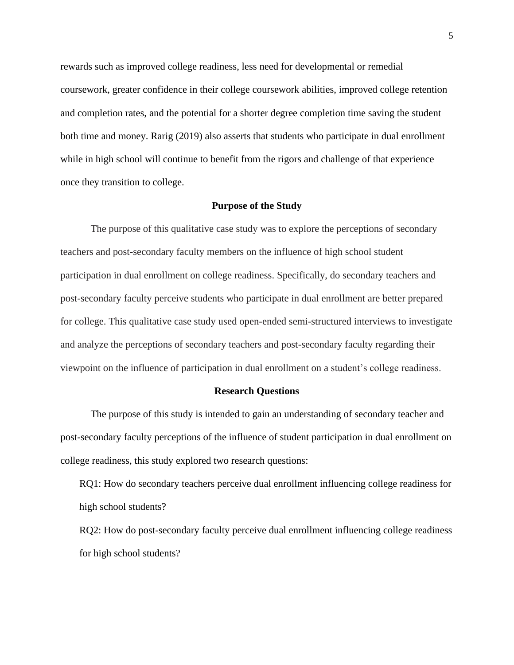rewards such as improved college readiness, less need for developmental or remedial coursework, greater confidence in their college coursework abilities, improved college retention and completion rates, and the potential for a shorter degree completion time saving the student both time and money. Rarig (2019) also asserts that students who participate in dual enrollment while in high school will continue to benefit from the rigors and challenge of that experience once they transition to college.

## **Purpose of the Study**

The purpose of this qualitative case study was to explore the perceptions of secondary teachers and post-secondary faculty members on the influence of high school student participation in dual enrollment on college readiness. Specifically, do secondary teachers and post-secondary faculty perceive students who participate in dual enrollment are better prepared for college. This qualitative case study used open-ended semi-structured interviews to investigate and analyze the perceptions of secondary teachers and post-secondary faculty regarding their viewpoint on the influence of participation in dual enrollment on a student's college readiness.

#### **Research Questions**

The purpose of this study is intended to gain an understanding of secondary teacher and post-secondary faculty perceptions of the influence of student participation in dual enrollment on college readiness, this study explored two research questions:

RQ1: How do secondary teachers perceive dual enrollment influencing college readiness for high school students?

RQ2: How do post-secondary faculty perceive dual enrollment influencing college readiness for high school students?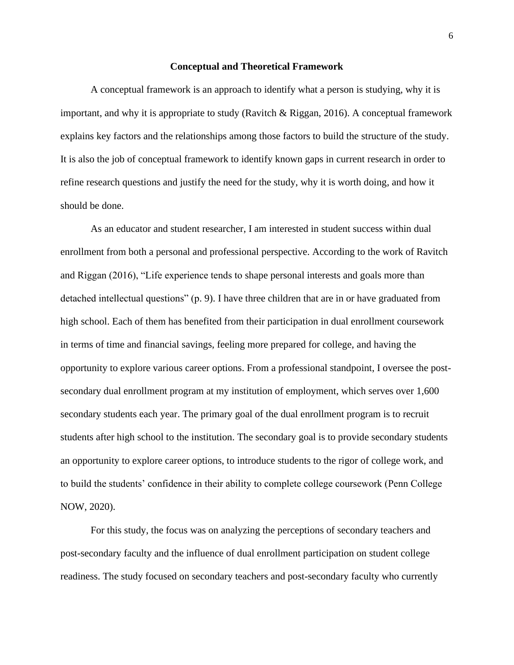#### **Conceptual and Theoretical Framework**

A conceptual framework is an approach to identify what a person is studying, why it is important, and why it is appropriate to study (Ravitch & Riggan, 2016). A conceptual framework explains key factors and the relationships among those factors to build the structure of the study. It is also the job of conceptual framework to identify known gaps in current research in order to refine research questions and justify the need for the study, why it is worth doing, and how it should be done.

As an educator and student researcher, I am interested in student success within dual enrollment from both a personal and professional perspective. According to the work of Ravitch and Riggan (2016), "Life experience tends to shape personal interests and goals more than detached intellectual questions" (p. 9). I have three children that are in or have graduated from high school. Each of them has benefited from their participation in dual enrollment coursework in terms of time and financial savings, feeling more prepared for college, and having the opportunity to explore various career options. From a professional standpoint, I oversee the postsecondary dual enrollment program at my institution of employment, which serves over 1,600 secondary students each year. The primary goal of the dual enrollment program is to recruit students after high school to the institution. The secondary goal is to provide secondary students an opportunity to explore career options, to introduce students to the rigor of college work, and to build the students' confidence in their ability to complete college coursework (Penn College NOW, 2020).

For this study, the focus was on analyzing the perceptions of secondary teachers and post-secondary faculty and the influence of dual enrollment participation on student college readiness. The study focused on secondary teachers and post-secondary faculty who currently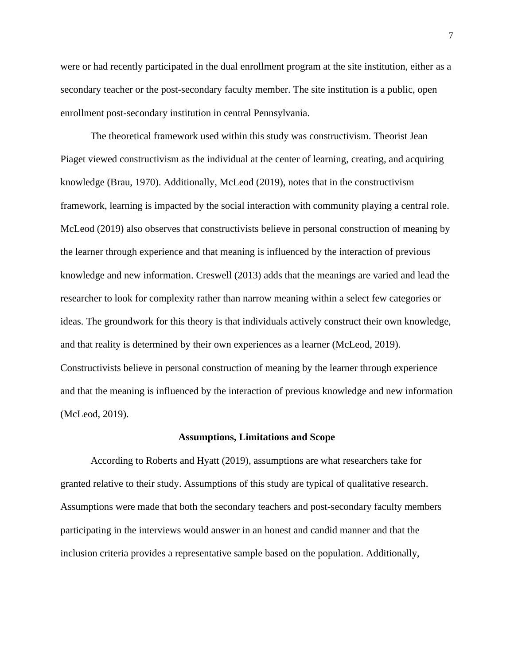were or had recently participated in the dual enrollment program at the site institution, either as a secondary teacher or the post-secondary faculty member. The site institution is a public, open enrollment post-secondary institution in central Pennsylvania.

The theoretical framework used within this study was constructivism. Theorist Jean Piaget viewed constructivism as the individual at the center of learning, creating, and acquiring knowledge (Brau, 1970). Additionally, McLeod (2019), notes that in the constructivism framework, learning is impacted by the social interaction with community playing a central role. McLeod (2019) also observes that constructivists believe in personal construction of meaning by the learner through experience and that meaning is influenced by the interaction of previous knowledge and new information. Creswell (2013) adds that the meanings are varied and lead the researcher to look for complexity rather than narrow meaning within a select few categories or ideas. The groundwork for this theory is that individuals actively construct their own knowledge, and that reality is determined by their own experiences as a learner (McLeod, 2019). Constructivists believe in personal construction of meaning by the learner through experience and that the meaning is influenced by the interaction of previous knowledge and new information (McLeod, 2019).

#### **Assumptions, Limitations and Scope**

According to Roberts and Hyatt (2019), assumptions are what researchers take for granted relative to their study. Assumptions of this study are typical of qualitative research. Assumptions were made that both the secondary teachers and post-secondary faculty members participating in the interviews would answer in an honest and candid manner and that the inclusion criteria provides a representative sample based on the population. Additionally,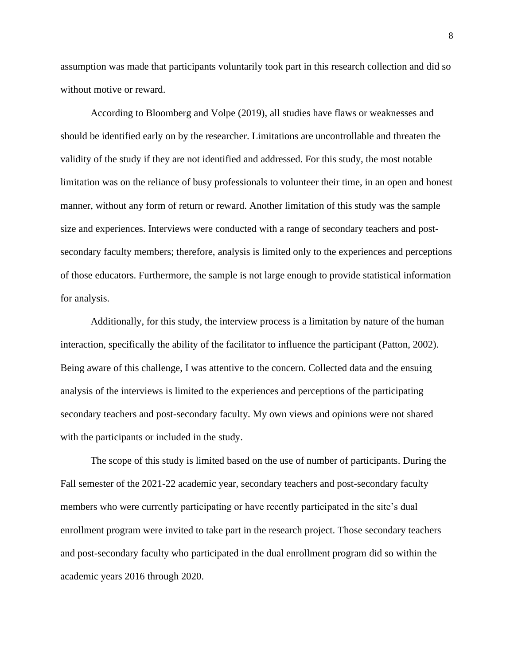assumption was made that participants voluntarily took part in this research collection and did so without motive or reward.

According to Bloomberg and Volpe (2019), all studies have flaws or weaknesses and should be identified early on by the researcher. Limitations are uncontrollable and threaten the validity of the study if they are not identified and addressed. For this study, the most notable limitation was on the reliance of busy professionals to volunteer their time, in an open and honest manner, without any form of return or reward. Another limitation of this study was the sample size and experiences. Interviews were conducted with a range of secondary teachers and postsecondary faculty members; therefore, analysis is limited only to the experiences and perceptions of those educators. Furthermore, the sample is not large enough to provide statistical information for analysis.

Additionally, for this study, the interview process is a limitation by nature of the human interaction, specifically the ability of the facilitator to influence the participant (Patton, 2002). Being aware of this challenge, I was attentive to the concern. Collected data and the ensuing analysis of the interviews is limited to the experiences and perceptions of the participating secondary teachers and post-secondary faculty. My own views and opinions were not shared with the participants or included in the study.

The scope of this study is limited based on the use of number of participants. During the Fall semester of the 2021-22 academic year, secondary teachers and post-secondary faculty members who were currently participating or have recently participated in the site's dual enrollment program were invited to take part in the research project. Those secondary teachers and post-secondary faculty who participated in the dual enrollment program did so within the academic years 2016 through 2020.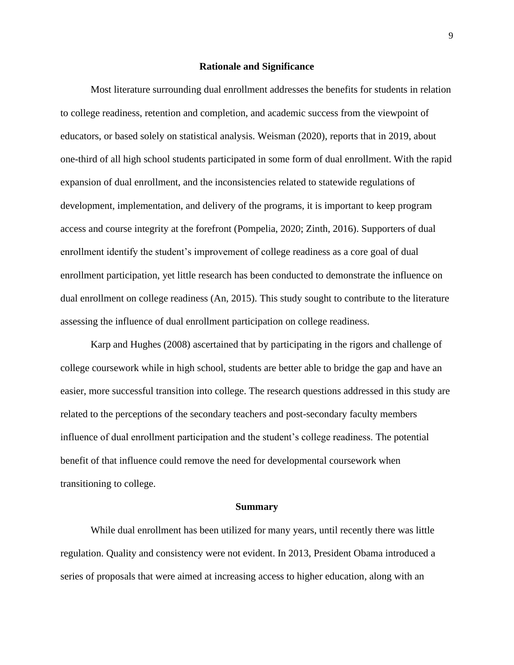#### **Rationale and Significance**

Most literature surrounding dual enrollment addresses the benefits for students in relation to college readiness, retention and completion, and academic success from the viewpoint of educators, or based solely on statistical analysis. Weisman (2020), reports that in 2019, about one-third of all high school students participated in some form of dual enrollment. With the rapid expansion of dual enrollment, and the inconsistencies related to statewide regulations of development, implementation, and delivery of the programs, it is important to keep program access and course integrity at the forefront (Pompelia, 2020; Zinth, 2016). Supporters of dual enrollment identify the student's improvement of college readiness as a core goal of dual enrollment participation, yet little research has been conducted to demonstrate the influence on dual enrollment on college readiness (An, 2015). This study sought to contribute to the literature assessing the influence of dual enrollment participation on college readiness.

Karp and Hughes (2008) ascertained that by participating in the rigors and challenge of college coursework while in high school, students are better able to bridge the gap and have an easier, more successful transition into college. The research questions addressed in this study are related to the perceptions of the secondary teachers and post-secondary faculty members influence of dual enrollment participation and the student's college readiness. The potential benefit of that influence could remove the need for developmental coursework when transitioning to college.

#### **Summary**

While dual enrollment has been utilized for many years, until recently there was little regulation. Quality and consistency were not evident. In 2013, President Obama introduced a series of proposals that were aimed at increasing access to higher education, along with an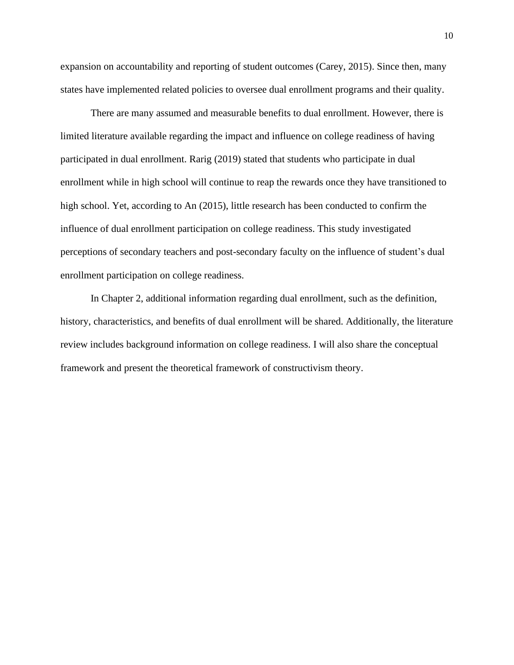expansion on accountability and reporting of student outcomes (Carey, 2015). Since then, many states have implemented related policies to oversee dual enrollment programs and their quality.

There are many assumed and measurable benefits to dual enrollment. However, there is limited literature available regarding the impact and influence on college readiness of having participated in dual enrollment. Rarig (2019) stated that students who participate in dual enrollment while in high school will continue to reap the rewards once they have transitioned to high school. Yet, according to An (2015), little research has been conducted to confirm the influence of dual enrollment participation on college readiness. This study investigated perceptions of secondary teachers and post-secondary faculty on the influence of student's dual enrollment participation on college readiness.

In Chapter 2, additional information regarding dual enrollment, such as the definition, history, characteristics, and benefits of dual enrollment will be shared. Additionally, the literature review includes background information on college readiness. I will also share the conceptual framework and present the theoretical framework of constructivism theory.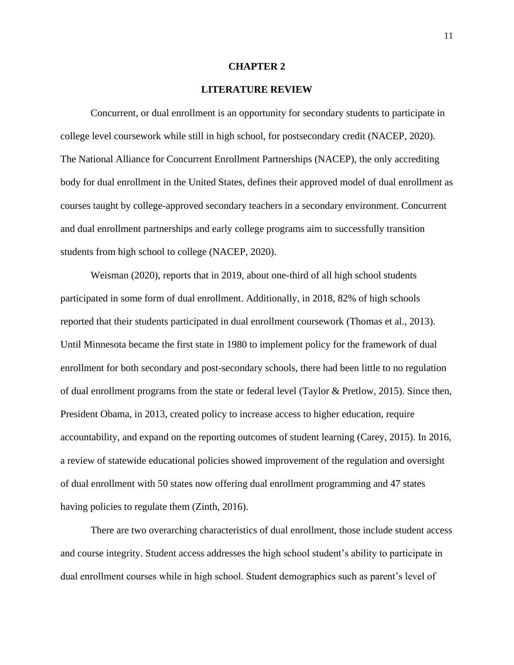#### **CHAPTER 2**

# **LITERATURE REVIEW**

Concurrent, or dual enrollment is an opportunity for secondary students to participate in college level coursework while still in high school, for postsecondary credit (NACEP, 2020). The National Alliance for Concurrent Enrollment Partnerships (NACEP), the only accrediting body for dual enrollment in the United States, defines their approved model of dual enrollment as courses taught by college-approved secondary teachers in a secondary environment. Concurrent and dual enrollment partnerships and early college programs aim to successfully transition students from high school to college (NACEP, 2020).

Weisman (2020), reports that in 2019, about one-third of all high school students participated in some form of dual enrollment. Additionally, in 2018, 82% of high schools reported that their students participated in dual enrollment coursework (Thomas et al., 2013). Until Minnesota became the first state in 1980 to implement policy for the framework of dual enrollment for both secondary and post-secondary schools, there had been little to no regulation of dual enrollment programs from the state or federal level (Taylor & Pretlow, 2015). Since then, President Obama, in 2013, created policy to increase access to higher education, require accountability, and expand on the reporting outcomes of student learning (Carey, 2015). In 2016, a review of statewide educational policies showed improvement of the regulation and oversight of dual enrollment with 50 states now offering dual enrollment programming and 47 states having policies to regulate them (Zinth, 2016).

There are two overarching characteristics of dual enrollment, those include student access and course integrity. Student access addresses the high school student's ability to participate in dual enrollment courses while in high school. Student demographics such as parent's level of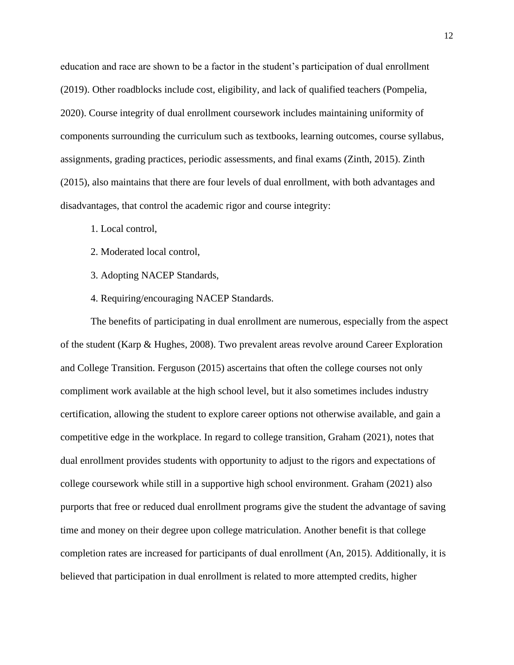education and race are shown to be a factor in the student's participation of dual enrollment (2019). Other roadblocks include cost, eligibility, and lack of qualified teachers (Pompelia, 2020). Course integrity of dual enrollment coursework includes maintaining uniformity of components surrounding the curriculum such as textbooks, learning outcomes, course syllabus, assignments, grading practices, periodic assessments, and final exams (Zinth, 2015). Zinth (2015), also maintains that there are four levels of dual enrollment, with both advantages and disadvantages, that control the academic rigor and course integrity:

- 1. Local control,
- 2. Moderated local control,
- 3. Adopting NACEP Standards,
- 4. Requiring/encouraging NACEP Standards.

The benefits of participating in dual enrollment are numerous, especially from the aspect of the student (Karp & Hughes, 2008). Two prevalent areas revolve around Career Exploration and College Transition. Ferguson (2015) ascertains that often the college courses not only compliment work available at the high school level, but it also sometimes includes industry certification, allowing the student to explore career options not otherwise available, and gain a competitive edge in the workplace. In regard to college transition, Graham (2021), notes that dual enrollment provides students with opportunity to adjust to the rigors and expectations of college coursework while still in a supportive high school environment. Graham (2021) also purports that free or reduced dual enrollment programs give the student the advantage of saving time and money on their degree upon college matriculation. Another benefit is that college completion rates are increased for participants of dual enrollment (An, 2015). Additionally, it is believed that participation in dual enrollment is related to more attempted credits, higher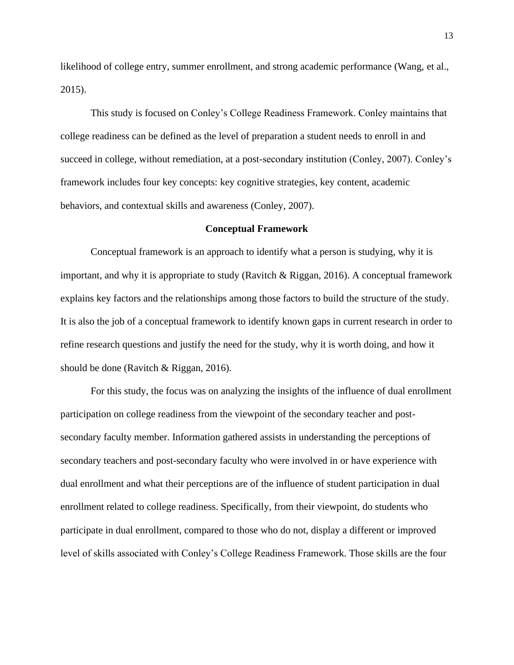likelihood of college entry, summer enrollment, and strong academic performance (Wang, et al., 2015).

This study is focused on Conley's College Readiness Framework. Conley maintains that college readiness can be defined as the level of preparation a student needs to enroll in and succeed in college, without remediation, at a post-secondary institution (Conley, 2007). Conley's framework includes four key concepts: key cognitive strategies, key content, academic behaviors, and contextual skills and awareness (Conley, 2007).

## **Conceptual Framework**

Conceptual framework is an approach to identify what a person is studying, why it is important, and why it is appropriate to study (Ravitch & Riggan, 2016). A conceptual framework explains key factors and the relationships among those factors to build the structure of the study. It is also the job of a conceptual framework to identify known gaps in current research in order to refine research questions and justify the need for the study, why it is worth doing, and how it should be done (Ravitch & Riggan, 2016).

For this study, the focus was on analyzing the insights of the influence of dual enrollment participation on college readiness from the viewpoint of the secondary teacher and postsecondary faculty member. Information gathered assists in understanding the perceptions of secondary teachers and post-secondary faculty who were involved in or have experience with dual enrollment and what their perceptions are of the influence of student participation in dual enrollment related to college readiness. Specifically, from their viewpoint, do students who participate in dual enrollment, compared to those who do not, display a different or improved level of skills associated with Conley's College Readiness Framework. Those skills are the four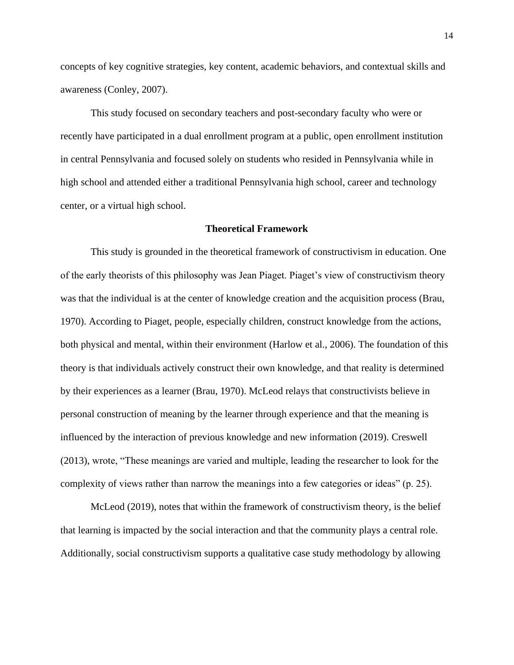concepts of key cognitive strategies, key content, academic behaviors, and contextual skills and awareness (Conley, 2007).

This study focused on secondary teachers and post-secondary faculty who were or recently have participated in a dual enrollment program at a public, open enrollment institution in central Pennsylvania and focused solely on students who resided in Pennsylvania while in high school and attended either a traditional Pennsylvania high school, career and technology center, or a virtual high school.

### **Theoretical Framework**

This study is grounded in the theoretical framework of constructivism in education. One of the early theorists of this philosophy was Jean Piaget. Piaget's view of constructivism theory was that the individual is at the center of knowledge creation and the acquisition process (Brau, 1970). According to Piaget, people, especially children, construct knowledge from the actions, both physical and mental, within their environment (Harlow et al., 2006). The foundation of this theory is that individuals actively construct their own knowledge, and that reality is determined by their experiences as a learner (Brau, 1970). McLeod relays that constructivists believe in personal construction of meaning by the learner through experience and that the meaning is influenced by the interaction of previous knowledge and new information (2019). Creswell (2013), wrote, "These meanings are varied and multiple, leading the researcher to look for the complexity of views rather than narrow the meanings into a few categories or ideas" (p. 25).

McLeod (2019), notes that within the framework of constructivism theory, is the belief that learning is impacted by the social interaction and that the community plays a central role. Additionally, social constructivism supports a qualitative case study methodology by allowing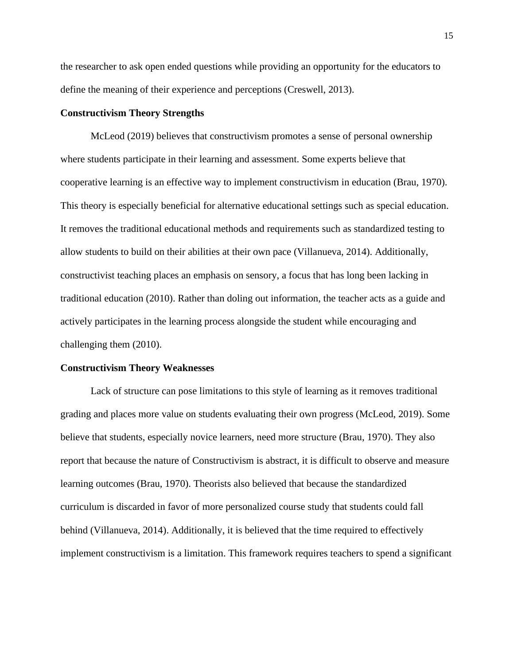the researcher to ask open ended questions while providing an opportunity for the educators to define the meaning of their experience and perceptions (Creswell, 2013).

# **Constructivism Theory Strengths**

McLeod (2019) believes that constructivism promotes a sense of personal ownership where students participate in their learning and assessment. Some experts believe that cooperative learning is an effective way to implement constructivism in education (Brau, 1970). This theory is especially beneficial for alternative educational settings such as special education. It removes the traditional educational methods and requirements such as standardized testing to allow students to build on their abilities at their own pace (Villanueva, 2014). Additionally, constructivist teaching places an emphasis on sensory, a focus that has long been lacking in traditional education (2010). Rather than doling out information, the teacher acts as a guide and actively participates in the learning process alongside the student while encouraging and challenging them (2010).

#### **Constructivism Theory Weaknesses**

Lack of structure can pose limitations to this style of learning as it removes traditional grading and places more value on students evaluating their own progress (McLeod, 2019). Some believe that students, especially novice learners, need more structure (Brau, 1970). They also report that because the nature of Constructivism is abstract, it is difficult to observe and measure learning outcomes (Brau, 1970). Theorists also believed that because the standardized curriculum is discarded in favor of more personalized course study that students could fall behind (Villanueva, 2014). Additionally, it is believed that the time required to effectively implement constructivism is a limitation. This framework requires teachers to spend a significant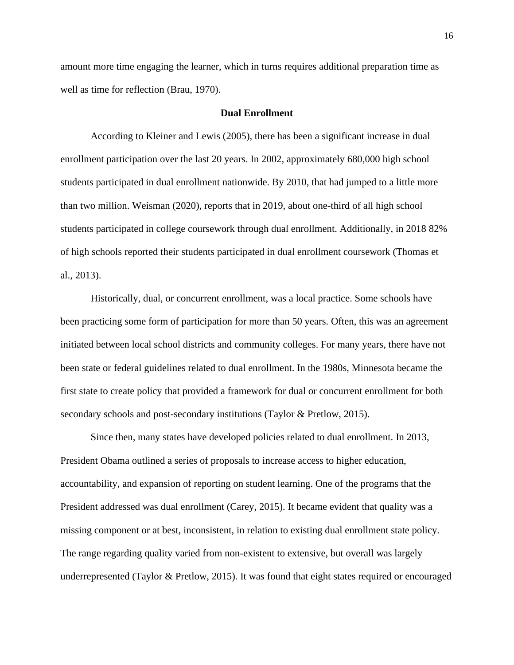amount more time engaging the learner, which in turns requires additional preparation time as well as time for reflection (Brau, 1970).

#### **Dual Enrollment**

According to Kleiner and Lewis (2005), there has been a significant increase in dual enrollment participation over the last 20 years. In 2002, approximately 680,000 high school students participated in dual enrollment nationwide. By 2010, that had jumped to a little more than two million. Weisman (2020), reports that in 2019, about one-third of all high school students participated in college coursework through dual enrollment. Additionally, in 2018 82% of high schools reported their students participated in dual enrollment coursework (Thomas et al., 2013).

Historically, dual, or concurrent enrollment, was a local practice. Some schools have been practicing some form of participation for more than 50 years. Often, this was an agreement initiated between local school districts and community colleges. For many years, there have not been state or federal guidelines related to dual enrollment. In the 1980s, Minnesota became the first state to create policy that provided a framework for dual or concurrent enrollment for both secondary schools and post-secondary institutions (Taylor & Pretlow, 2015).

Since then, many states have developed policies related to dual enrollment. In 2013, President Obama outlined a series of proposals to increase access to higher education, accountability, and expansion of reporting on student learning. One of the programs that the President addressed was dual enrollment (Carey, 2015). It became evident that quality was a missing component or at best, inconsistent, in relation to existing dual enrollment state policy. The range regarding quality varied from non-existent to extensive, but overall was largely underrepresented (Taylor & Pretlow, 2015). It was found that eight states required or encouraged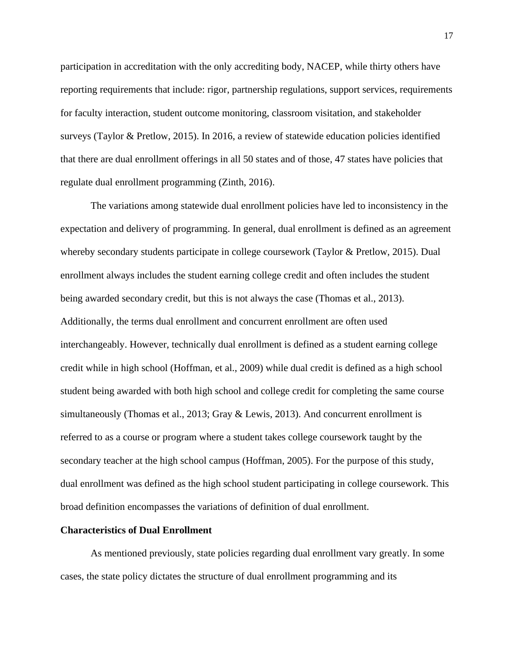participation in accreditation with the only accrediting body, NACEP, while thirty others have reporting requirements that include: rigor, partnership regulations, support services, requirements for faculty interaction, student outcome monitoring, classroom visitation, and stakeholder surveys (Taylor & Pretlow, 2015). In 2016, a review of statewide education policies identified that there are dual enrollment offerings in all 50 states and of those, 47 states have policies that regulate dual enrollment programming (Zinth, 2016).

The variations among statewide dual enrollment policies have led to inconsistency in the expectation and delivery of programming. In general, dual enrollment is defined as an agreement whereby secondary students participate in college coursework (Taylor & Pretlow, 2015). Dual enrollment always includes the student earning college credit and often includes the student being awarded secondary credit, but this is not always the case (Thomas et al., 2013). Additionally, the terms dual enrollment and concurrent enrollment are often used interchangeably. However, technically dual enrollment is defined as a student earning college credit while in high school (Hoffman, et al., 2009) while dual credit is defined as a high school student being awarded with both high school and college credit for completing the same course simultaneously (Thomas et al., 2013; Gray & Lewis, 2013). And concurrent enrollment is referred to as a course or program where a student takes college coursework taught by the secondary teacher at the high school campus (Hoffman, 2005). For the purpose of this study, dual enrollment was defined as the high school student participating in college coursework. This broad definition encompasses the variations of definition of dual enrollment.

#### **Characteristics of Dual Enrollment**

As mentioned previously, state policies regarding dual enrollment vary greatly. In some cases, the state policy dictates the structure of dual enrollment programming and its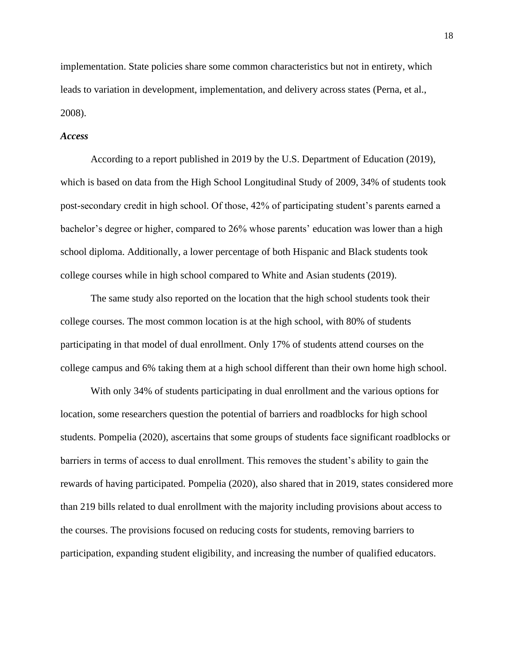implementation. State policies share some common characteristics but not in entirety, which leads to variation in development, implementation, and delivery across states (Perna, et al., 2008).

# *Access*

According to a report published in 2019 by the U.S. Department of Education (2019), which is based on data from the High School Longitudinal Study of 2009, 34% of students took post-secondary credit in high school. Of those, 42% of participating student's parents earned a bachelor's degree or higher, compared to 26% whose parents' education was lower than a high school diploma. Additionally, a lower percentage of both Hispanic and Black students took college courses while in high school compared to White and Asian students (2019).

The same study also reported on the location that the high school students took their college courses. The most common location is at the high school, with 80% of students participating in that model of dual enrollment. Only 17% of students attend courses on the college campus and 6% taking them at a high school different than their own home high school.

With only 34% of students participating in dual enrollment and the various options for location, some researchers question the potential of barriers and roadblocks for high school students. Pompelia (2020), ascertains that some groups of students face significant roadblocks or barriers in terms of access to dual enrollment. This removes the student's ability to gain the rewards of having participated. Pompelia (2020), also shared that in 2019, states considered more than 219 bills related to dual enrollment with the majority including provisions about access to the courses. The provisions focused on reducing costs for students, removing barriers to participation, expanding student eligibility, and increasing the number of qualified educators.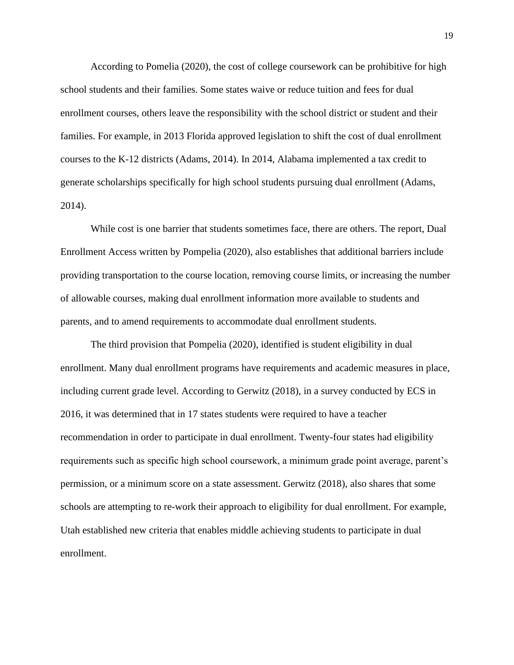According to Pomelia (2020), the cost of college coursework can be prohibitive for high school students and their families. Some states waive or reduce tuition and fees for dual enrollment courses, others leave the responsibility with the school district or student and their families. For example, in 2013 Florida approved legislation to shift the cost of dual enrollment courses to the K-12 districts (Adams, 2014). In 2014, Alabama implemented a tax credit to generate scholarships specifically for high school students pursuing dual enrollment (Adams, 2014).

While cost is one barrier that students sometimes face, there are others. The report, Dual Enrollment Access written by Pompelia (2020), also establishes that additional barriers include providing transportation to the course location, removing course limits, or increasing the number of allowable courses, making dual enrollment information more available to students and parents, and to amend requirements to accommodate dual enrollment students.

The third provision that Pompelia (2020), identified is student eligibility in dual enrollment. Many dual enrollment programs have requirements and academic measures in place, including current grade level. According to Gerwitz (2018), in a survey conducted by ECS in 2016, it was determined that in 17 states students were required to have a teacher recommendation in order to participate in dual enrollment. Twenty-four states had eligibility requirements such as specific high school coursework, a minimum grade point average, parent's permission, or a minimum score on a state assessment. Gerwitz (2018), also shares that some schools are attempting to re-work their approach to eligibility for dual enrollment. For example, Utah established new criteria that enables middle achieving students to participate in dual enrollment.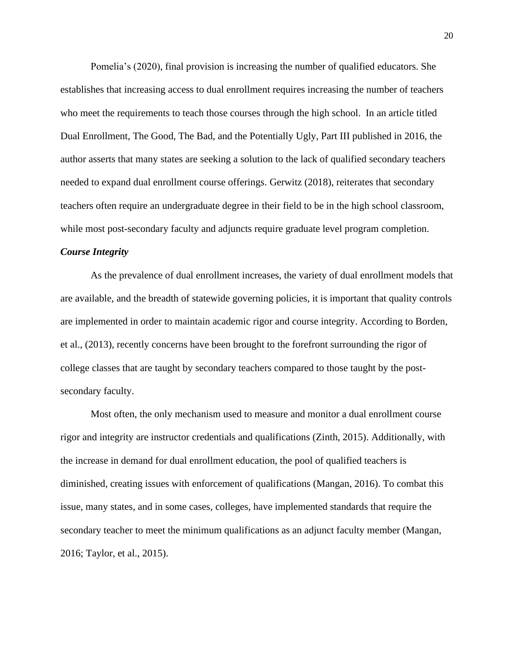Pomelia's (2020), final provision is increasing the number of qualified educators. She establishes that increasing access to dual enrollment requires increasing the number of teachers who meet the requirements to teach those courses through the high school. In an article titled Dual Enrollment, The Good, The Bad, and the Potentially Ugly, Part III published in 2016, the author asserts that many states are seeking a solution to the lack of qualified secondary teachers needed to expand dual enrollment course offerings. Gerwitz (2018), reiterates that secondary teachers often require an undergraduate degree in their field to be in the high school classroom, while most post-secondary faculty and adjuncts require graduate level program completion.

#### *Course Integrity*

As the prevalence of dual enrollment increases, the variety of dual enrollment models that are available, and the breadth of statewide governing policies, it is important that quality controls are implemented in order to maintain academic rigor and course integrity. According to Borden, et al., (2013), recently concerns have been brought to the forefront surrounding the rigor of college classes that are taught by secondary teachers compared to those taught by the postsecondary faculty.

Most often, the only mechanism used to measure and monitor a dual enrollment course rigor and integrity are instructor credentials and qualifications (Zinth, 2015). Additionally, with the increase in demand for dual enrollment education, the pool of qualified teachers is diminished, creating issues with enforcement of qualifications (Mangan, 2016). To combat this issue, many states, and in some cases, colleges, have implemented standards that require the secondary teacher to meet the minimum qualifications as an adjunct faculty member (Mangan, 2016; Taylor, et al., 2015).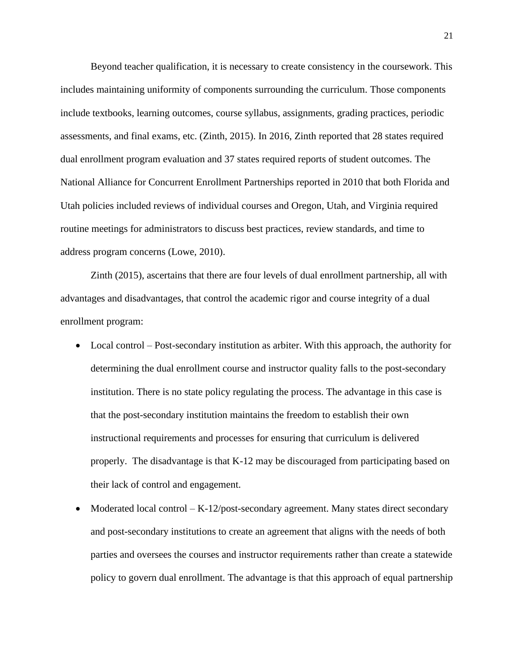Beyond teacher qualification, it is necessary to create consistency in the coursework. This includes maintaining uniformity of components surrounding the curriculum. Those components include textbooks, learning outcomes, course syllabus, assignments, grading practices, periodic assessments, and final exams, etc. (Zinth, 2015). In 2016, Zinth reported that 28 states required dual enrollment program evaluation and 37 states required reports of student outcomes. The National Alliance for Concurrent Enrollment Partnerships reported in 2010 that both Florida and Utah policies included reviews of individual courses and Oregon, Utah, and Virginia required routine meetings for administrators to discuss best practices, review standards, and time to address program concerns (Lowe, 2010).

Zinth (2015), ascertains that there are four levels of dual enrollment partnership, all with advantages and disadvantages, that control the academic rigor and course integrity of a dual enrollment program:

- Local control Post-secondary institution as arbiter. With this approach, the authority for determining the dual enrollment course and instructor quality falls to the post-secondary institution. There is no state policy regulating the process. The advantage in this case is that the post-secondary institution maintains the freedom to establish their own instructional requirements and processes for ensuring that curriculum is delivered properly. The disadvantage is that K-12 may be discouraged from participating based on their lack of control and engagement.
- Moderated local control  $-K-12$ /post-secondary agreement. Many states direct secondary and post-secondary institutions to create an agreement that aligns with the needs of both parties and oversees the courses and instructor requirements rather than create a statewide policy to govern dual enrollment. The advantage is that this approach of equal partnership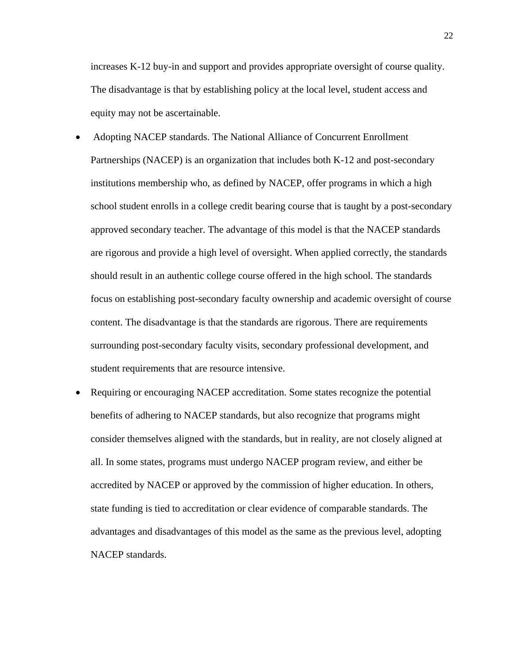increases K-12 buy-in and support and provides appropriate oversight of course quality. The disadvantage is that by establishing policy at the local level, student access and equity may not be ascertainable.

- Adopting NACEP standards. The National Alliance of Concurrent Enrollment Partnerships (NACEP) is an organization that includes both K-12 and post-secondary institutions membership who, as defined by NACEP, offer programs in which a high school student enrolls in a college credit bearing course that is taught by a post-secondary approved secondary teacher. The advantage of this model is that the NACEP standards are rigorous and provide a high level of oversight. When applied correctly, the standards should result in an authentic college course offered in the high school. The standards focus on establishing post-secondary faculty ownership and academic oversight of course content. The disadvantage is that the standards are rigorous. There are requirements surrounding post-secondary faculty visits, secondary professional development, and student requirements that are resource intensive.
- Requiring or encouraging NACEP accreditation. Some states recognize the potential benefits of adhering to NACEP standards, but also recognize that programs might consider themselves aligned with the standards, but in reality, are not closely aligned at all. In some states, programs must undergo NACEP program review, and either be accredited by NACEP or approved by the commission of higher education. In others, state funding is tied to accreditation or clear evidence of comparable standards. The advantages and disadvantages of this model as the same as the previous level, adopting NACEP standards.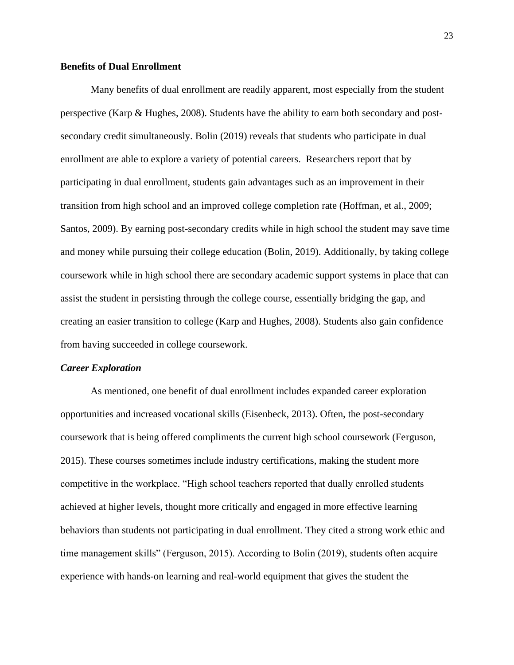# **Benefits of Dual Enrollment**

Many benefits of dual enrollment are readily apparent, most especially from the student perspective (Karp & Hughes, 2008). Students have the ability to earn both secondary and postsecondary credit simultaneously. Bolin (2019) reveals that students who participate in dual enrollment are able to explore a variety of potential careers. Researchers report that by participating in dual enrollment, students gain advantages such as an improvement in their transition from high school and an improved college completion rate (Hoffman, et al., 2009; Santos, 2009). By earning post-secondary credits while in high school the student may save time and money while pursuing their college education (Bolin, 2019). Additionally, by taking college coursework while in high school there are secondary academic support systems in place that can assist the student in persisting through the college course, essentially bridging the gap, and creating an easier transition to college (Karp and Hughes, 2008). Students also gain confidence from having succeeded in college coursework.

#### *Career Exploration*

As mentioned, one benefit of dual enrollment includes expanded career exploration opportunities and increased vocational skills (Eisenbeck, 2013). Often, the post-secondary coursework that is being offered compliments the current high school coursework (Ferguson, 2015). These courses sometimes include industry certifications, making the student more competitive in the workplace. "High school teachers reported that dually enrolled students achieved at higher levels, thought more critically and engaged in more effective learning behaviors than students not participating in dual enrollment. They cited a strong work ethic and time management skills" (Ferguson, 2015). According to Bolin (2019), students often acquire experience with hands-on learning and real-world equipment that gives the student the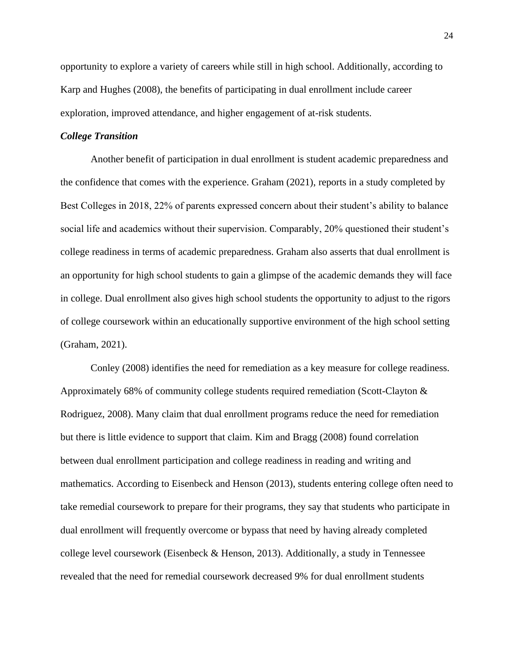opportunity to explore a variety of careers while still in high school. Additionally, according to Karp and Hughes (2008), the benefits of participating in dual enrollment include career exploration, improved attendance, and higher engagement of at-risk students.

# *College Transition*

Another benefit of participation in dual enrollment is student academic preparedness and the confidence that comes with the experience. Graham (2021), reports in a study completed by Best Colleges in 2018, 22% of parents expressed concern about their student's ability to balance social life and academics without their supervision. Comparably, 20% questioned their student's college readiness in terms of academic preparedness. Graham also asserts that dual enrollment is an opportunity for high school students to gain a glimpse of the academic demands they will face in college. Dual enrollment also gives high school students the opportunity to adjust to the rigors of college coursework within an educationally supportive environment of the high school setting (Graham, 2021).

Conley (2008) identifies the need for remediation as a key measure for college readiness. Approximately 68% of community college students required remediation (Scott-Clayton & Rodriguez, 2008). Many claim that dual enrollment programs reduce the need for remediation but there is little evidence to support that claim. Kim and Bragg (2008) found correlation between dual enrollment participation and college readiness in reading and writing and mathematics. According to Eisenbeck and Henson (2013), students entering college often need to take remedial coursework to prepare for their programs, they say that students who participate in dual enrollment will frequently overcome or bypass that need by having already completed college level coursework (Eisenbeck & Henson, 2013). Additionally, a study in Tennessee revealed that the need for remedial coursework decreased 9% for dual enrollment students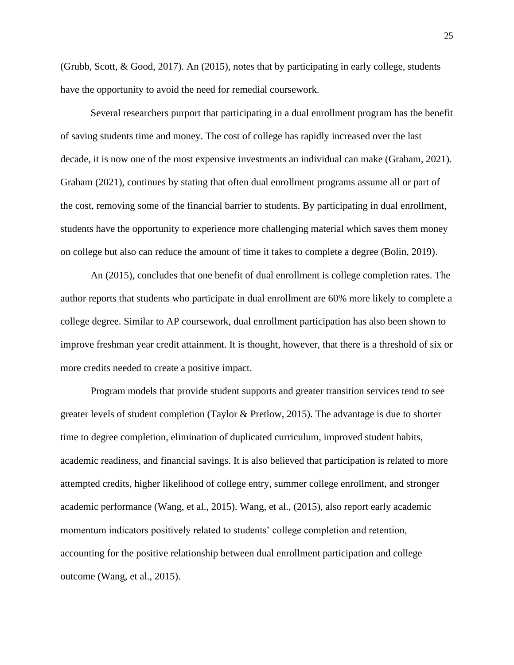(Grubb, Scott, & Good, 2017). An (2015), notes that by participating in early college, students have the opportunity to avoid the need for remedial coursework.

Several researchers purport that participating in a dual enrollment program has the benefit of saving students time and money. The cost of college has rapidly increased over the last decade, it is now one of the most expensive investments an individual can make (Graham, 2021). Graham (2021), continues by stating that often dual enrollment programs assume all or part of the cost, removing some of the financial barrier to students. By participating in dual enrollment, students have the opportunity to experience more challenging material which saves them money on college but also can reduce the amount of time it takes to complete a degree (Bolin, 2019).

An (2015), concludes that one benefit of dual enrollment is college completion rates. The author reports that students who participate in dual enrollment are 60% more likely to complete a college degree. Similar to AP coursework, dual enrollment participation has also been shown to improve freshman year credit attainment. It is thought, however, that there is a threshold of six or more credits needed to create a positive impact.

Program models that provide student supports and greater transition services tend to see greater levels of student completion (Taylor & Pretlow, 2015). The advantage is due to shorter time to degree completion, elimination of duplicated curriculum, improved student habits, academic readiness, and financial savings. It is also believed that participation is related to more attempted credits, higher likelihood of college entry, summer college enrollment, and stronger academic performance (Wang, et al., 2015). Wang, et al., (2015), also report early academic momentum indicators positively related to students' college completion and retention, accounting for the positive relationship between dual enrollment participation and college outcome (Wang, et al., 2015).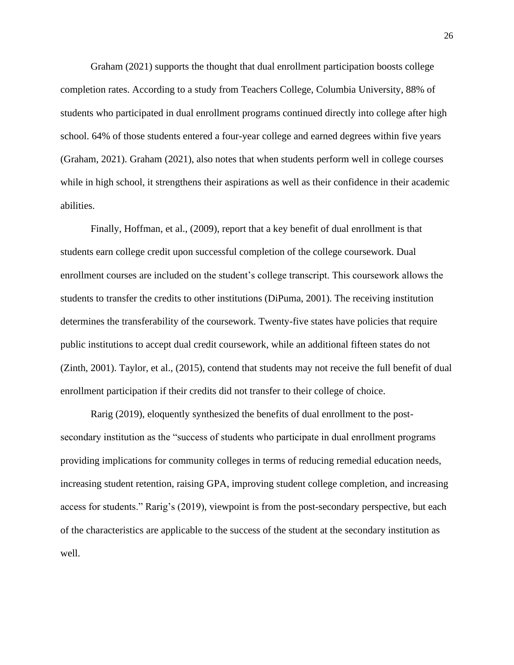Graham (2021) supports the thought that dual enrollment participation boosts college completion rates. According to a study from Teachers College, Columbia University, 88% of students who participated in dual enrollment programs continued directly into college after high school. 64% of those students entered a four-year college and earned degrees within five years (Graham, 2021). Graham (2021), also notes that when students perform well in college courses while in high school, it strengthens their aspirations as well as their confidence in their academic abilities.

Finally, Hoffman, et al., (2009), report that a key benefit of dual enrollment is that students earn college credit upon successful completion of the college coursework. Dual enrollment courses are included on the student's college transcript. This coursework allows the students to transfer the credits to other institutions (DiPuma, 2001). The receiving institution determines the transferability of the coursework. Twenty-five states have policies that require public institutions to accept dual credit coursework, while an additional fifteen states do not (Zinth, 2001). Taylor, et al., (2015), contend that students may not receive the full benefit of dual enrollment participation if their credits did not transfer to their college of choice.

Rarig (2019), eloquently synthesized the benefits of dual enrollment to the postsecondary institution as the "success of students who participate in dual enrollment programs providing implications for community colleges in terms of reducing remedial education needs, increasing student retention, raising GPA, improving student college completion, and increasing access for students." Rarig's (2019), viewpoint is from the post-secondary perspective, but each of the characteristics are applicable to the success of the student at the secondary institution as well.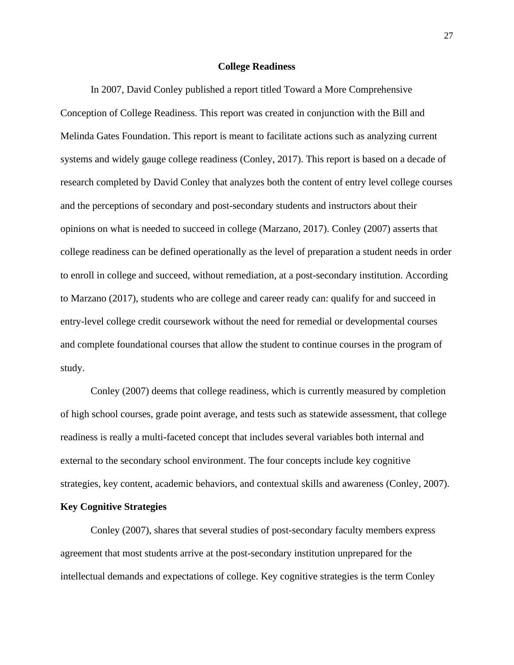#### **College Readiness**

In 2007, David Conley published a report titled Toward a More Comprehensive Conception of College Readiness. This report was created in conjunction with the Bill and Melinda Gates Foundation. This report is meant to facilitate actions such as analyzing current systems and widely gauge college readiness (Conley, 2017). This report is based on a decade of research completed by David Conley that analyzes both the content of entry level college courses and the perceptions of secondary and post-secondary students and instructors about their opinions on what is needed to succeed in college (Marzano, 2017). Conley (2007) asserts that college readiness can be defined operationally as the level of preparation a student needs in order to enroll in college and succeed, without remediation, at a post-secondary institution. According to Marzano (2017), students who are college and career ready can: qualify for and succeed in entry-level college credit coursework without the need for remedial or developmental courses and complete foundational courses that allow the student to continue courses in the program of study.

Conley (2007) deems that college readiness, which is currently measured by completion of high school courses, grade point average, and tests such as statewide assessment, that college readiness is really a multi-faceted concept that includes several variables both internal and external to the secondary school environment. The four concepts include key cognitive strategies, key content, academic behaviors, and contextual skills and awareness (Conley, 2007).

## **Key Cognitive Strategies**

Conley (2007), shares that several studies of post-secondary faculty members express agreement that most students arrive at the post-secondary institution unprepared for the intellectual demands and expectations of college. Key cognitive strategies is the term Conley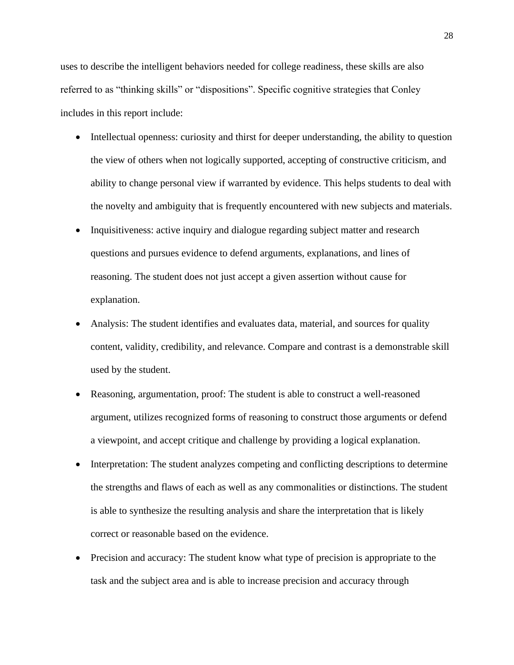uses to describe the intelligent behaviors needed for college readiness, these skills are also referred to as "thinking skills" or "dispositions". Specific cognitive strategies that Conley includes in this report include:

- Intellectual openness: curiosity and thirst for deeper understanding, the ability to question the view of others when not logically supported, accepting of constructive criticism, and ability to change personal view if warranted by evidence. This helps students to deal with the novelty and ambiguity that is frequently encountered with new subjects and materials.
- Inquisitiveness: active inquiry and dialogue regarding subject matter and research questions and pursues evidence to defend arguments, explanations, and lines of reasoning. The student does not just accept a given assertion without cause for explanation.
- Analysis: The student identifies and evaluates data, material, and sources for quality content, validity, credibility, and relevance. Compare and contrast is a demonstrable skill used by the student.
- Reasoning, argumentation, proof: The student is able to construct a well-reasoned argument, utilizes recognized forms of reasoning to construct those arguments or defend a viewpoint, and accept critique and challenge by providing a logical explanation.
- Interpretation: The student analyzes competing and conflicting descriptions to determine the strengths and flaws of each as well as any commonalities or distinctions. The student is able to synthesize the resulting analysis and share the interpretation that is likely correct or reasonable based on the evidence.
- Precision and accuracy: The student know what type of precision is appropriate to the task and the subject area and is able to increase precision and accuracy through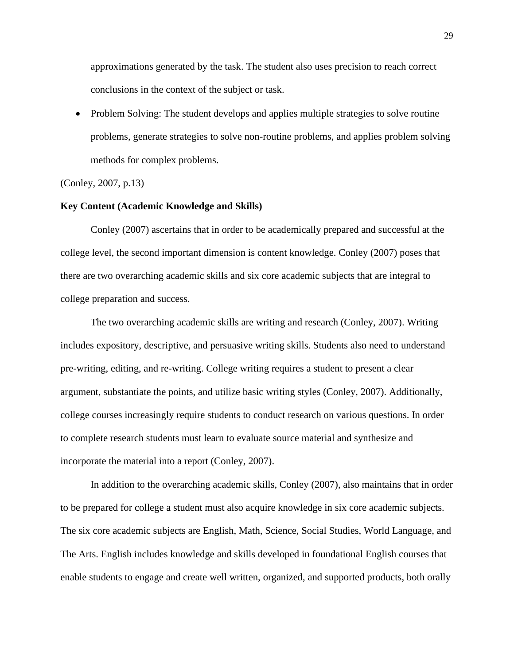approximations generated by the task. The student also uses precision to reach correct conclusions in the context of the subject or task.

• Problem Solving: The student develops and applies multiple strategies to solve routine problems, generate strategies to solve non-routine problems, and applies problem solving methods for complex problems.

(Conley, 2007, p.13)

## **Key Content (Academic Knowledge and Skills)**

Conley (2007) ascertains that in order to be academically prepared and successful at the college level, the second important dimension is content knowledge. Conley (2007) poses that there are two overarching academic skills and six core academic subjects that are integral to college preparation and success.

The two overarching academic skills are writing and research (Conley, 2007). Writing includes expository, descriptive, and persuasive writing skills. Students also need to understand pre-writing, editing, and re-writing. College writing requires a student to present a clear argument, substantiate the points, and utilize basic writing styles (Conley, 2007). Additionally, college courses increasingly require students to conduct research on various questions. In order to complete research students must learn to evaluate source material and synthesize and incorporate the material into a report (Conley, 2007).

In addition to the overarching academic skills, Conley (2007), also maintains that in order to be prepared for college a student must also acquire knowledge in six core academic subjects. The six core academic subjects are English, Math, Science, Social Studies, World Language, and The Arts. English includes knowledge and skills developed in foundational English courses that enable students to engage and create well written, organized, and supported products, both orally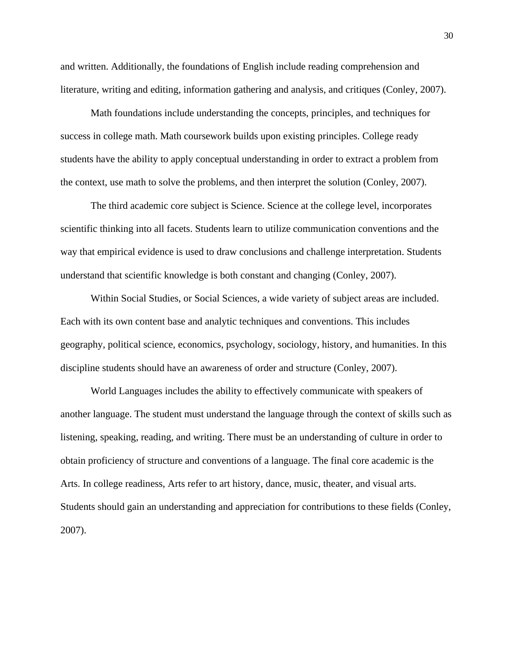and written. Additionally, the foundations of English include reading comprehension and literature, writing and editing, information gathering and analysis, and critiques (Conley, 2007).

Math foundations include understanding the concepts, principles, and techniques for success in college math. Math coursework builds upon existing principles. College ready students have the ability to apply conceptual understanding in order to extract a problem from the context, use math to solve the problems, and then interpret the solution (Conley, 2007).

The third academic core subject is Science. Science at the college level, incorporates scientific thinking into all facets. Students learn to utilize communication conventions and the way that empirical evidence is used to draw conclusions and challenge interpretation. Students understand that scientific knowledge is both constant and changing (Conley, 2007).

Within Social Studies, or Social Sciences, a wide variety of subject areas are included. Each with its own content base and analytic techniques and conventions. This includes geography, political science, economics, psychology, sociology, history, and humanities. In this discipline students should have an awareness of order and structure (Conley, 2007).

World Languages includes the ability to effectively communicate with speakers of another language. The student must understand the language through the context of skills such as listening, speaking, reading, and writing. There must be an understanding of culture in order to obtain proficiency of structure and conventions of a language. The final core academic is the Arts. In college readiness, Arts refer to art history, dance, music, theater, and visual arts. Students should gain an understanding and appreciation for contributions to these fields (Conley, 2007).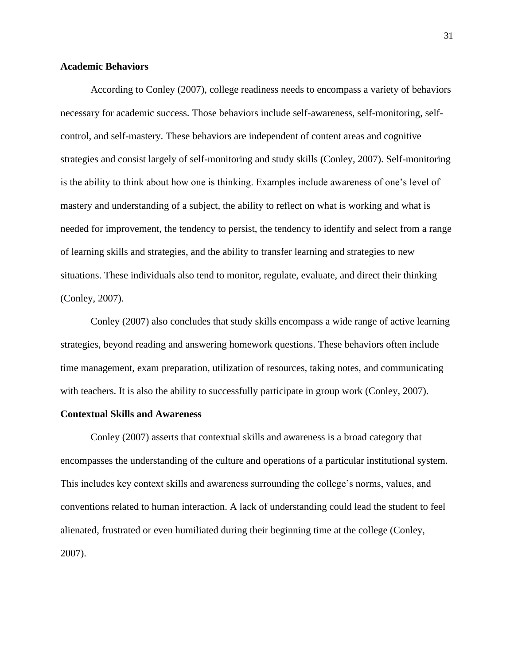## **Academic Behaviors**

According to Conley (2007), college readiness needs to encompass a variety of behaviors necessary for academic success. Those behaviors include self-awareness, self-monitoring, selfcontrol, and self-mastery. These behaviors are independent of content areas and cognitive strategies and consist largely of self-monitoring and study skills (Conley, 2007). Self-monitoring is the ability to think about how one is thinking. Examples include awareness of one's level of mastery and understanding of a subject, the ability to reflect on what is working and what is needed for improvement, the tendency to persist, the tendency to identify and select from a range of learning skills and strategies, and the ability to transfer learning and strategies to new situations. These individuals also tend to monitor, regulate, evaluate, and direct their thinking (Conley, 2007).

Conley (2007) also concludes that study skills encompass a wide range of active learning strategies, beyond reading and answering homework questions. These behaviors often include time management, exam preparation, utilization of resources, taking notes, and communicating with teachers. It is also the ability to successfully participate in group work (Conley, 2007).

## **Contextual Skills and Awareness**

Conley (2007) asserts that contextual skills and awareness is a broad category that encompasses the understanding of the culture and operations of a particular institutional system. This includes key context skills and awareness surrounding the college's norms, values, and conventions related to human interaction. A lack of understanding could lead the student to feel alienated, frustrated or even humiliated during their beginning time at the college (Conley, 2007).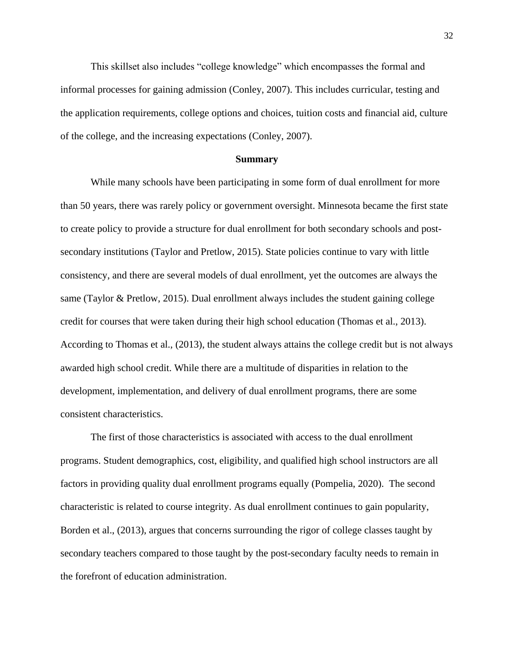This skillset also includes "college knowledge" which encompasses the formal and informal processes for gaining admission (Conley, 2007). This includes curricular, testing and the application requirements, college options and choices, tuition costs and financial aid, culture of the college, and the increasing expectations (Conley, 2007).

#### **Summary**

While many schools have been participating in some form of dual enrollment for more than 50 years, there was rarely policy or government oversight. Minnesota became the first state to create policy to provide a structure for dual enrollment for both secondary schools and postsecondary institutions (Taylor and Pretlow, 2015). State policies continue to vary with little consistency, and there are several models of dual enrollment, yet the outcomes are always the same (Taylor & Pretlow, 2015). Dual enrollment always includes the student gaining college credit for courses that were taken during their high school education (Thomas et al., 2013). According to Thomas et al., (2013), the student always attains the college credit but is not always awarded high school credit. While there are a multitude of disparities in relation to the development, implementation, and delivery of dual enrollment programs, there are some consistent characteristics.

The first of those characteristics is associated with access to the dual enrollment programs. Student demographics, cost, eligibility, and qualified high school instructors are all factors in providing quality dual enrollment programs equally (Pompelia, 2020). The second characteristic is related to course integrity. As dual enrollment continues to gain popularity, Borden et al., (2013), argues that concerns surrounding the rigor of college classes taught by secondary teachers compared to those taught by the post-secondary faculty needs to remain in the forefront of education administration.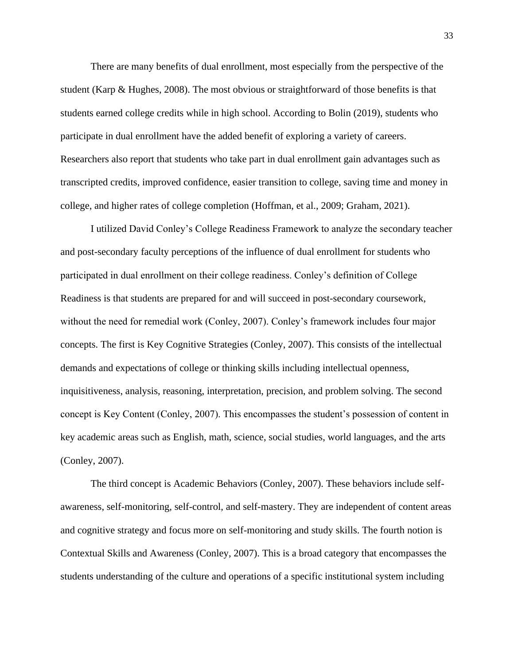There are many benefits of dual enrollment, most especially from the perspective of the student (Karp & Hughes, 2008). The most obvious or straightforward of those benefits is that students earned college credits while in high school. According to Bolin (2019), students who participate in dual enrollment have the added benefit of exploring a variety of careers. Researchers also report that students who take part in dual enrollment gain advantages such as transcripted credits, improved confidence, easier transition to college, saving time and money in college, and higher rates of college completion (Hoffman, et al., 2009; Graham, 2021).

I utilized David Conley's College Readiness Framework to analyze the secondary teacher and post-secondary faculty perceptions of the influence of dual enrollment for students who participated in dual enrollment on their college readiness. Conley's definition of College Readiness is that students are prepared for and will succeed in post-secondary coursework, without the need for remedial work (Conley, 2007). Conley's framework includes four major concepts. The first is Key Cognitive Strategies (Conley, 2007). This consists of the intellectual demands and expectations of college or thinking skills including intellectual openness, inquisitiveness, analysis, reasoning, interpretation, precision, and problem solving. The second concept is Key Content (Conley, 2007). This encompasses the student's possession of content in key academic areas such as English, math, science, social studies, world languages, and the arts (Conley, 2007).

The third concept is Academic Behaviors (Conley, 2007). These behaviors include selfawareness, self-monitoring, self-control, and self-mastery. They are independent of content areas and cognitive strategy and focus more on self-monitoring and study skills. The fourth notion is Contextual Skills and Awareness (Conley, 2007). This is a broad category that encompasses the students understanding of the culture and operations of a specific institutional system including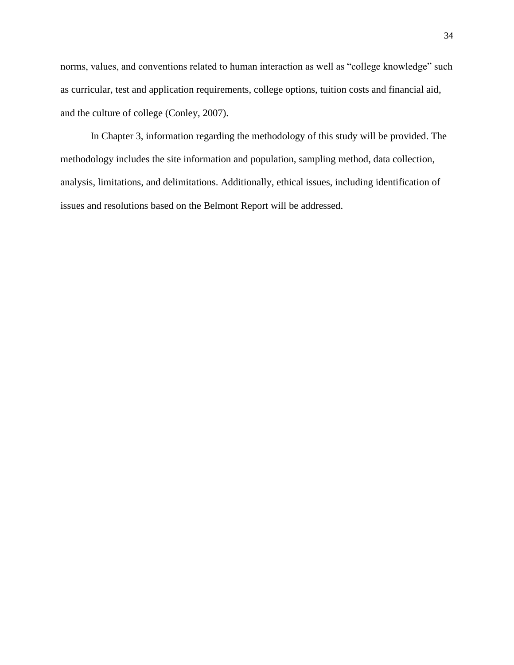norms, values, and conventions related to human interaction as well as "college knowledge" such as curricular, test and application requirements, college options, tuition costs and financial aid, and the culture of college (Conley, 2007).

In Chapter 3, information regarding the methodology of this study will be provided. The methodology includes the site information and population, sampling method, data collection, analysis, limitations, and delimitations. Additionally, ethical issues, including identification of issues and resolutions based on the Belmont Report will be addressed.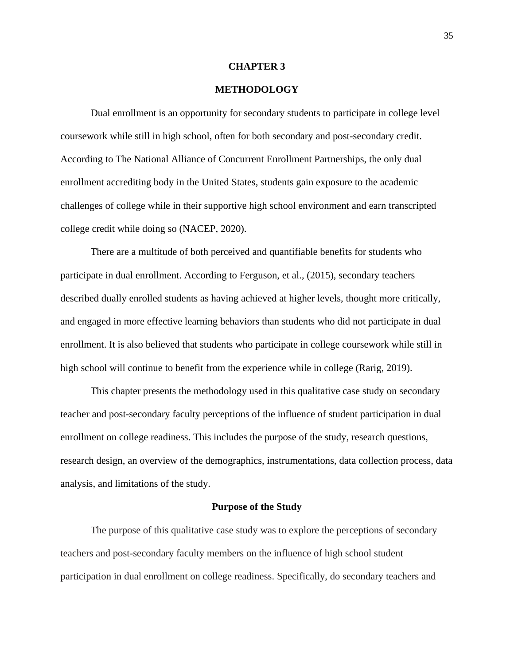### **CHAPTER 3**

# **METHODOLOGY**

Dual enrollment is an opportunity for secondary students to participate in college level coursework while still in high school, often for both secondary and post-secondary credit. According to The National Alliance of Concurrent Enrollment Partnerships, the only dual enrollment accrediting body in the United States, students gain exposure to the academic challenges of college while in their supportive high school environment and earn transcripted college credit while doing so (NACEP, 2020).

There are a multitude of both perceived and quantifiable benefits for students who participate in dual enrollment. According to Ferguson, et al., (2015), secondary teachers described dually enrolled students as having achieved at higher levels, thought more critically, and engaged in more effective learning behaviors than students who did not participate in dual enrollment. It is also believed that students who participate in college coursework while still in high school will continue to benefit from the experience while in college (Rarig, 2019).

This chapter presents the methodology used in this qualitative case study on secondary teacher and post-secondary faculty perceptions of the influence of student participation in dual enrollment on college readiness. This includes the purpose of the study, research questions, research design, an overview of the demographics, instrumentations, data collection process, data analysis, and limitations of the study.

#### **Purpose of the Study**

The purpose of this qualitative case study was to explore the perceptions of secondary teachers and post-secondary faculty members on the influence of high school student participation in dual enrollment on college readiness. Specifically, do secondary teachers and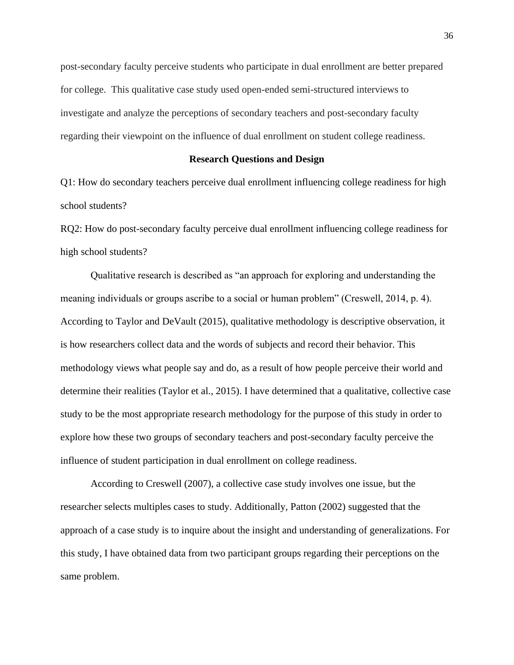post-secondary faculty perceive students who participate in dual enrollment are better prepared for college. This qualitative case study used open-ended semi-structured interviews to investigate and analyze the perceptions of secondary teachers and post-secondary faculty regarding their viewpoint on the influence of dual enrollment on student college readiness.

### **Research Questions and Design**

Q1: How do secondary teachers perceive dual enrollment influencing college readiness for high school students?

RQ2: How do post-secondary faculty perceive dual enrollment influencing college readiness for high school students?

Qualitative research is described as "an approach for exploring and understanding the meaning individuals or groups ascribe to a social or human problem" (Creswell, 2014, p. 4). According to Taylor and DeVault (2015), qualitative methodology is descriptive observation, it is how researchers collect data and the words of subjects and record their behavior. This methodology views what people say and do, as a result of how people perceive their world and determine their realities (Taylor et al., 2015). I have determined that a qualitative, collective case study to be the most appropriate research methodology for the purpose of this study in order to explore how these two groups of secondary teachers and post-secondary faculty perceive the influence of student participation in dual enrollment on college readiness.

According to Creswell (2007), a collective case study involves one issue, but the researcher selects multiples cases to study. Additionally, Patton (2002) suggested that the approach of a case study is to inquire about the insight and understanding of generalizations. For this study, I have obtained data from two participant groups regarding their perceptions on the same problem.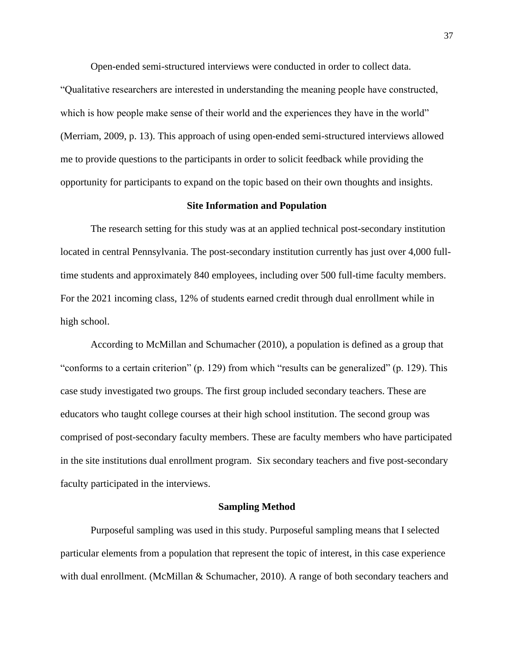Open-ended semi-structured interviews were conducted in order to collect data.

"Qualitative researchers are interested in understanding the meaning people have constructed, which is how people make sense of their world and the experiences they have in the world" (Merriam, 2009, p. 13). This approach of using open-ended semi-structured interviews allowed me to provide questions to the participants in order to solicit feedback while providing the opportunity for participants to expand on the topic based on their own thoughts and insights.

## **Site Information and Population**

The research setting for this study was at an applied technical post-secondary institution located in central Pennsylvania. The post-secondary institution currently has just over 4,000 fulltime students and approximately 840 employees, including over 500 full-time faculty members. For the 2021 incoming class, 12% of students earned credit through dual enrollment while in high school.

According to McMillan and Schumacher (2010), a population is defined as a group that "conforms to a certain criterion" (p. 129) from which "results can be generalized" (p. 129). This case study investigated two groups. The first group included secondary teachers. These are educators who taught college courses at their high school institution. The second group was comprised of post-secondary faculty members. These are faculty members who have participated in the site institutions dual enrollment program. Six secondary teachers and five post-secondary faculty participated in the interviews.

#### **Sampling Method**

Purposeful sampling was used in this study. Purposeful sampling means that I selected particular elements from a population that represent the topic of interest, in this case experience with dual enrollment. (McMillan & Schumacher, 2010). A range of both secondary teachers and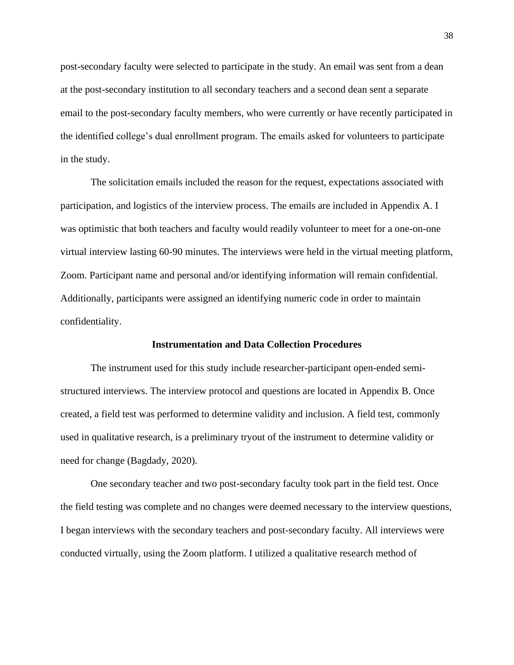post-secondary faculty were selected to participate in the study. An email was sent from a dean at the post-secondary institution to all secondary teachers and a second dean sent a separate email to the post-secondary faculty members, who were currently or have recently participated in the identified college's dual enrollment program. The emails asked for volunteers to participate in the study.

The solicitation emails included the reason for the request, expectations associated with participation, and logistics of the interview process. The emails are included in Appendix A. I was optimistic that both teachers and faculty would readily volunteer to meet for a one-on-one virtual interview lasting 60-90 minutes. The interviews were held in the virtual meeting platform, Zoom. Participant name and personal and/or identifying information will remain confidential. Additionally, participants were assigned an identifying numeric code in order to maintain confidentiality.

### **Instrumentation and Data Collection Procedures**

The instrument used for this study include researcher-participant open-ended semistructured interviews. The interview protocol and questions are located in Appendix B. Once created, a field test was performed to determine validity and inclusion. A field test, commonly used in qualitative research, is a preliminary tryout of the instrument to determine validity or need for change (Bagdady, 2020).

One secondary teacher and two post-secondary faculty took part in the field test. Once the field testing was complete and no changes were deemed necessary to the interview questions, I began interviews with the secondary teachers and post-secondary faculty. All interviews were conducted virtually, using the Zoom platform. I utilized a qualitative research method of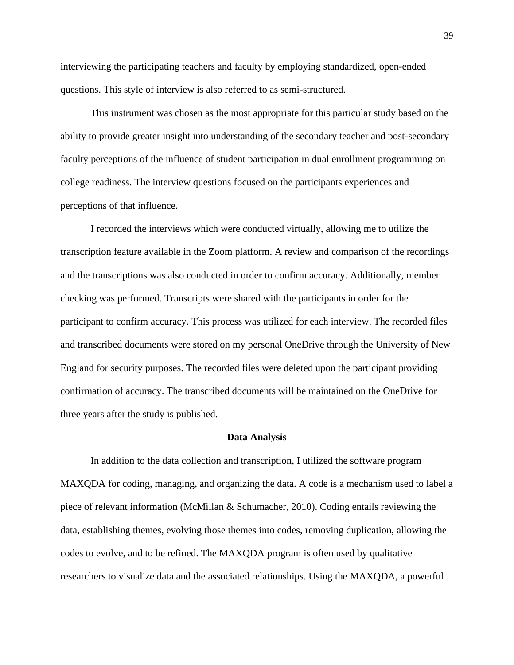interviewing the participating teachers and faculty by employing standardized, open-ended questions. This style of interview is also referred to as semi-structured.

This instrument was chosen as the most appropriate for this particular study based on the ability to provide greater insight into understanding of the secondary teacher and post-secondary faculty perceptions of the influence of student participation in dual enrollment programming on college readiness. The interview questions focused on the participants experiences and perceptions of that influence.

I recorded the interviews which were conducted virtually, allowing me to utilize the transcription feature available in the Zoom platform. A review and comparison of the recordings and the transcriptions was also conducted in order to confirm accuracy. Additionally, member checking was performed. Transcripts were shared with the participants in order for the participant to confirm accuracy. This process was utilized for each interview. The recorded files and transcribed documents were stored on my personal OneDrive through the University of New England for security purposes. The recorded files were deleted upon the participant providing confirmation of accuracy. The transcribed documents will be maintained on the OneDrive for three years after the study is published.

#### **Data Analysis**

In addition to the data collection and transcription, I utilized the software program MAXQDA for coding, managing, and organizing the data. A code is a mechanism used to label a piece of relevant information (McMillan & Schumacher, 2010). Coding entails reviewing the data, establishing themes, evolving those themes into codes, removing duplication, allowing the codes to evolve, and to be refined. The MAXQDA program is often used by qualitative researchers to visualize data and the associated relationships. Using the MAXQDA, a powerful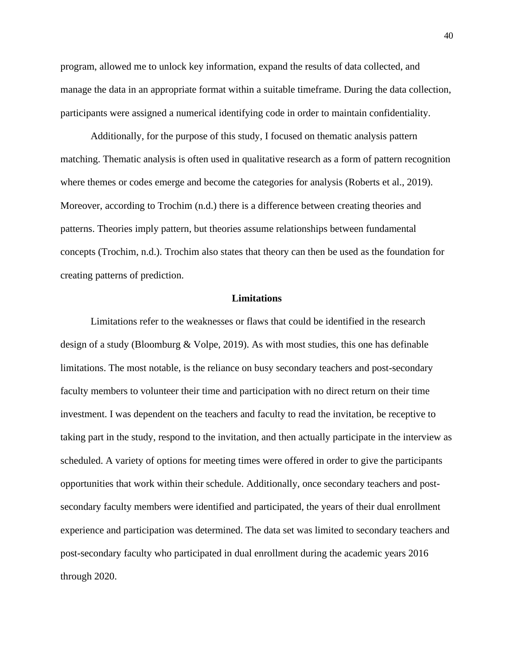program, allowed me to unlock key information, expand the results of data collected, and manage the data in an appropriate format within a suitable timeframe. During the data collection, participants were assigned a numerical identifying code in order to maintain confidentiality.

Additionally, for the purpose of this study, I focused on thematic analysis pattern matching. Thematic analysis is often used in qualitative research as a form of pattern recognition where themes or codes emerge and become the categories for analysis (Roberts et al., 2019). Moreover, according to Trochim (n.d.) there is a difference between creating theories and patterns. Theories imply pattern, but theories assume relationships between fundamental concepts (Trochim, n.d.). Trochim also states that theory can then be used as the foundation for creating patterns of prediction.

### **Limitations**

Limitations refer to the weaknesses or flaws that could be identified in the research design of a study (Bloomburg & Volpe, 2019). As with most studies, this one has definable limitations. The most notable, is the reliance on busy secondary teachers and post-secondary faculty members to volunteer their time and participation with no direct return on their time investment. I was dependent on the teachers and faculty to read the invitation, be receptive to taking part in the study, respond to the invitation, and then actually participate in the interview as scheduled. A variety of options for meeting times were offered in order to give the participants opportunities that work within their schedule. Additionally, once secondary teachers and postsecondary faculty members were identified and participated, the years of their dual enrollment experience and participation was determined. The data set was limited to secondary teachers and post-secondary faculty who participated in dual enrollment during the academic years 2016 through 2020.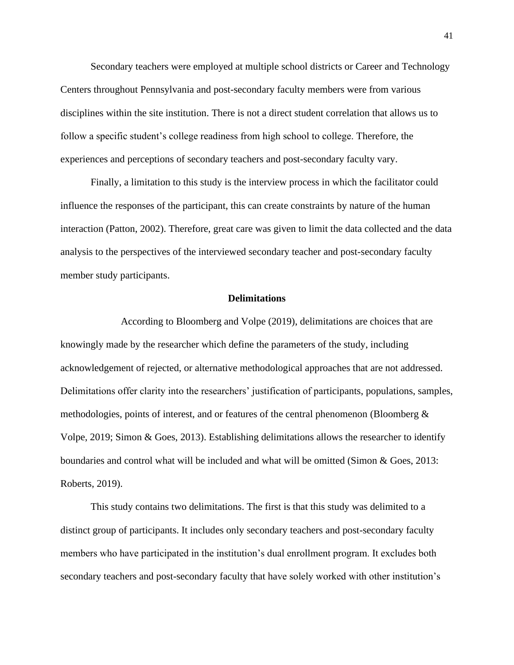Secondary teachers were employed at multiple school districts or Career and Technology Centers throughout Pennsylvania and post-secondary faculty members were from various disciplines within the site institution. There is not a direct student correlation that allows us to follow a specific student's college readiness from high school to college. Therefore, the experiences and perceptions of secondary teachers and post-secondary faculty vary.

Finally, a limitation to this study is the interview process in which the facilitator could influence the responses of the participant, this can create constraints by nature of the human interaction (Patton, 2002). Therefore, great care was given to limit the data collected and the data analysis to the perspectives of the interviewed secondary teacher and post-secondary faculty member study participants.

### **Delimitations**

According to Bloomberg and Volpe (2019), delimitations are choices that are knowingly made by the researcher which define the parameters of the study, including acknowledgement of rejected, or alternative methodological approaches that are not addressed. Delimitations offer clarity into the researchers' justification of participants, populations, samples, methodologies, points of interest, and or features of the central phenomenon (Bloomberg & Volpe, 2019; Simon & Goes, 2013). Establishing delimitations allows the researcher to identify boundaries and control what will be included and what will be omitted (Simon & Goes, 2013: Roberts, 2019).

This study contains two delimitations. The first is that this study was delimited to a distinct group of participants. It includes only secondary teachers and post-secondary faculty members who have participated in the institution's dual enrollment program. It excludes both secondary teachers and post-secondary faculty that have solely worked with other institution's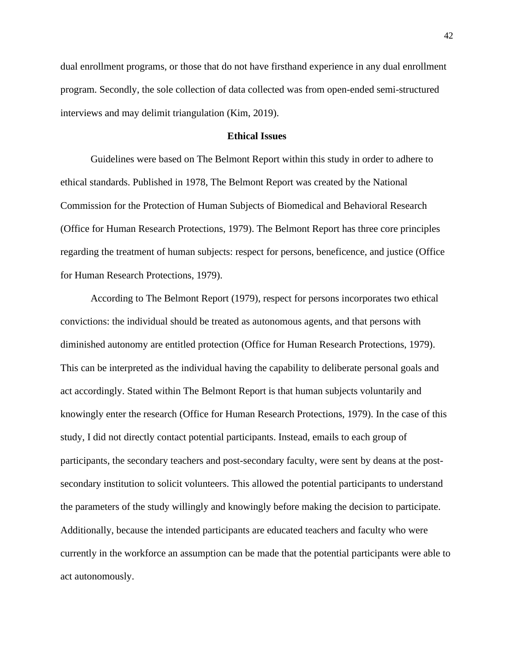dual enrollment programs, or those that do not have firsthand experience in any dual enrollment program. Secondly, the sole collection of data collected was from open-ended semi-structured interviews and may delimit triangulation (Kim, 2019).

## **Ethical Issues**

Guidelines were based on The Belmont Report within this study in order to adhere to ethical standards. Published in 1978, The Belmont Report was created by the National Commission for the Protection of Human Subjects of Biomedical and Behavioral Research (Office for Human Research Protections, 1979). The Belmont Report has three core principles regarding the treatment of human subjects: respect for persons, beneficence, and justice (Office for Human Research Protections, 1979).

According to The Belmont Report (1979), respect for persons incorporates two ethical convictions: the individual should be treated as autonomous agents, and that persons with diminished autonomy are entitled protection (Office for Human Research Protections, 1979). This can be interpreted as the individual having the capability to deliberate personal goals and act accordingly. Stated within The Belmont Report is that human subjects voluntarily and knowingly enter the research (Office for Human Research Protections, 1979). In the case of this study, I did not directly contact potential participants. Instead, emails to each group of participants, the secondary teachers and post-secondary faculty, were sent by deans at the postsecondary institution to solicit volunteers. This allowed the potential participants to understand the parameters of the study willingly and knowingly before making the decision to participate. Additionally, because the intended participants are educated teachers and faculty who were currently in the workforce an assumption can be made that the potential participants were able to act autonomously.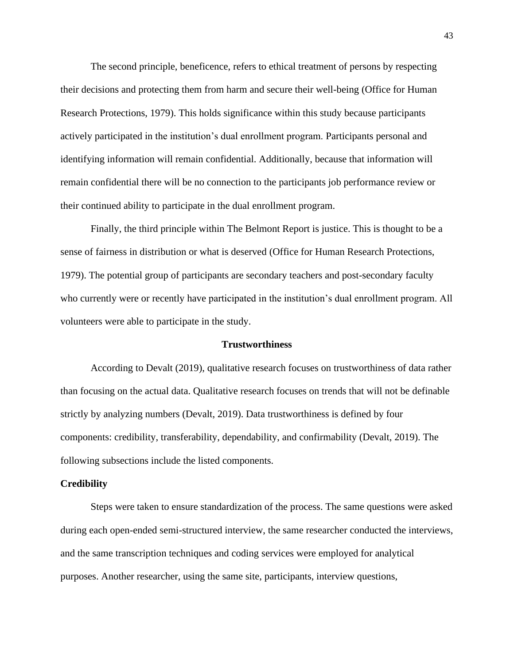The second principle, beneficence, refers to ethical treatment of persons by respecting their decisions and protecting them from harm and secure their well-being (Office for Human Research Protections, 1979). This holds significance within this study because participants actively participated in the institution's dual enrollment program. Participants personal and identifying information will remain confidential. Additionally, because that information will remain confidential there will be no connection to the participants job performance review or their continued ability to participate in the dual enrollment program.

Finally, the third principle within The Belmont Report is justice. This is thought to be a sense of fairness in distribution or what is deserved (Office for Human Research Protections, 1979). The potential group of participants are secondary teachers and post-secondary faculty who currently were or recently have participated in the institution's dual enrollment program. All volunteers were able to participate in the study.

## **Trustworthiness**

According to Devalt (2019), qualitative research focuses on trustworthiness of data rather than focusing on the actual data. Qualitative research focuses on trends that will not be definable strictly by analyzing numbers (Devalt, 2019). Data trustworthiness is defined by four components: credibility, transferability, dependability, and confirmability (Devalt, 2019). The following subsections include the listed components.

#### **Credibility**

Steps were taken to ensure standardization of the process. The same questions were asked during each open-ended semi-structured interview, the same researcher conducted the interviews, and the same transcription techniques and coding services were employed for analytical purposes. Another researcher, using the same site, participants, interview questions,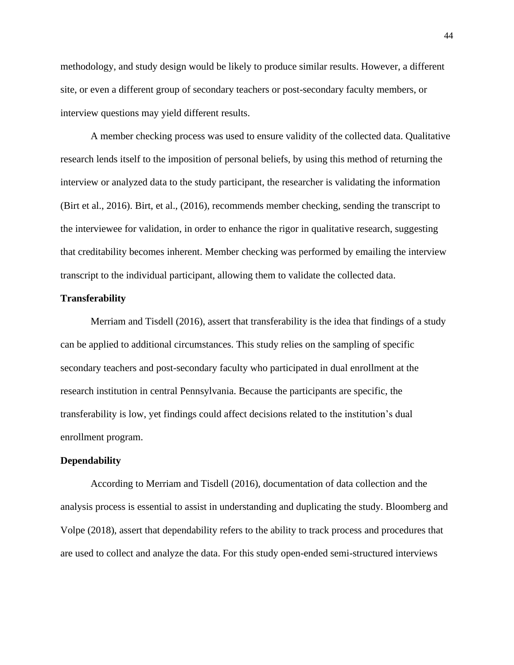methodology, and study design would be likely to produce similar results. However, a different site, or even a different group of secondary teachers or post-secondary faculty members, or interview questions may yield different results.

A member checking process was used to ensure validity of the collected data. Qualitative research lends itself to the imposition of personal beliefs, by using this method of returning the interview or analyzed data to the study participant, the researcher is validating the information (Birt et al., 2016). Birt, et al., (2016), recommends member checking, sending the transcript to the interviewee for validation, in order to enhance the rigor in qualitative research, suggesting that creditability becomes inherent. Member checking was performed by emailing the interview transcript to the individual participant, allowing them to validate the collected data.

# **Transferability**

Merriam and Tisdell (2016), assert that transferability is the idea that findings of a study can be applied to additional circumstances. This study relies on the sampling of specific secondary teachers and post-secondary faculty who participated in dual enrollment at the research institution in central Pennsylvania. Because the participants are specific, the transferability is low, yet findings could affect decisions related to the institution's dual enrollment program.

## **Dependability**

According to Merriam and Tisdell (2016), documentation of data collection and the analysis process is essential to assist in understanding and duplicating the study. Bloomberg and Volpe (2018), assert that dependability refers to the ability to track process and procedures that are used to collect and analyze the data. For this study open-ended semi-structured interviews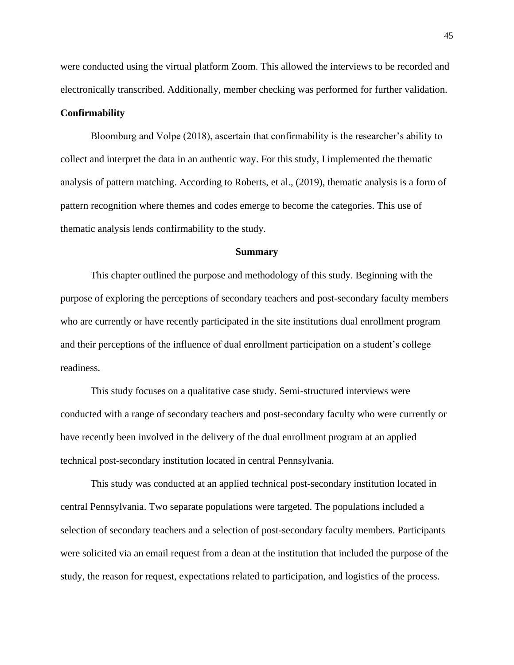were conducted using the virtual platform Zoom. This allowed the interviews to be recorded and electronically transcribed. Additionally, member checking was performed for further validation.

# **Confirmability**

Bloomburg and Volpe (2018), ascertain that confirmability is the researcher's ability to collect and interpret the data in an authentic way. For this study, I implemented the thematic analysis of pattern matching. According to Roberts, et al., (2019), thematic analysis is a form of pattern recognition where themes and codes emerge to become the categories. This use of thematic analysis lends confirmability to the study.

#### **Summary**

This chapter outlined the purpose and methodology of this study. Beginning with the purpose of exploring the perceptions of secondary teachers and post-secondary faculty members who are currently or have recently participated in the site institutions dual enrollment program and their perceptions of the influence of dual enrollment participation on a student's college readiness.

This study focuses on a qualitative case study. Semi-structured interviews were conducted with a range of secondary teachers and post-secondary faculty who were currently or have recently been involved in the delivery of the dual enrollment program at an applied technical post-secondary institution located in central Pennsylvania.

This study was conducted at an applied technical post-secondary institution located in central Pennsylvania. Two separate populations were targeted. The populations included a selection of secondary teachers and a selection of post-secondary faculty members. Participants were solicited via an email request from a dean at the institution that included the purpose of the study, the reason for request, expectations related to participation, and logistics of the process.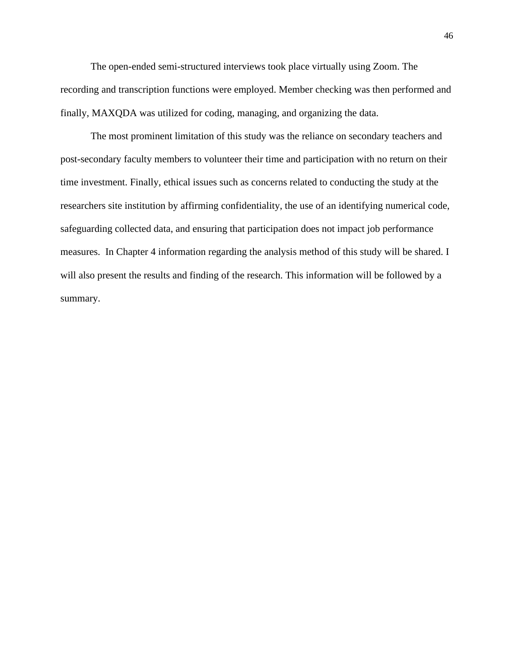The open-ended semi-structured interviews took place virtually using Zoom. The recording and transcription functions were employed. Member checking was then performed and finally, MAXQDA was utilized for coding, managing, and organizing the data.

The most prominent limitation of this study was the reliance on secondary teachers and post-secondary faculty members to volunteer their time and participation with no return on their time investment. Finally, ethical issues such as concerns related to conducting the study at the researchers site institution by affirming confidentiality, the use of an identifying numerical code, safeguarding collected data, and ensuring that participation does not impact job performance measures. In Chapter 4 information regarding the analysis method of this study will be shared. I will also present the results and finding of the research. This information will be followed by a summary.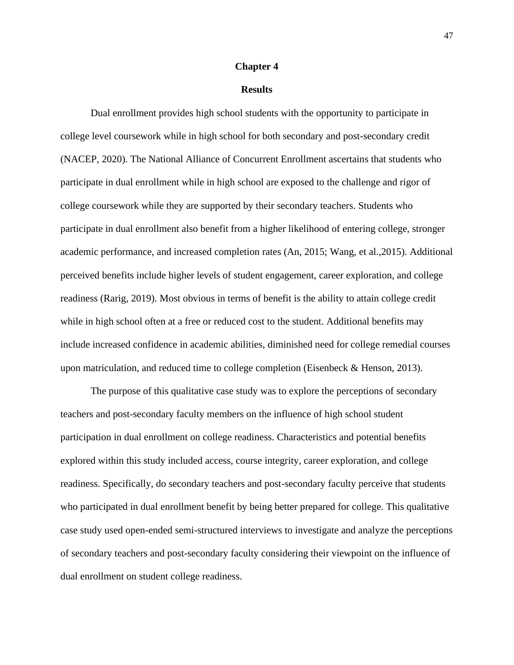### **Chapter 4**

### **Results**

Dual enrollment provides high school students with the opportunity to participate in college level coursework while in high school for both secondary and post-secondary credit (NACEP, 2020). The National Alliance of Concurrent Enrollment ascertains that students who participate in dual enrollment while in high school are exposed to the challenge and rigor of college coursework while they are supported by their secondary teachers. Students who participate in dual enrollment also benefit from a higher likelihood of entering college, stronger academic performance, and increased completion rates (An, 2015; Wang, et al.,2015). Additional perceived benefits include higher levels of student engagement, career exploration, and college readiness (Rarig, 2019). Most obvious in terms of benefit is the ability to attain college credit while in high school often at a free or reduced cost to the student. Additional benefits may include increased confidence in academic abilities, diminished need for college remedial courses upon matriculation, and reduced time to college completion (Eisenbeck & Henson, 2013).

The purpose of this qualitative case study was to explore the perceptions of secondary teachers and post-secondary faculty members on the influence of high school student participation in dual enrollment on college readiness. Characteristics and potential benefits explored within this study included access, course integrity, career exploration, and college readiness. Specifically, do secondary teachers and post-secondary faculty perceive that students who participated in dual enrollment benefit by being better prepared for college. This qualitative case study used open-ended semi-structured interviews to investigate and analyze the perceptions of secondary teachers and post-secondary faculty considering their viewpoint on the influence of dual enrollment on student college readiness.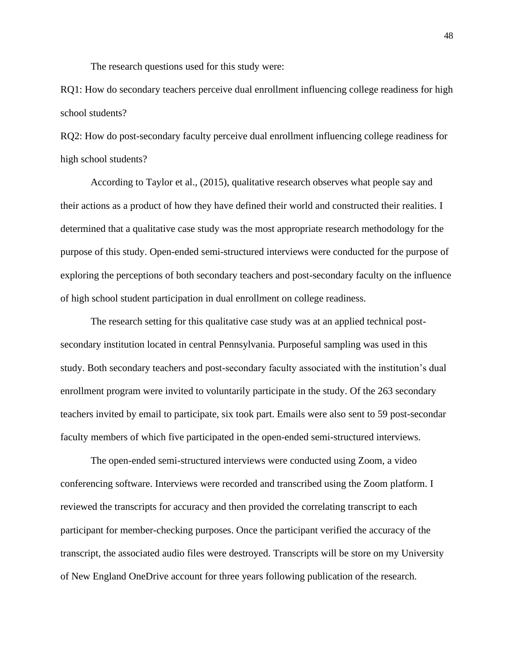The research questions used for this study were:

RQ1: How do secondary teachers perceive dual enrollment influencing college readiness for high school students?

RQ2: How do post-secondary faculty perceive dual enrollment influencing college readiness for high school students?

According to Taylor et al., (2015), qualitative research observes what people say and their actions as a product of how they have defined their world and constructed their realities. I determined that a qualitative case study was the most appropriate research methodology for the purpose of this study. Open-ended semi-structured interviews were conducted for the purpose of exploring the perceptions of both secondary teachers and post-secondary faculty on the influence of high school student participation in dual enrollment on college readiness.

The research setting for this qualitative case study was at an applied technical postsecondary institution located in central Pennsylvania. Purposeful sampling was used in this study. Both secondary teachers and post-secondary faculty associated with the institution's dual enrollment program were invited to voluntarily participate in the study. Of the 263 secondary teachers invited by email to participate, six took part. Emails were also sent to 59 post-secondar faculty members of which five participated in the open-ended semi-structured interviews.

The open-ended semi-structured interviews were conducted using Zoom, a video conferencing software. Interviews were recorded and transcribed using the Zoom platform. I reviewed the transcripts for accuracy and then provided the correlating transcript to each participant for member-checking purposes. Once the participant verified the accuracy of the transcript, the associated audio files were destroyed. Transcripts will be store on my University of New England OneDrive account for three years following publication of the research.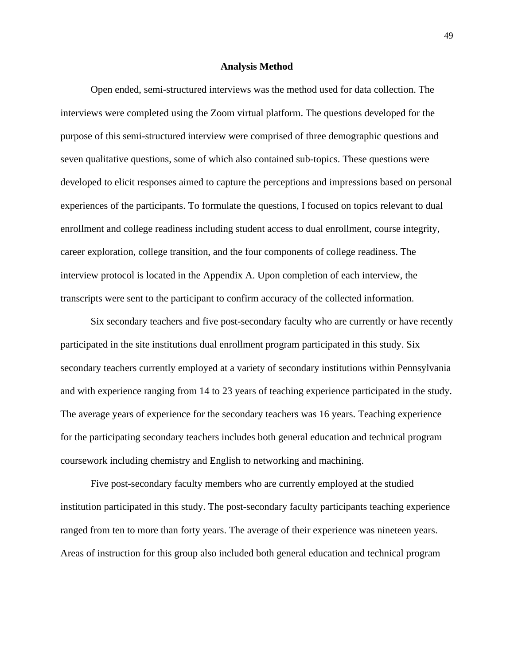#### **Analysis Method**

Open ended, semi-structured interviews was the method used for data collection. The interviews were completed using the Zoom virtual platform. The questions developed for the purpose of this semi-structured interview were comprised of three demographic questions and seven qualitative questions, some of which also contained sub-topics. These questions were developed to elicit responses aimed to capture the perceptions and impressions based on personal experiences of the participants. To formulate the questions, I focused on topics relevant to dual enrollment and college readiness including student access to dual enrollment, course integrity, career exploration, college transition, and the four components of college readiness. The interview protocol is located in the Appendix A. Upon completion of each interview, the transcripts were sent to the participant to confirm accuracy of the collected information.

Six secondary teachers and five post-secondary faculty who are currently or have recently participated in the site institutions dual enrollment program participated in this study. Six secondary teachers currently employed at a variety of secondary institutions within Pennsylvania and with experience ranging from 14 to 23 years of teaching experience participated in the study. The average years of experience for the secondary teachers was 16 years. Teaching experience for the participating secondary teachers includes both general education and technical program coursework including chemistry and English to networking and machining.

Five post-secondary faculty members who are currently employed at the studied institution participated in this study. The post-secondary faculty participants teaching experience ranged from ten to more than forty years. The average of their experience was nineteen years. Areas of instruction for this group also included both general education and technical program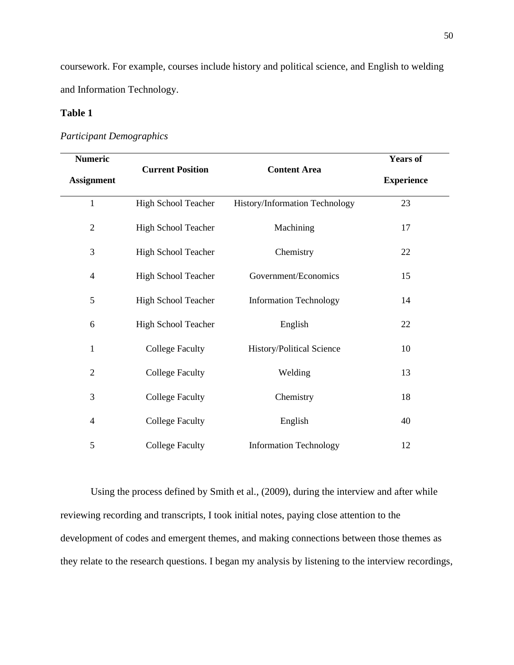coursework. For example, courses include history and political science, and English to welding and Information Technology.

# **Table 1**

# *Participant Demographics*

| <b>Numeric</b>    | <b>Current Position</b> | <b>Content Area</b>            | <b>Years of</b>   |
|-------------------|-------------------------|--------------------------------|-------------------|
| <b>Assignment</b> |                         |                                | <b>Experience</b> |
| $\mathbf{1}$      | High School Teacher     | History/Information Technology | 23                |
| $\mathbf{2}$      | High School Teacher     | Machining                      | 17                |
| 3                 | High School Teacher     | Chemistry                      | 22                |
| $\overline{4}$    | High School Teacher     | Government/Economics           | 15                |
| 5                 | High School Teacher     | <b>Information Technology</b>  | 14                |
| 6                 | High School Teacher     | English                        | 22                |
| $\mathbf{1}$      | <b>College Faculty</b>  | History/Political Science      | 10                |
| $\overline{2}$    | <b>College Faculty</b>  | Welding                        | 13                |
| 3                 | <b>College Faculty</b>  | Chemistry                      | 18                |
| $\overline{4}$    | <b>College Faculty</b>  | English                        | 40                |
| 5                 | <b>College Faculty</b>  | <b>Information Technology</b>  | 12                |

Using the process defined by Smith et al., (2009), during the interview and after while reviewing recording and transcripts, I took initial notes, paying close attention to the development of codes and emergent themes, and making connections between those themes as they relate to the research questions. I began my analysis by listening to the interview recordings,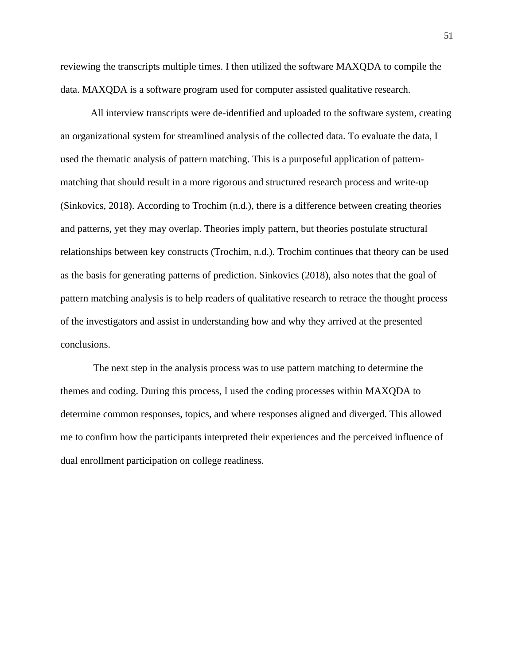reviewing the transcripts multiple times. I then utilized the software MAXQDA to compile the data. MAXQDA is a software program used for computer assisted qualitative research.

All interview transcripts were de-identified and uploaded to the software system, creating an organizational system for streamlined analysis of the collected data. To evaluate the data, I used the thematic analysis of pattern matching. This is a purposeful application of patternmatching that should result in a more rigorous and structured research process and write-up (Sinkovics, 2018). According to Trochim (n.d.), there is a difference between creating theories and patterns, yet they may overlap. Theories imply pattern, but theories postulate structural relationships between key constructs (Trochim, n.d.). Trochim continues that theory can be used as the basis for generating patterns of prediction. Sinkovics (2018), also notes that the goal of pattern matching analysis is to help readers of qualitative research to retrace the thought process of the investigators and assist in understanding how and why they arrived at the presented conclusions.

The next step in the analysis process was to use pattern matching to determine the themes and coding. During this process, I used the coding processes within MAXQDA to determine common responses, topics, and where responses aligned and diverged. This allowed me to confirm how the participants interpreted their experiences and the perceived influence of dual enrollment participation on college readiness.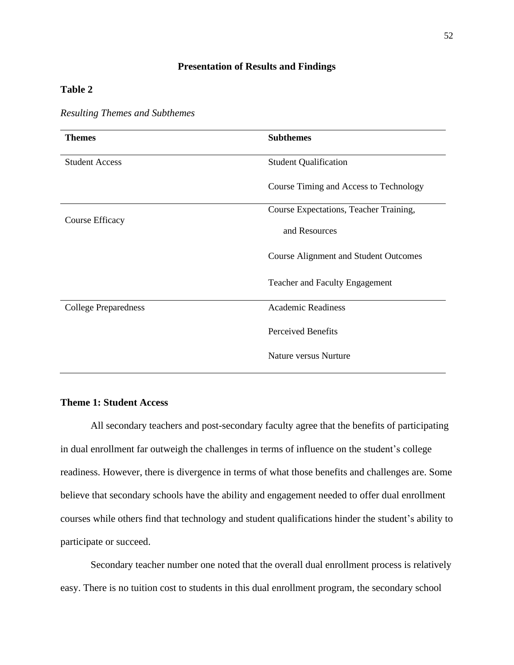# **Presentation of Results and Findings**

# **Table 2**

| <b>Themes</b>               | <b>Subthemes</b>                             |  |
|-----------------------------|----------------------------------------------|--|
| <b>Student Access</b>       | <b>Student Qualification</b>                 |  |
|                             | Course Timing and Access to Technology       |  |
|                             | Course Expectations, Teacher Training,       |  |
| Course Efficacy             | and Resources                                |  |
|                             | <b>Course Alignment and Student Outcomes</b> |  |
|                             | <b>Teacher and Faculty Engagement</b>        |  |
| <b>College Preparedness</b> | <b>Academic Readiness</b>                    |  |
|                             | <b>Perceived Benefits</b>                    |  |
|                             | Nature versus Nurture                        |  |

# *Resulting Themes and Subthemes*

# **Theme 1: Student Access**

All secondary teachers and post-secondary faculty agree that the benefits of participating in dual enrollment far outweigh the challenges in terms of influence on the student's college readiness. However, there is divergence in terms of what those benefits and challenges are. Some believe that secondary schools have the ability and engagement needed to offer dual enrollment courses while others find that technology and student qualifications hinder the student's ability to participate or succeed.

Secondary teacher number one noted that the overall dual enrollment process is relatively easy. There is no tuition cost to students in this dual enrollment program, the secondary school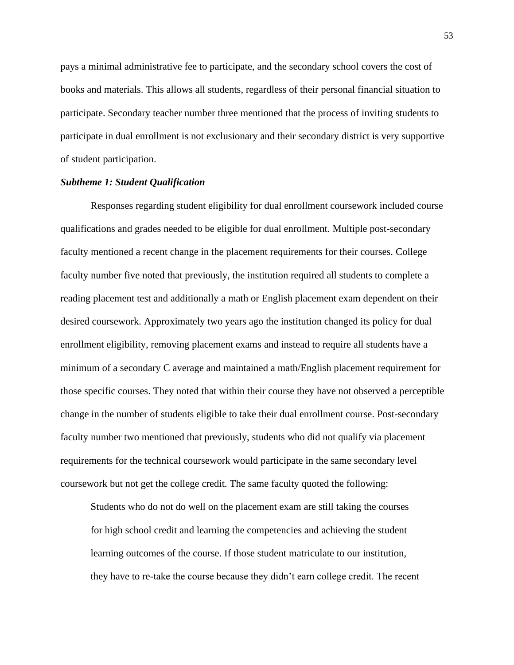pays a minimal administrative fee to participate, and the secondary school covers the cost of books and materials. This allows all students, regardless of their personal financial situation to participate. Secondary teacher number three mentioned that the process of inviting students to participate in dual enrollment is not exclusionary and their secondary district is very supportive of student participation.

## *Subtheme 1: Student Qualification*

Responses regarding student eligibility for dual enrollment coursework included course qualifications and grades needed to be eligible for dual enrollment. Multiple post-secondary faculty mentioned a recent change in the placement requirements for their courses. College faculty number five noted that previously, the institution required all students to complete a reading placement test and additionally a math or English placement exam dependent on their desired coursework. Approximately two years ago the institution changed its policy for dual enrollment eligibility, removing placement exams and instead to require all students have a minimum of a secondary C average and maintained a math/English placement requirement for those specific courses. They noted that within their course they have not observed a perceptible change in the number of students eligible to take their dual enrollment course. Post-secondary faculty number two mentioned that previously, students who did not qualify via placement requirements for the technical coursework would participate in the same secondary level coursework but not get the college credit. The same faculty quoted the following:

Students who do not do well on the placement exam are still taking the courses for high school credit and learning the competencies and achieving the student learning outcomes of the course. If those student matriculate to our institution, they have to re-take the course because they didn't earn college credit. The recent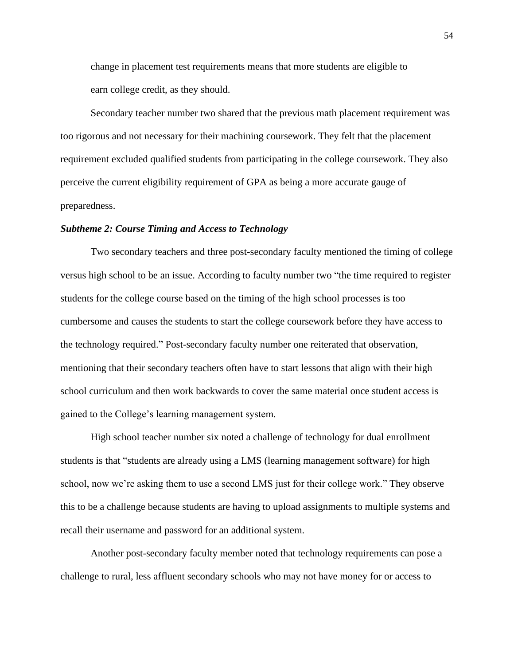change in placement test requirements means that more students are eligible to earn college credit, as they should.

 Secondary teacher number two shared that the previous math placement requirement was too rigorous and not necessary for their machining coursework. They felt that the placement requirement excluded qualified students from participating in the college coursework. They also perceive the current eligibility requirement of GPA as being a more accurate gauge of preparedness.

## *Subtheme 2: Course Timing and Access to Technology*

Two secondary teachers and three post-secondary faculty mentioned the timing of college versus high school to be an issue. According to faculty number two "the time required to register students for the college course based on the timing of the high school processes is too cumbersome and causes the students to start the college coursework before they have access to the technology required." Post-secondary faculty number one reiterated that observation, mentioning that their secondary teachers often have to start lessons that align with their high school curriculum and then work backwards to cover the same material once student access is gained to the College's learning management system.

High school teacher number six noted a challenge of technology for dual enrollment students is that "students are already using a LMS (learning management software) for high school, now we're asking them to use a second LMS just for their college work." They observe this to be a challenge because students are having to upload assignments to multiple systems and recall their username and password for an additional system.

Another post-secondary faculty member noted that technology requirements can pose a challenge to rural, less affluent secondary schools who may not have money for or access to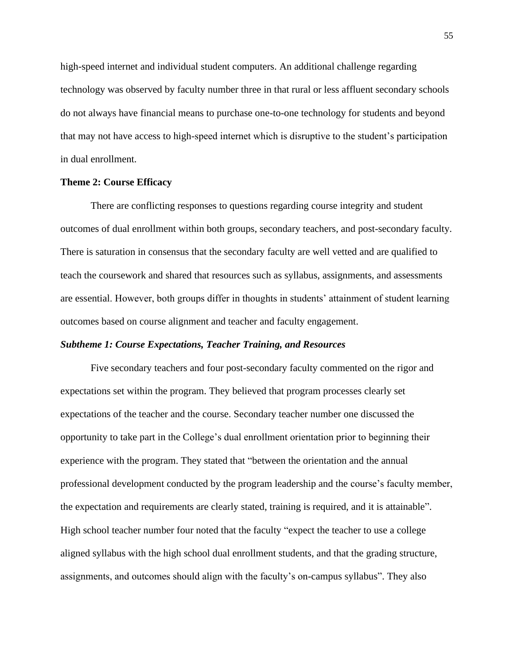high-speed internet and individual student computers. An additional challenge regarding technology was observed by faculty number three in that rural or less affluent secondary schools do not always have financial means to purchase one-to-one technology for students and beyond that may not have access to high-speed internet which is disruptive to the student's participation in dual enrollment.

## **Theme 2: Course Efficacy**

There are conflicting responses to questions regarding course integrity and student outcomes of dual enrollment within both groups, secondary teachers, and post-secondary faculty. There is saturation in consensus that the secondary faculty are well vetted and are qualified to teach the coursework and shared that resources such as syllabus, assignments, and assessments are essential. However, both groups differ in thoughts in students' attainment of student learning outcomes based on course alignment and teacher and faculty engagement.

## *Subtheme 1: Course Expectations, Teacher Training, and Resources*

Five secondary teachers and four post-secondary faculty commented on the rigor and expectations set within the program. They believed that program processes clearly set expectations of the teacher and the course. Secondary teacher number one discussed the opportunity to take part in the College's dual enrollment orientation prior to beginning their experience with the program. They stated that "between the orientation and the annual professional development conducted by the program leadership and the course's faculty member, the expectation and requirements are clearly stated, training is required, and it is attainable". High school teacher number four noted that the faculty "expect the teacher to use a college aligned syllabus with the high school dual enrollment students, and that the grading structure, assignments, and outcomes should align with the faculty's on-campus syllabus". They also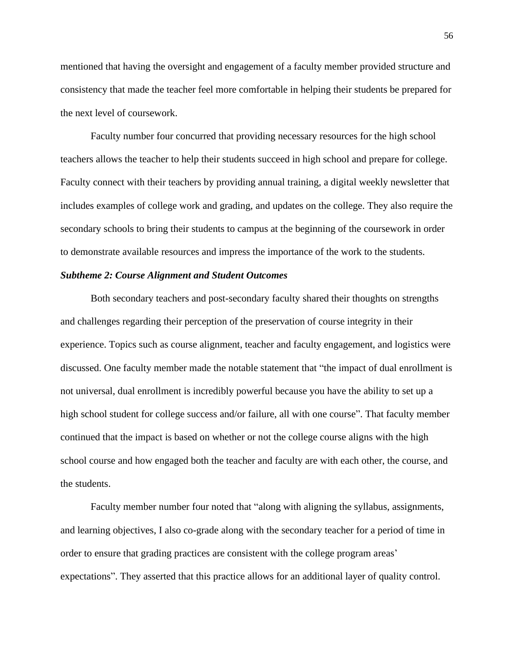mentioned that having the oversight and engagement of a faculty member provided structure and consistency that made the teacher feel more comfortable in helping their students be prepared for the next level of coursework.

Faculty number four concurred that providing necessary resources for the high school teachers allows the teacher to help their students succeed in high school and prepare for college. Faculty connect with their teachers by providing annual training, a digital weekly newsletter that includes examples of college work and grading, and updates on the college. They also require the secondary schools to bring their students to campus at the beginning of the coursework in order to demonstrate available resources and impress the importance of the work to the students.

## *Subtheme 2: Course Alignment and Student Outcomes*

Both secondary teachers and post-secondary faculty shared their thoughts on strengths and challenges regarding their perception of the preservation of course integrity in their experience. Topics such as course alignment, teacher and faculty engagement, and logistics were discussed. One faculty member made the notable statement that "the impact of dual enrollment is not universal, dual enrollment is incredibly powerful because you have the ability to set up a high school student for college success and/or failure, all with one course". That faculty member continued that the impact is based on whether or not the college course aligns with the high school course and how engaged both the teacher and faculty are with each other, the course, and the students.

Faculty member number four noted that "along with aligning the syllabus, assignments, and learning objectives, I also co-grade along with the secondary teacher for a period of time in order to ensure that grading practices are consistent with the college program areas' expectations". They asserted that this practice allows for an additional layer of quality control.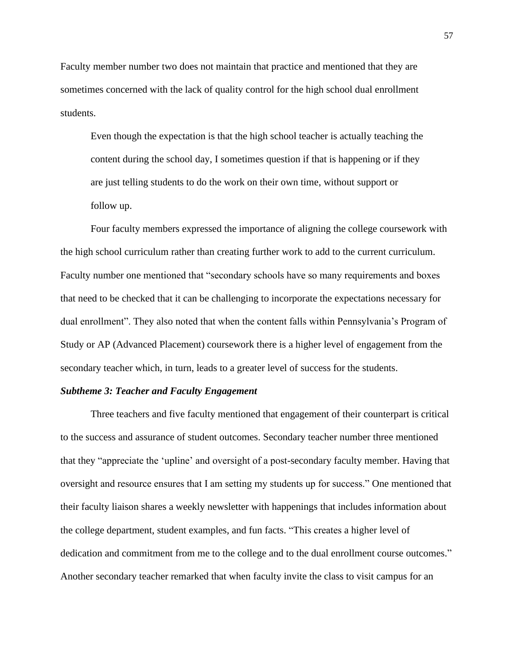Faculty member number two does not maintain that practice and mentioned that they are sometimes concerned with the lack of quality control for the high school dual enrollment students.

Even though the expectation is that the high school teacher is actually teaching the content during the school day, I sometimes question if that is happening or if they are just telling students to do the work on their own time, without support or follow up.

 Four faculty members expressed the importance of aligning the college coursework with the high school curriculum rather than creating further work to add to the current curriculum. Faculty number one mentioned that "secondary schools have so many requirements and boxes that need to be checked that it can be challenging to incorporate the expectations necessary for dual enrollment". They also noted that when the content falls within Pennsylvania's Program of Study or AP (Advanced Placement) coursework there is a higher level of engagement from the secondary teacher which, in turn, leads to a greater level of success for the students.

#### *Subtheme 3: Teacher and Faculty Engagement*

Three teachers and five faculty mentioned that engagement of their counterpart is critical to the success and assurance of student outcomes. Secondary teacher number three mentioned that they "appreciate the 'upline' and oversight of a post-secondary faculty member. Having that oversight and resource ensures that I am setting my students up for success." One mentioned that their faculty liaison shares a weekly newsletter with happenings that includes information about the college department, student examples, and fun facts. "This creates a higher level of dedication and commitment from me to the college and to the dual enrollment course outcomes." Another secondary teacher remarked that when faculty invite the class to visit campus for an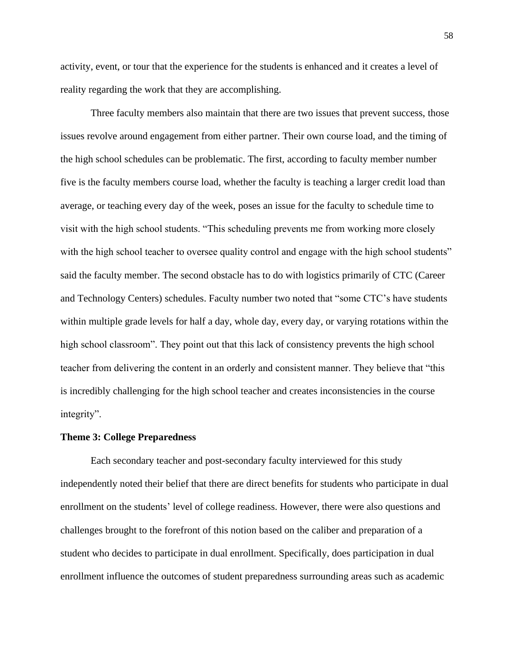activity, event, or tour that the experience for the students is enhanced and it creates a level of reality regarding the work that they are accomplishing.

Three faculty members also maintain that there are two issues that prevent success, those issues revolve around engagement from either partner. Their own course load, and the timing of the high school schedules can be problematic. The first, according to faculty member number five is the faculty members course load, whether the faculty is teaching a larger credit load than average, or teaching every day of the week, poses an issue for the faculty to schedule time to visit with the high school students. "This scheduling prevents me from working more closely with the high school teacher to oversee quality control and engage with the high school students" said the faculty member. The second obstacle has to do with logistics primarily of CTC (Career and Technology Centers) schedules. Faculty number two noted that "some CTC's have students within multiple grade levels for half a day, whole day, every day, or varying rotations within the high school classroom". They point out that this lack of consistency prevents the high school teacher from delivering the content in an orderly and consistent manner. They believe that "this is incredibly challenging for the high school teacher and creates inconsistencies in the course integrity".

### **Theme 3: College Preparedness**

Each secondary teacher and post-secondary faculty interviewed for this study independently noted their belief that there are direct benefits for students who participate in dual enrollment on the students' level of college readiness. However, there were also questions and challenges brought to the forefront of this notion based on the caliber and preparation of a student who decides to participate in dual enrollment. Specifically, does participation in dual enrollment influence the outcomes of student preparedness surrounding areas such as academic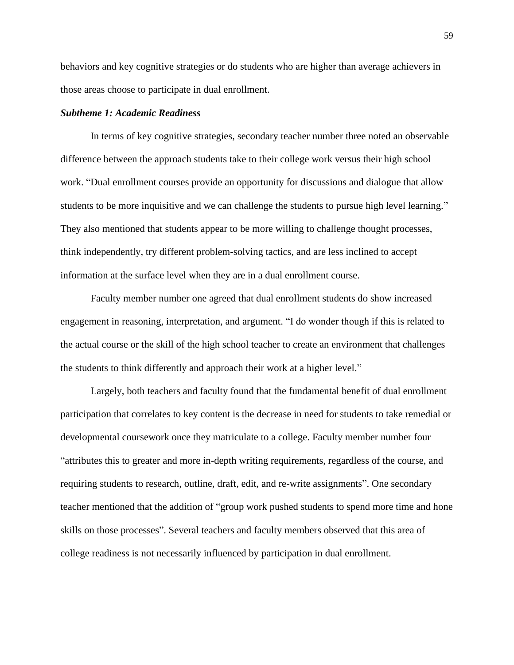behaviors and key cognitive strategies or do students who are higher than average achievers in those areas choose to participate in dual enrollment.

## *Subtheme 1: Academic Readiness*

In terms of key cognitive strategies, secondary teacher number three noted an observable difference between the approach students take to their college work versus their high school work. "Dual enrollment courses provide an opportunity for discussions and dialogue that allow students to be more inquisitive and we can challenge the students to pursue high level learning." They also mentioned that students appear to be more willing to challenge thought processes, think independently, try different problem-solving tactics, and are less inclined to accept information at the surface level when they are in a dual enrollment course.

Faculty member number one agreed that dual enrollment students do show increased engagement in reasoning, interpretation, and argument. "I do wonder though if this is related to the actual course or the skill of the high school teacher to create an environment that challenges the students to think differently and approach their work at a higher level."

Largely, both teachers and faculty found that the fundamental benefit of dual enrollment participation that correlates to key content is the decrease in need for students to take remedial or developmental coursework once they matriculate to a college. Faculty member number four "attributes this to greater and more in-depth writing requirements, regardless of the course, and requiring students to research, outline, draft, edit, and re-write assignments". One secondary teacher mentioned that the addition of "group work pushed students to spend more time and hone skills on those processes". Several teachers and faculty members observed that this area of college readiness is not necessarily influenced by participation in dual enrollment.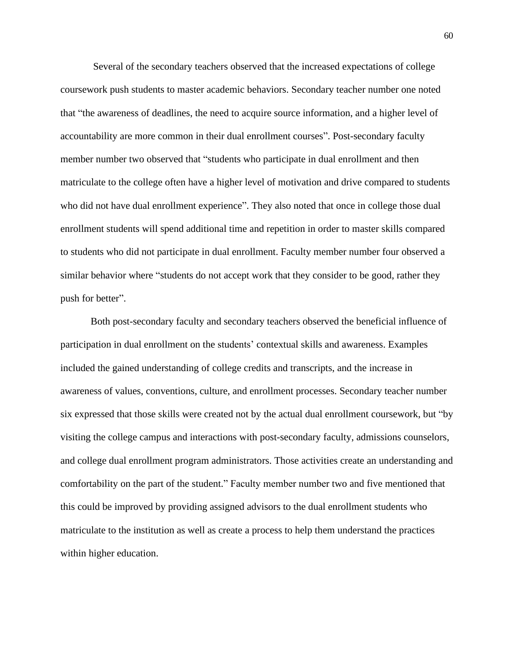Several of the secondary teachers observed that the increased expectations of college coursework push students to master academic behaviors. Secondary teacher number one noted that "the awareness of deadlines, the need to acquire source information, and a higher level of accountability are more common in their dual enrollment courses". Post-secondary faculty member number two observed that "students who participate in dual enrollment and then matriculate to the college often have a higher level of motivation and drive compared to students who did not have dual enrollment experience". They also noted that once in college those dual enrollment students will spend additional time and repetition in order to master skills compared to students who did not participate in dual enrollment. Faculty member number four observed a similar behavior where "students do not accept work that they consider to be good, rather they push for better".

Both post-secondary faculty and secondary teachers observed the beneficial influence of participation in dual enrollment on the students' contextual skills and awareness. Examples included the gained understanding of college credits and transcripts, and the increase in awareness of values, conventions, culture, and enrollment processes. Secondary teacher number six expressed that those skills were created not by the actual dual enrollment coursework, but "by visiting the college campus and interactions with post-secondary faculty, admissions counselors, and college dual enrollment program administrators. Those activities create an understanding and comfortability on the part of the student." Faculty member number two and five mentioned that this could be improved by providing assigned advisors to the dual enrollment students who matriculate to the institution as well as create a process to help them understand the practices within higher education.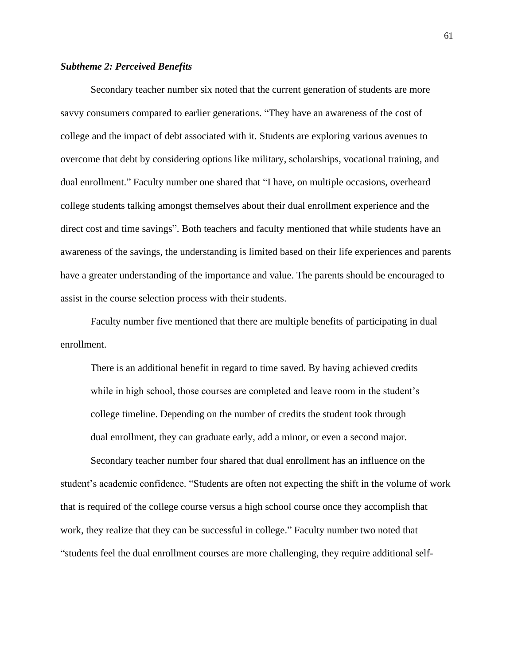### *Subtheme 2: Perceived Benefits*

Secondary teacher number six noted that the current generation of students are more savvy consumers compared to earlier generations. "They have an awareness of the cost of college and the impact of debt associated with it. Students are exploring various avenues to overcome that debt by considering options like military, scholarships, vocational training, and dual enrollment." Faculty number one shared that "I have, on multiple occasions, overheard college students talking amongst themselves about their dual enrollment experience and the direct cost and time savings". Both teachers and faculty mentioned that while students have an awareness of the savings, the understanding is limited based on their life experiences and parents have a greater understanding of the importance and value. The parents should be encouraged to assist in the course selection process with their students.

Faculty number five mentioned that there are multiple benefits of participating in dual enrollment.

There is an additional benefit in regard to time saved. By having achieved credits while in high school, those courses are completed and leave room in the student's college timeline. Depending on the number of credits the student took through dual enrollment, they can graduate early, add a minor, or even a second major.

 Secondary teacher number four shared that dual enrollment has an influence on the student's academic confidence. "Students are often not expecting the shift in the volume of work that is required of the college course versus a high school course once they accomplish that work, they realize that they can be successful in college." Faculty number two noted that "students feel the dual enrollment courses are more challenging, they require additional self-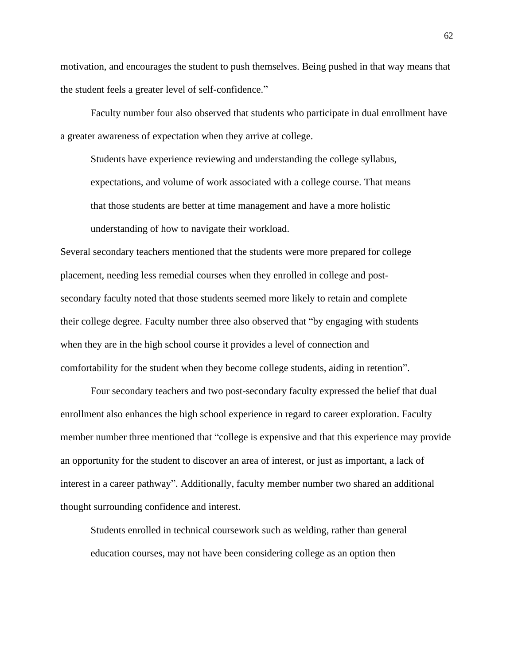motivation, and encourages the student to push themselves. Being pushed in that way means that the student feels a greater level of self-confidence."

Faculty number four also observed that students who participate in dual enrollment have a greater awareness of expectation when they arrive at college.

Students have experience reviewing and understanding the college syllabus, expectations, and volume of work associated with a college course. That means that those students are better at time management and have a more holistic understanding of how to navigate their workload.

Several secondary teachers mentioned that the students were more prepared for college placement, needing less remedial courses when they enrolled in college and postsecondary faculty noted that those students seemed more likely to retain and complete their college degree. Faculty number three also observed that "by engaging with students when they are in the high school course it provides a level of connection and comfortability for the student when they become college students, aiding in retention".

Four secondary teachers and two post-secondary faculty expressed the belief that dual enrollment also enhances the high school experience in regard to career exploration. Faculty member number three mentioned that "college is expensive and that this experience may provide an opportunity for the student to discover an area of interest, or just as important, a lack of interest in a career pathway". Additionally, faculty member number two shared an additional thought surrounding confidence and interest.

Students enrolled in technical coursework such as welding, rather than general education courses, may not have been considering college as an option then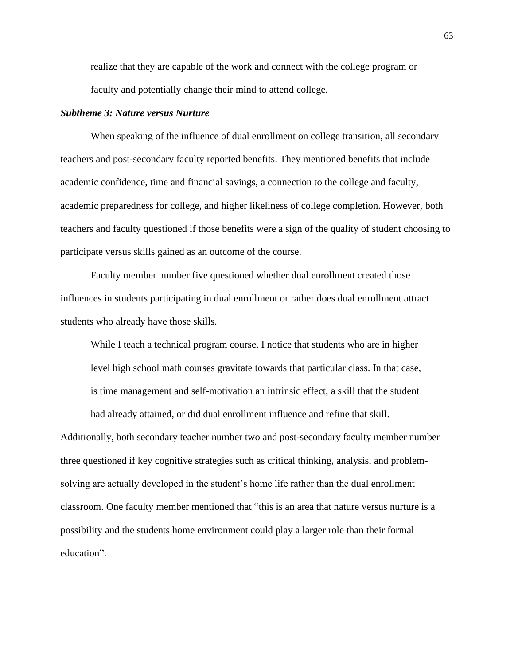realize that they are capable of the work and connect with the college program or faculty and potentially change their mind to attend college.

#### *Subtheme 3: Nature versus Nurture*

When speaking of the influence of dual enrollment on college transition, all secondary teachers and post-secondary faculty reported benefits. They mentioned benefits that include academic confidence, time and financial savings, a connection to the college and faculty, academic preparedness for college, and higher likeliness of college completion. However, both teachers and faculty questioned if those benefits were a sign of the quality of student choosing to participate versus skills gained as an outcome of the course.

Faculty member number five questioned whether dual enrollment created those influences in students participating in dual enrollment or rather does dual enrollment attract students who already have those skills.

While I teach a technical program course, I notice that students who are in higher level high school math courses gravitate towards that particular class. In that case, is time management and self-motivation an intrinsic effect, a skill that the student had already attained, or did dual enrollment influence and refine that skill.

Additionally, both secondary teacher number two and post-secondary faculty member number three questioned if key cognitive strategies such as critical thinking, analysis, and problemsolving are actually developed in the student's home life rather than the dual enrollment classroom. One faculty member mentioned that "this is an area that nature versus nurture is a possibility and the students home environment could play a larger role than their formal education".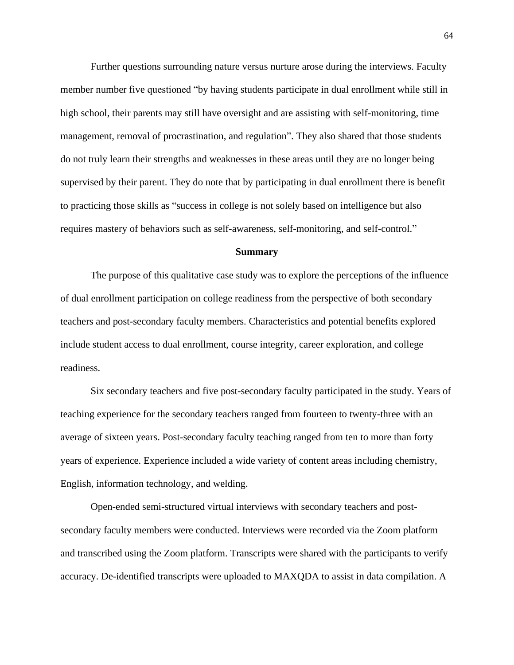Further questions surrounding nature versus nurture arose during the interviews. Faculty member number five questioned "by having students participate in dual enrollment while still in high school, their parents may still have oversight and are assisting with self-monitoring, time management, removal of procrastination, and regulation". They also shared that those students do not truly learn their strengths and weaknesses in these areas until they are no longer being supervised by their parent. They do note that by participating in dual enrollment there is benefit to practicing those skills as "success in college is not solely based on intelligence but also requires mastery of behaviors such as self-awareness, self-monitoring, and self-control."

#### **Summary**

The purpose of this qualitative case study was to explore the perceptions of the influence of dual enrollment participation on college readiness from the perspective of both secondary teachers and post-secondary faculty members. Characteristics and potential benefits explored include student access to dual enrollment, course integrity, career exploration, and college readiness.

Six secondary teachers and five post-secondary faculty participated in the study. Years of teaching experience for the secondary teachers ranged from fourteen to twenty-three with an average of sixteen years. Post-secondary faculty teaching ranged from ten to more than forty years of experience. Experience included a wide variety of content areas including chemistry, English, information technology, and welding.

Open-ended semi-structured virtual interviews with secondary teachers and postsecondary faculty members were conducted. Interviews were recorded via the Zoom platform and transcribed using the Zoom platform. Transcripts were shared with the participants to verify accuracy. De-identified transcripts were uploaded to MAXQDA to assist in data compilation. A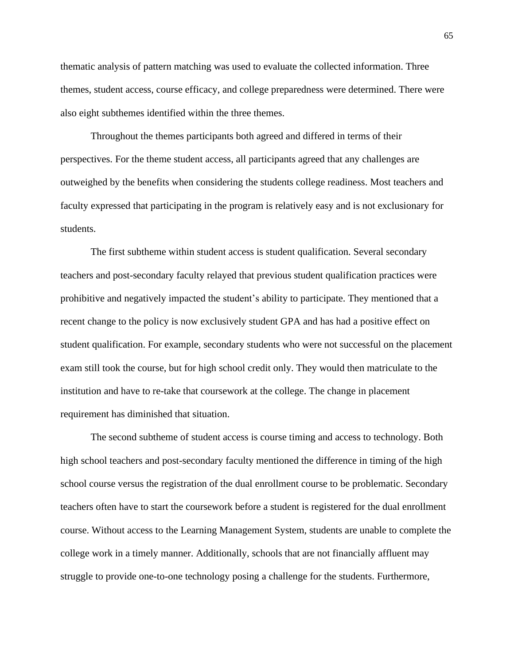thematic analysis of pattern matching was used to evaluate the collected information. Three themes, student access, course efficacy, and college preparedness were determined. There were also eight subthemes identified within the three themes.

Throughout the themes participants both agreed and differed in terms of their perspectives. For the theme student access, all participants agreed that any challenges are outweighed by the benefits when considering the students college readiness. Most teachers and faculty expressed that participating in the program is relatively easy and is not exclusionary for students.

The first subtheme within student access is student qualification. Several secondary teachers and post-secondary faculty relayed that previous student qualification practices were prohibitive and negatively impacted the student's ability to participate. They mentioned that a recent change to the policy is now exclusively student GPA and has had a positive effect on student qualification. For example, secondary students who were not successful on the placement exam still took the course, but for high school credit only. They would then matriculate to the institution and have to re-take that coursework at the college. The change in placement requirement has diminished that situation.

The second subtheme of student access is course timing and access to technology. Both high school teachers and post-secondary faculty mentioned the difference in timing of the high school course versus the registration of the dual enrollment course to be problematic. Secondary teachers often have to start the coursework before a student is registered for the dual enrollment course. Without access to the Learning Management System, students are unable to complete the college work in a timely manner. Additionally, schools that are not financially affluent may struggle to provide one-to-one technology posing a challenge for the students. Furthermore,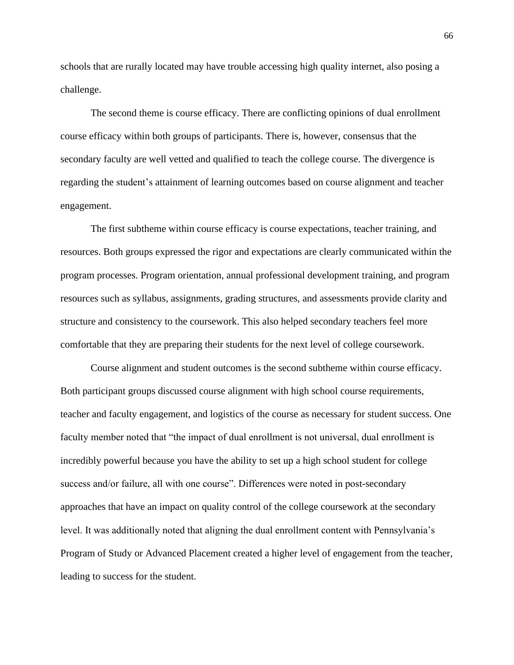schools that are rurally located may have trouble accessing high quality internet, also posing a challenge.

The second theme is course efficacy. There are conflicting opinions of dual enrollment course efficacy within both groups of participants. There is, however, consensus that the secondary faculty are well vetted and qualified to teach the college course. The divergence is regarding the student's attainment of learning outcomes based on course alignment and teacher engagement.

The first subtheme within course efficacy is course expectations, teacher training, and resources. Both groups expressed the rigor and expectations are clearly communicated within the program processes. Program orientation, annual professional development training, and program resources such as syllabus, assignments, grading structures, and assessments provide clarity and structure and consistency to the coursework. This also helped secondary teachers feel more comfortable that they are preparing their students for the next level of college coursework.

Course alignment and student outcomes is the second subtheme within course efficacy. Both participant groups discussed course alignment with high school course requirements, teacher and faculty engagement, and logistics of the course as necessary for student success. One faculty member noted that "the impact of dual enrollment is not universal, dual enrollment is incredibly powerful because you have the ability to set up a high school student for college success and/or failure, all with one course". Differences were noted in post-secondary approaches that have an impact on quality control of the college coursework at the secondary level. It was additionally noted that aligning the dual enrollment content with Pennsylvania's Program of Study or Advanced Placement created a higher level of engagement from the teacher, leading to success for the student.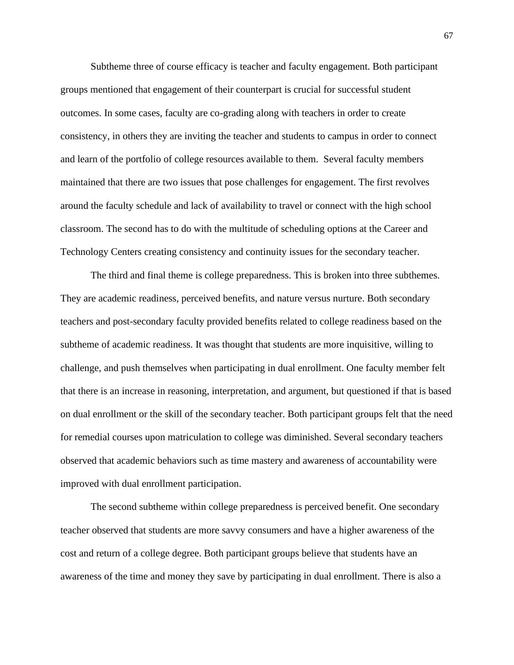Subtheme three of course efficacy is teacher and faculty engagement. Both participant groups mentioned that engagement of their counterpart is crucial for successful student outcomes. In some cases, faculty are co-grading along with teachers in order to create consistency, in others they are inviting the teacher and students to campus in order to connect and learn of the portfolio of college resources available to them. Several faculty members maintained that there are two issues that pose challenges for engagement. The first revolves around the faculty schedule and lack of availability to travel or connect with the high school classroom. The second has to do with the multitude of scheduling options at the Career and Technology Centers creating consistency and continuity issues for the secondary teacher.

The third and final theme is college preparedness. This is broken into three subthemes. They are academic readiness, perceived benefits, and nature versus nurture. Both secondary teachers and post-secondary faculty provided benefits related to college readiness based on the subtheme of academic readiness. It was thought that students are more inquisitive, willing to challenge, and push themselves when participating in dual enrollment. One faculty member felt that there is an increase in reasoning, interpretation, and argument, but questioned if that is based on dual enrollment or the skill of the secondary teacher. Both participant groups felt that the need for remedial courses upon matriculation to college was diminished. Several secondary teachers observed that academic behaviors such as time mastery and awareness of accountability were improved with dual enrollment participation.

The second subtheme within college preparedness is perceived benefit. One secondary teacher observed that students are more savvy consumers and have a higher awareness of the cost and return of a college degree. Both participant groups believe that students have an awareness of the time and money they save by participating in dual enrollment. There is also a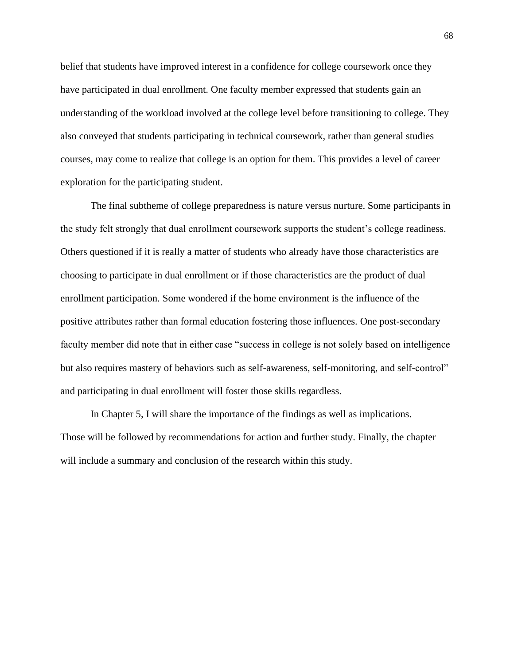belief that students have improved interest in a confidence for college coursework once they have participated in dual enrollment. One faculty member expressed that students gain an understanding of the workload involved at the college level before transitioning to college. They also conveyed that students participating in technical coursework, rather than general studies courses, may come to realize that college is an option for them. This provides a level of career exploration for the participating student.

The final subtheme of college preparedness is nature versus nurture. Some participants in the study felt strongly that dual enrollment coursework supports the student's college readiness. Others questioned if it is really a matter of students who already have those characteristics are choosing to participate in dual enrollment or if those characteristics are the product of dual enrollment participation. Some wondered if the home environment is the influence of the positive attributes rather than formal education fostering those influences. One post-secondary faculty member did note that in either case "success in college is not solely based on intelligence but also requires mastery of behaviors such as self-awareness, self-monitoring, and self-control" and participating in dual enrollment will foster those skills regardless.

In Chapter 5, I will share the importance of the findings as well as implications. Those will be followed by recommendations for action and further study. Finally, the chapter will include a summary and conclusion of the research within this study.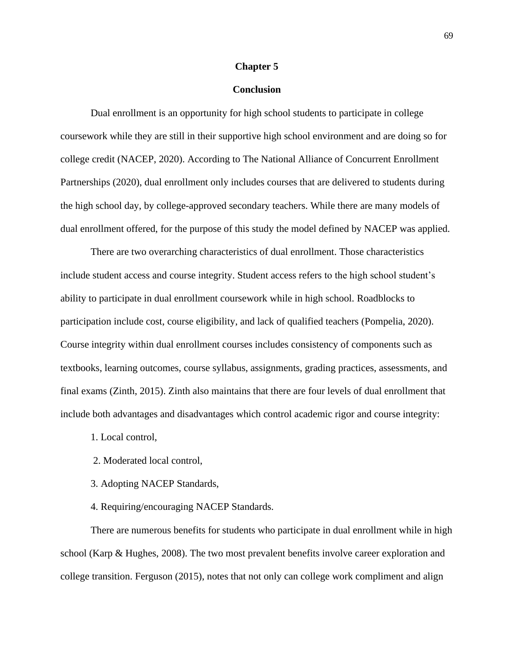## **Chapter 5**

## **Conclusion**

Dual enrollment is an opportunity for high school students to participate in college coursework while they are still in their supportive high school environment and are doing so for college credit (NACEP, 2020). According to The National Alliance of Concurrent Enrollment Partnerships (2020), dual enrollment only includes courses that are delivered to students during the high school day, by college-approved secondary teachers. While there are many models of dual enrollment offered, for the purpose of this study the model defined by NACEP was applied.

There are two overarching characteristics of dual enrollment. Those characteristics include student access and course integrity. Student access refers to the high school student's ability to participate in dual enrollment coursework while in high school. Roadblocks to participation include cost, course eligibility, and lack of qualified teachers (Pompelia, 2020). Course integrity within dual enrollment courses includes consistency of components such as textbooks, learning outcomes, course syllabus, assignments, grading practices, assessments, and final exams (Zinth, 2015). Zinth also maintains that there are four levels of dual enrollment that include both advantages and disadvantages which control academic rigor and course integrity:

- 1. Local control,
- 2. Moderated local control,
- 3. Adopting NACEP Standards,
- 4. Requiring/encouraging NACEP Standards.

There are numerous benefits for students who participate in dual enrollment while in high school (Karp & Hughes, 2008). The two most prevalent benefits involve career exploration and college transition. Ferguson (2015), notes that not only can college work compliment and align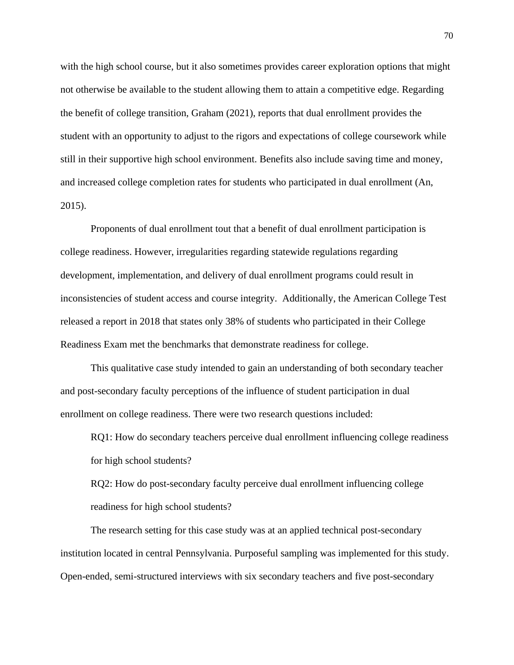with the high school course, but it also sometimes provides career exploration options that might not otherwise be available to the student allowing them to attain a competitive edge. Regarding the benefit of college transition, Graham (2021), reports that dual enrollment provides the student with an opportunity to adjust to the rigors and expectations of college coursework while still in their supportive high school environment. Benefits also include saving time and money, and increased college completion rates for students who participated in dual enrollment (An, 2015).

Proponents of dual enrollment tout that a benefit of dual enrollment participation is college readiness. However, irregularities regarding statewide regulations regarding development, implementation, and delivery of dual enrollment programs could result in inconsistencies of student access and course integrity. Additionally, the American College Test released a report in 2018 that states only 38% of students who participated in their College Readiness Exam met the benchmarks that demonstrate readiness for college.

This qualitative case study intended to gain an understanding of both secondary teacher and post-secondary faculty perceptions of the influence of student participation in dual enrollment on college readiness. There were two research questions included:

RQ1: How do secondary teachers perceive dual enrollment influencing college readiness for high school students?

RQ2: How do post-secondary faculty perceive dual enrollment influencing college readiness for high school students?

The research setting for this case study was at an applied technical post-secondary institution located in central Pennsylvania. Purposeful sampling was implemented for this study. Open-ended, semi-structured interviews with six secondary teachers and five post-secondary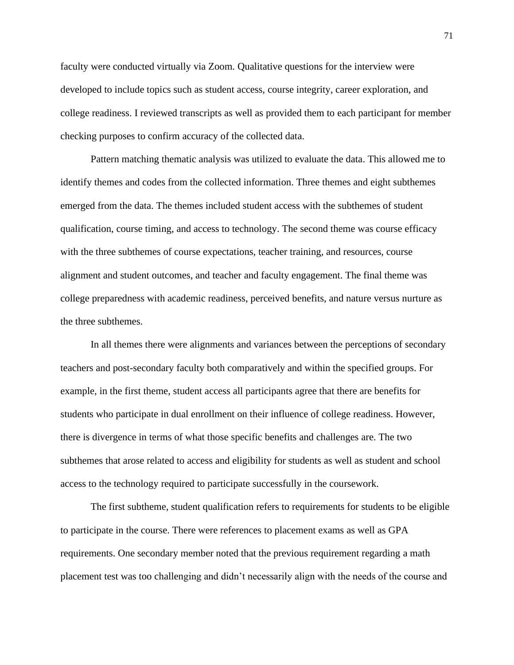faculty were conducted virtually via Zoom. Qualitative questions for the interview were developed to include topics such as student access, course integrity, career exploration, and college readiness. I reviewed transcripts as well as provided them to each participant for member checking purposes to confirm accuracy of the collected data.

Pattern matching thematic analysis was utilized to evaluate the data. This allowed me to identify themes and codes from the collected information. Three themes and eight subthemes emerged from the data. The themes included student access with the subthemes of student qualification, course timing, and access to technology. The second theme was course efficacy with the three subthemes of course expectations, teacher training, and resources, course alignment and student outcomes, and teacher and faculty engagement. The final theme was college preparedness with academic readiness, perceived benefits, and nature versus nurture as the three subthemes.

In all themes there were alignments and variances between the perceptions of secondary teachers and post-secondary faculty both comparatively and within the specified groups. For example, in the first theme, student access all participants agree that there are benefits for students who participate in dual enrollment on their influence of college readiness. However, there is divergence in terms of what those specific benefits and challenges are. The two subthemes that arose related to access and eligibility for students as well as student and school access to the technology required to participate successfully in the coursework.

The first subtheme, student qualification refers to requirements for students to be eligible to participate in the course. There were references to placement exams as well as GPA requirements. One secondary member noted that the previous requirement regarding a math placement test was too challenging and didn't necessarily align with the needs of the course and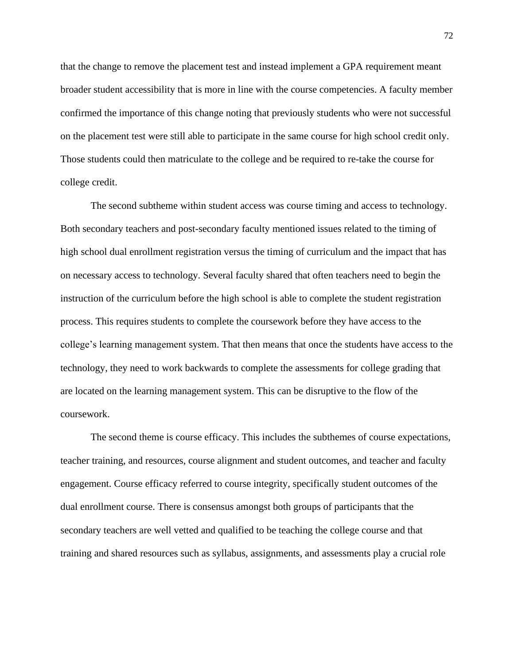that the change to remove the placement test and instead implement a GPA requirement meant broader student accessibility that is more in line with the course competencies. A faculty member confirmed the importance of this change noting that previously students who were not successful on the placement test were still able to participate in the same course for high school credit only. Those students could then matriculate to the college and be required to re-take the course for college credit.

The second subtheme within student access was course timing and access to technology. Both secondary teachers and post-secondary faculty mentioned issues related to the timing of high school dual enrollment registration versus the timing of curriculum and the impact that has on necessary access to technology. Several faculty shared that often teachers need to begin the instruction of the curriculum before the high school is able to complete the student registration process. This requires students to complete the coursework before they have access to the college's learning management system. That then means that once the students have access to the technology, they need to work backwards to complete the assessments for college grading that are located on the learning management system. This can be disruptive to the flow of the coursework.

The second theme is course efficacy. This includes the subthemes of course expectations, teacher training, and resources, course alignment and student outcomes, and teacher and faculty engagement. Course efficacy referred to course integrity, specifically student outcomes of the dual enrollment course. There is consensus amongst both groups of participants that the secondary teachers are well vetted and qualified to be teaching the college course and that training and shared resources such as syllabus, assignments, and assessments play a crucial role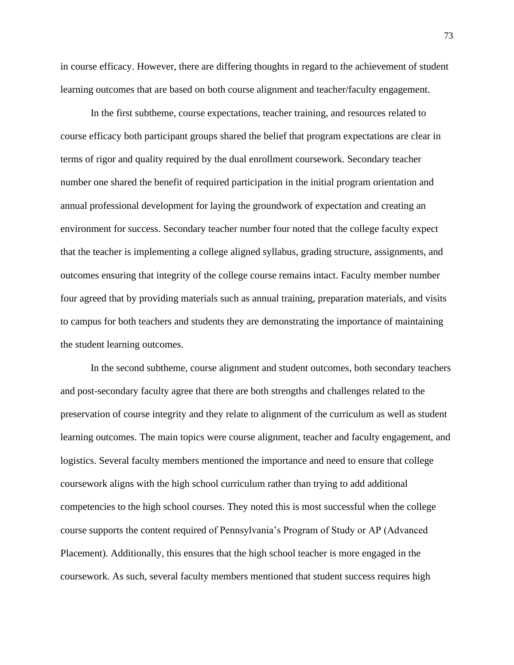in course efficacy. However, there are differing thoughts in regard to the achievement of student learning outcomes that are based on both course alignment and teacher/faculty engagement.

In the first subtheme, course expectations, teacher training, and resources related to course efficacy both participant groups shared the belief that program expectations are clear in terms of rigor and quality required by the dual enrollment coursework. Secondary teacher number one shared the benefit of required participation in the initial program orientation and annual professional development for laying the groundwork of expectation and creating an environment for success. Secondary teacher number four noted that the college faculty expect that the teacher is implementing a college aligned syllabus, grading structure, assignments, and outcomes ensuring that integrity of the college course remains intact. Faculty member number four agreed that by providing materials such as annual training, preparation materials, and visits to campus for both teachers and students they are demonstrating the importance of maintaining the student learning outcomes.

In the second subtheme, course alignment and student outcomes, both secondary teachers and post-secondary faculty agree that there are both strengths and challenges related to the preservation of course integrity and they relate to alignment of the curriculum as well as student learning outcomes. The main topics were course alignment, teacher and faculty engagement, and logistics. Several faculty members mentioned the importance and need to ensure that college coursework aligns with the high school curriculum rather than trying to add additional competencies to the high school courses. They noted this is most successful when the college course supports the content required of Pennsylvania's Program of Study or AP (Advanced Placement). Additionally, this ensures that the high school teacher is more engaged in the coursework. As such, several faculty members mentioned that student success requires high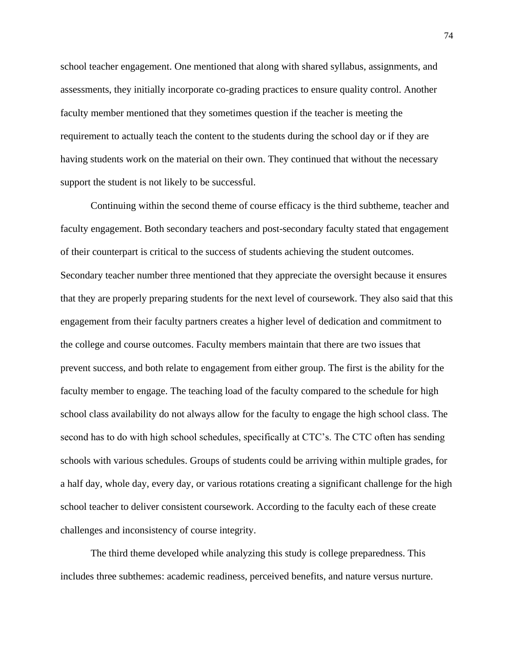school teacher engagement. One mentioned that along with shared syllabus, assignments, and assessments, they initially incorporate co-grading practices to ensure quality control. Another faculty member mentioned that they sometimes question if the teacher is meeting the requirement to actually teach the content to the students during the school day or if they are having students work on the material on their own. They continued that without the necessary support the student is not likely to be successful.

Continuing within the second theme of course efficacy is the third subtheme, teacher and faculty engagement. Both secondary teachers and post-secondary faculty stated that engagement of their counterpart is critical to the success of students achieving the student outcomes. Secondary teacher number three mentioned that they appreciate the oversight because it ensures that they are properly preparing students for the next level of coursework. They also said that this engagement from their faculty partners creates a higher level of dedication and commitment to the college and course outcomes. Faculty members maintain that there are two issues that prevent success, and both relate to engagement from either group. The first is the ability for the faculty member to engage. The teaching load of the faculty compared to the schedule for high school class availability do not always allow for the faculty to engage the high school class. The second has to do with high school schedules, specifically at CTC's. The CTC often has sending schools with various schedules. Groups of students could be arriving within multiple grades, for a half day, whole day, every day, or various rotations creating a significant challenge for the high school teacher to deliver consistent coursework. According to the faculty each of these create challenges and inconsistency of course integrity.

The third theme developed while analyzing this study is college preparedness. This includes three subthemes: academic readiness, perceived benefits, and nature versus nurture.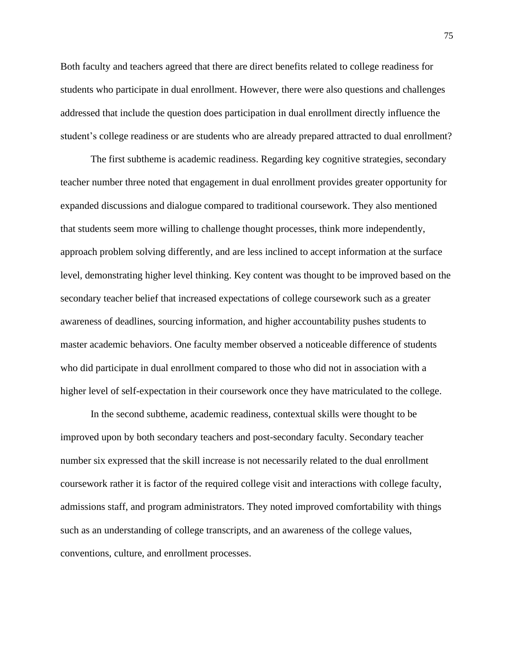Both faculty and teachers agreed that there are direct benefits related to college readiness for students who participate in dual enrollment. However, there were also questions and challenges addressed that include the question does participation in dual enrollment directly influence the student's college readiness or are students who are already prepared attracted to dual enrollment?

The first subtheme is academic readiness. Regarding key cognitive strategies, secondary teacher number three noted that engagement in dual enrollment provides greater opportunity for expanded discussions and dialogue compared to traditional coursework. They also mentioned that students seem more willing to challenge thought processes, think more independently, approach problem solving differently, and are less inclined to accept information at the surface level, demonstrating higher level thinking. Key content was thought to be improved based on the secondary teacher belief that increased expectations of college coursework such as a greater awareness of deadlines, sourcing information, and higher accountability pushes students to master academic behaviors. One faculty member observed a noticeable difference of students who did participate in dual enrollment compared to those who did not in association with a higher level of self-expectation in their coursework once they have matriculated to the college.

In the second subtheme, academic readiness, contextual skills were thought to be improved upon by both secondary teachers and post-secondary faculty. Secondary teacher number six expressed that the skill increase is not necessarily related to the dual enrollment coursework rather it is factor of the required college visit and interactions with college faculty, admissions staff, and program administrators. They noted improved comfortability with things such as an understanding of college transcripts, and an awareness of the college values, conventions, culture, and enrollment processes.

75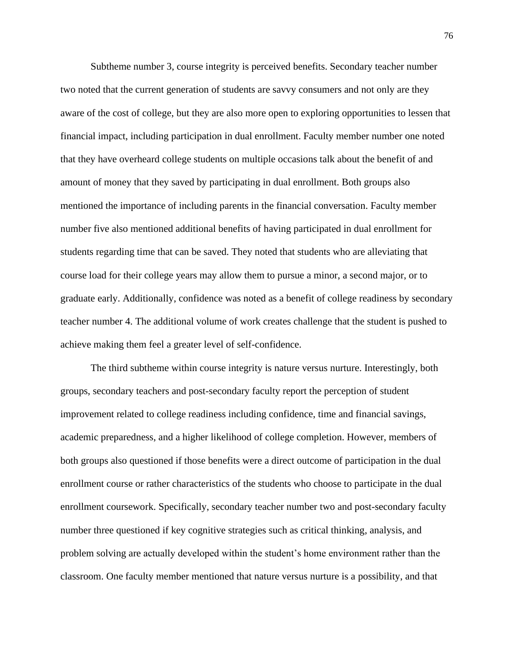Subtheme number 3, course integrity is perceived benefits. Secondary teacher number two noted that the current generation of students are savvy consumers and not only are they aware of the cost of college, but they are also more open to exploring opportunities to lessen that financial impact, including participation in dual enrollment. Faculty member number one noted that they have overheard college students on multiple occasions talk about the benefit of and amount of money that they saved by participating in dual enrollment. Both groups also mentioned the importance of including parents in the financial conversation. Faculty member number five also mentioned additional benefits of having participated in dual enrollment for students regarding time that can be saved. They noted that students who are alleviating that course load for their college years may allow them to pursue a minor, a second major, or to graduate early. Additionally, confidence was noted as a benefit of college readiness by secondary teacher number 4. The additional volume of work creates challenge that the student is pushed to achieve making them feel a greater level of self-confidence.

The third subtheme within course integrity is nature versus nurture. Interestingly, both groups, secondary teachers and post-secondary faculty report the perception of student improvement related to college readiness including confidence, time and financial savings, academic preparedness, and a higher likelihood of college completion. However, members of both groups also questioned if those benefits were a direct outcome of participation in the dual enrollment course or rather characteristics of the students who choose to participate in the dual enrollment coursework. Specifically, secondary teacher number two and post-secondary faculty number three questioned if key cognitive strategies such as critical thinking, analysis, and problem solving are actually developed within the student's home environment rather than the classroom. One faculty member mentioned that nature versus nurture is a possibility, and that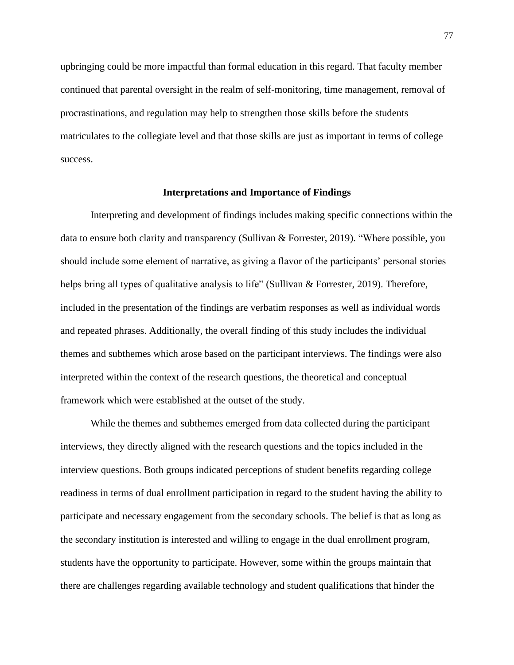upbringing could be more impactful than formal education in this regard. That faculty member continued that parental oversight in the realm of self-monitoring, time management, removal of procrastinations, and regulation may help to strengthen those skills before the students matriculates to the collegiate level and that those skills are just as important in terms of college success.

### **Interpretations and Importance of Findings**

Interpreting and development of findings includes making specific connections within the data to ensure both clarity and transparency (Sullivan & Forrester, 2019). "Where possible, you should include some element of narrative, as giving a flavor of the participants' personal stories helps bring all types of qualitative analysis to life" (Sullivan & Forrester, 2019). Therefore, included in the presentation of the findings are verbatim responses as well as individual words and repeated phrases. Additionally, the overall finding of this study includes the individual themes and subthemes which arose based on the participant interviews. The findings were also interpreted within the context of the research questions, the theoretical and conceptual framework which were established at the outset of the study.

While the themes and subthemes emerged from data collected during the participant interviews, they directly aligned with the research questions and the topics included in the interview questions. Both groups indicated perceptions of student benefits regarding college readiness in terms of dual enrollment participation in regard to the student having the ability to participate and necessary engagement from the secondary schools. The belief is that as long as the secondary institution is interested and willing to engage in the dual enrollment program, students have the opportunity to participate. However, some within the groups maintain that there are challenges regarding available technology and student qualifications that hinder the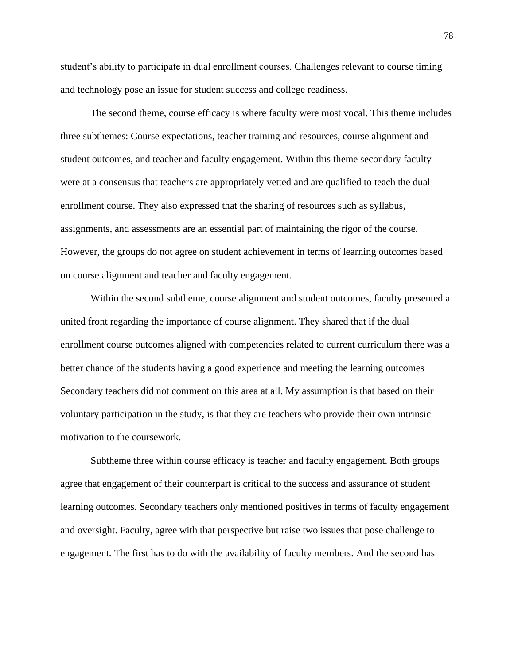student's ability to participate in dual enrollment courses. Challenges relevant to course timing and technology pose an issue for student success and college readiness.

The second theme, course efficacy is where faculty were most vocal. This theme includes three subthemes: Course expectations, teacher training and resources, course alignment and student outcomes, and teacher and faculty engagement. Within this theme secondary faculty were at a consensus that teachers are appropriately vetted and are qualified to teach the dual enrollment course. They also expressed that the sharing of resources such as syllabus, assignments, and assessments are an essential part of maintaining the rigor of the course. However, the groups do not agree on student achievement in terms of learning outcomes based on course alignment and teacher and faculty engagement.

Within the second subtheme, course alignment and student outcomes, faculty presented a united front regarding the importance of course alignment. They shared that if the dual enrollment course outcomes aligned with competencies related to current curriculum there was a better chance of the students having a good experience and meeting the learning outcomes Secondary teachers did not comment on this area at all. My assumption is that based on their voluntary participation in the study, is that they are teachers who provide their own intrinsic motivation to the coursework.

Subtheme three within course efficacy is teacher and faculty engagement. Both groups agree that engagement of their counterpart is critical to the success and assurance of student learning outcomes. Secondary teachers only mentioned positives in terms of faculty engagement and oversight. Faculty, agree with that perspective but raise two issues that pose challenge to engagement. The first has to do with the availability of faculty members. And the second has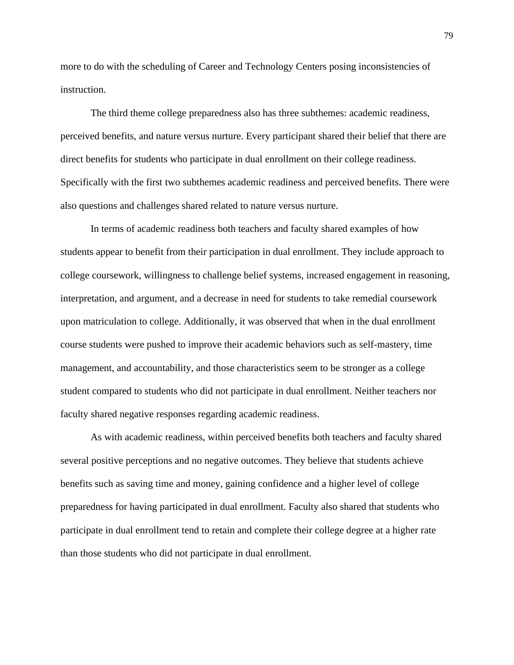more to do with the scheduling of Career and Technology Centers posing inconsistencies of instruction.

The third theme college preparedness also has three subthemes: academic readiness, perceived benefits, and nature versus nurture. Every participant shared their belief that there are direct benefits for students who participate in dual enrollment on their college readiness. Specifically with the first two subthemes academic readiness and perceived benefits. There were also questions and challenges shared related to nature versus nurture.

In terms of academic readiness both teachers and faculty shared examples of how students appear to benefit from their participation in dual enrollment. They include approach to college coursework, willingness to challenge belief systems, increased engagement in reasoning, interpretation, and argument, and a decrease in need for students to take remedial coursework upon matriculation to college. Additionally, it was observed that when in the dual enrollment course students were pushed to improve their academic behaviors such as self-mastery, time management, and accountability, and those characteristics seem to be stronger as a college student compared to students who did not participate in dual enrollment. Neither teachers nor faculty shared negative responses regarding academic readiness.

As with academic readiness, within perceived benefits both teachers and faculty shared several positive perceptions and no negative outcomes. They believe that students achieve benefits such as saving time and money, gaining confidence and a higher level of college preparedness for having participated in dual enrollment. Faculty also shared that students who participate in dual enrollment tend to retain and complete their college degree at a higher rate than those students who did not participate in dual enrollment.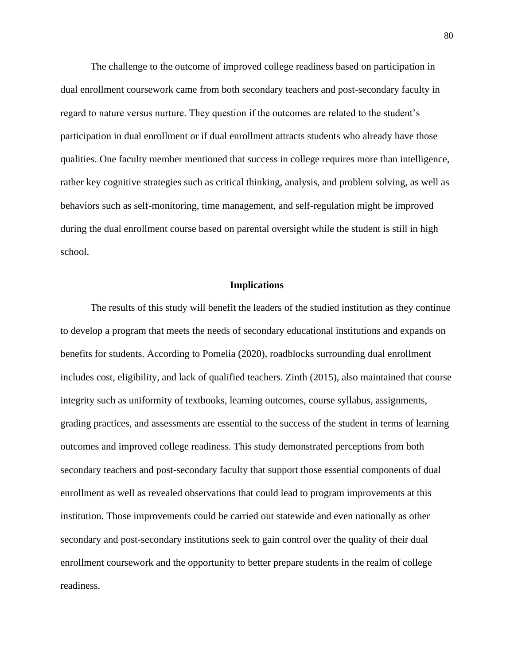The challenge to the outcome of improved college readiness based on participation in dual enrollment coursework came from both secondary teachers and post-secondary faculty in regard to nature versus nurture. They question if the outcomes are related to the student's participation in dual enrollment or if dual enrollment attracts students who already have those qualities. One faculty member mentioned that success in college requires more than intelligence, rather key cognitive strategies such as critical thinking, analysis, and problem solving, as well as behaviors such as self-monitoring, time management, and self-regulation might be improved during the dual enrollment course based on parental oversight while the student is still in high school.

#### **Implications**

The results of this study will benefit the leaders of the studied institution as they continue to develop a program that meets the needs of secondary educational institutions and expands on benefits for students. According to Pomelia (2020), roadblocks surrounding dual enrollment includes cost, eligibility, and lack of qualified teachers. Zinth (2015), also maintained that course integrity such as uniformity of textbooks, learning outcomes, course syllabus, assignments, grading practices, and assessments are essential to the success of the student in terms of learning outcomes and improved college readiness. This study demonstrated perceptions from both secondary teachers and post-secondary faculty that support those essential components of dual enrollment as well as revealed observations that could lead to program improvements at this institution. Those improvements could be carried out statewide and even nationally as other secondary and post-secondary institutions seek to gain control over the quality of their dual enrollment coursework and the opportunity to better prepare students in the realm of college readiness.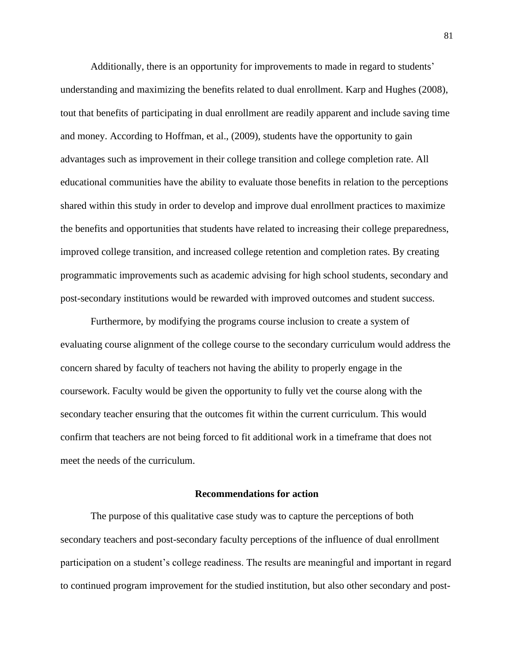Additionally, there is an opportunity for improvements to made in regard to students' understanding and maximizing the benefits related to dual enrollment. Karp and Hughes (2008), tout that benefits of participating in dual enrollment are readily apparent and include saving time and money. According to Hoffman, et al., (2009), students have the opportunity to gain advantages such as improvement in their college transition and college completion rate. All educational communities have the ability to evaluate those benefits in relation to the perceptions shared within this study in order to develop and improve dual enrollment practices to maximize the benefits and opportunities that students have related to increasing their college preparedness, improved college transition, and increased college retention and completion rates. By creating programmatic improvements such as academic advising for high school students, secondary and post-secondary institutions would be rewarded with improved outcomes and student success.

Furthermore, by modifying the programs course inclusion to create a system of evaluating course alignment of the college course to the secondary curriculum would address the concern shared by faculty of teachers not having the ability to properly engage in the coursework. Faculty would be given the opportunity to fully vet the course along with the secondary teacher ensuring that the outcomes fit within the current curriculum. This would confirm that teachers are not being forced to fit additional work in a timeframe that does not meet the needs of the curriculum.

#### **Recommendations for action**

The purpose of this qualitative case study was to capture the perceptions of both secondary teachers and post-secondary faculty perceptions of the influence of dual enrollment participation on a student's college readiness. The results are meaningful and important in regard to continued program improvement for the studied institution, but also other secondary and post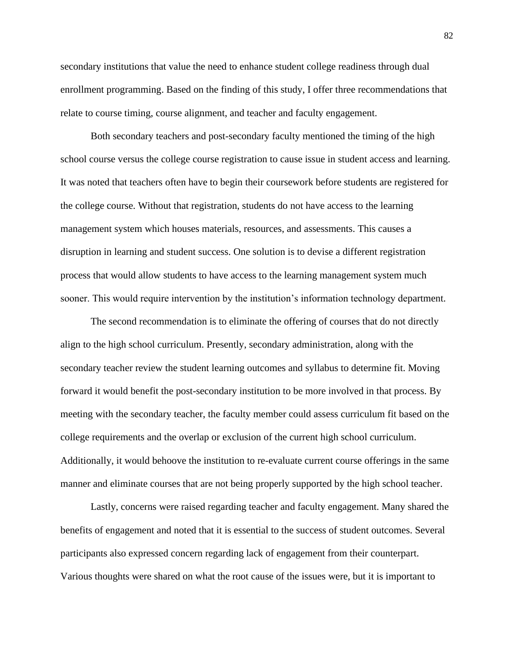secondary institutions that value the need to enhance student college readiness through dual enrollment programming. Based on the finding of this study, I offer three recommendations that relate to course timing, course alignment, and teacher and faculty engagement.

Both secondary teachers and post-secondary faculty mentioned the timing of the high school course versus the college course registration to cause issue in student access and learning. It was noted that teachers often have to begin their coursework before students are registered for the college course. Without that registration, students do not have access to the learning management system which houses materials, resources, and assessments. This causes a disruption in learning and student success. One solution is to devise a different registration process that would allow students to have access to the learning management system much sooner. This would require intervention by the institution's information technology department.

The second recommendation is to eliminate the offering of courses that do not directly align to the high school curriculum. Presently, secondary administration, along with the secondary teacher review the student learning outcomes and syllabus to determine fit. Moving forward it would benefit the post-secondary institution to be more involved in that process. By meeting with the secondary teacher, the faculty member could assess curriculum fit based on the college requirements and the overlap or exclusion of the current high school curriculum. Additionally, it would behoove the institution to re-evaluate current course offerings in the same manner and eliminate courses that are not being properly supported by the high school teacher.

Lastly, concerns were raised regarding teacher and faculty engagement. Many shared the benefits of engagement and noted that it is essential to the success of student outcomes. Several participants also expressed concern regarding lack of engagement from their counterpart. Various thoughts were shared on what the root cause of the issues were, but it is important to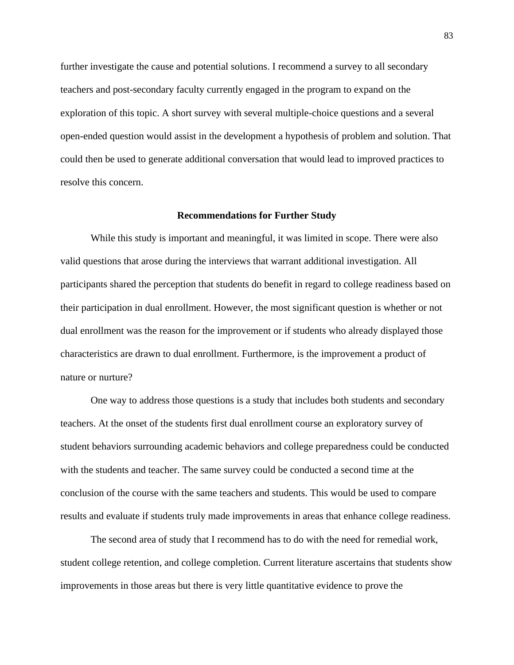further investigate the cause and potential solutions. I recommend a survey to all secondary teachers and post-secondary faculty currently engaged in the program to expand on the exploration of this topic. A short survey with several multiple-choice questions and a several open-ended question would assist in the development a hypothesis of problem and solution. That could then be used to generate additional conversation that would lead to improved practices to resolve this concern.

#### **Recommendations for Further Study**

While this study is important and meaningful, it was limited in scope. There were also valid questions that arose during the interviews that warrant additional investigation. All participants shared the perception that students do benefit in regard to college readiness based on their participation in dual enrollment. However, the most significant question is whether or not dual enrollment was the reason for the improvement or if students who already displayed those characteristics are drawn to dual enrollment. Furthermore, is the improvement a product of nature or nurture?

One way to address those questions is a study that includes both students and secondary teachers. At the onset of the students first dual enrollment course an exploratory survey of student behaviors surrounding academic behaviors and college preparedness could be conducted with the students and teacher. The same survey could be conducted a second time at the conclusion of the course with the same teachers and students. This would be used to compare results and evaluate if students truly made improvements in areas that enhance college readiness.

The second area of study that I recommend has to do with the need for remedial work, student college retention, and college completion. Current literature ascertains that students show improvements in those areas but there is very little quantitative evidence to prove the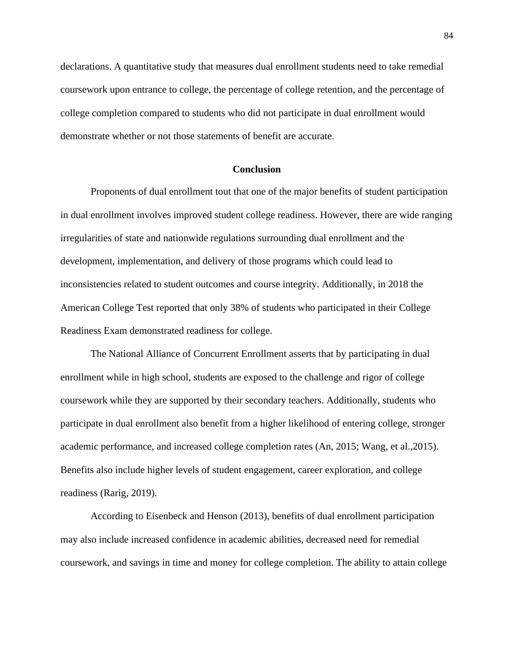declarations. A quantitative study that measures dual enrollment students need to take remedial coursework upon entrance to college, the percentage of college retention, and the percentage of college completion compared to students who did not participate in dual enrollment would demonstrate whether or not those statements of benefit are accurate.

### **Conclusion**

Proponents of dual enrollment tout that one of the major benefits of student participation in dual enrollment involves improved student college readiness. However, there are wide ranging irregularities of state and nationwide regulations surrounding dual enrollment and the development, implementation, and delivery of those programs which could lead to inconsistencies related to student outcomes and course integrity. Additionally, in 2018 the American College Test reported that only 38% of students who participated in their College Readiness Exam demonstrated readiness for college.

The National Alliance of Concurrent Enrollment asserts that by participating in dual enrollment while in high school, students are exposed to the challenge and rigor of college coursework while they are supported by their secondary teachers. Additionally, students who participate in dual enrollment also benefit from a higher likelihood of entering college, stronger academic performance, and increased college completion rates (An, 2015; Wang, et al.,2015). Benefits also include higher levels of student engagement, career exploration, and college readiness (Rarig, 2019).

According to Eisenbeck and Henson (2013), benefits of dual enrollment participation may also include increased confidence in academic abilities, decreased need for remedial coursework, and savings in time and money for college completion. The ability to attain college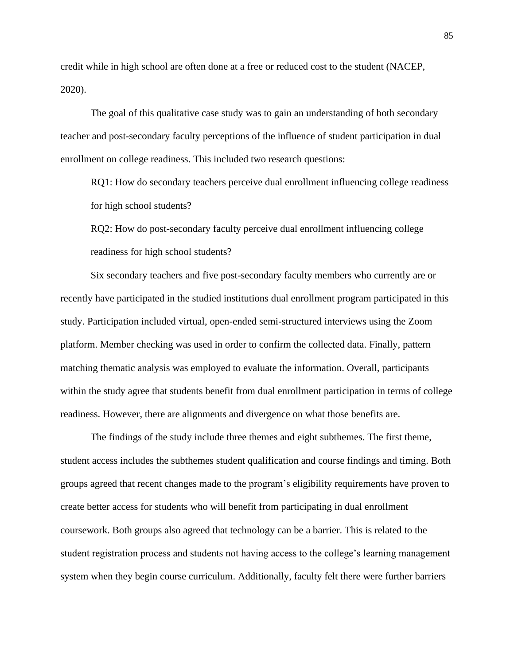credit while in high school are often done at a free or reduced cost to the student (NACEP, 2020).

The goal of this qualitative case study was to gain an understanding of both secondary teacher and post-secondary faculty perceptions of the influence of student participation in dual enrollment on college readiness. This included two research questions:

RQ1: How do secondary teachers perceive dual enrollment influencing college readiness for high school students?

RQ2: How do post-secondary faculty perceive dual enrollment influencing college readiness for high school students?

Six secondary teachers and five post-secondary faculty members who currently are or recently have participated in the studied institutions dual enrollment program participated in this study. Participation included virtual, open-ended semi-structured interviews using the Zoom platform. Member checking was used in order to confirm the collected data. Finally, pattern matching thematic analysis was employed to evaluate the information. Overall, participants within the study agree that students benefit from dual enrollment participation in terms of college readiness. However, there are alignments and divergence on what those benefits are.

The findings of the study include three themes and eight subthemes. The first theme, student access includes the subthemes student qualification and course findings and timing. Both groups agreed that recent changes made to the program's eligibility requirements have proven to create better access for students who will benefit from participating in dual enrollment coursework. Both groups also agreed that technology can be a barrier. This is related to the student registration process and students not having access to the college's learning management system when they begin course curriculum. Additionally, faculty felt there were further barriers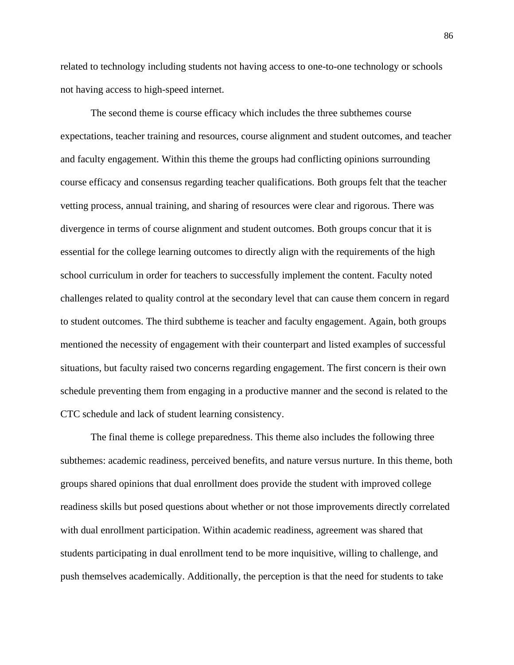related to technology including students not having access to one-to-one technology or schools not having access to high-speed internet.

The second theme is course efficacy which includes the three subthemes course expectations, teacher training and resources, course alignment and student outcomes, and teacher and faculty engagement. Within this theme the groups had conflicting opinions surrounding course efficacy and consensus regarding teacher qualifications. Both groups felt that the teacher vetting process, annual training, and sharing of resources were clear and rigorous. There was divergence in terms of course alignment and student outcomes. Both groups concur that it is essential for the college learning outcomes to directly align with the requirements of the high school curriculum in order for teachers to successfully implement the content. Faculty noted challenges related to quality control at the secondary level that can cause them concern in regard to student outcomes. The third subtheme is teacher and faculty engagement. Again, both groups mentioned the necessity of engagement with their counterpart and listed examples of successful situations, but faculty raised two concerns regarding engagement. The first concern is their own schedule preventing them from engaging in a productive manner and the second is related to the CTC schedule and lack of student learning consistency.

The final theme is college preparedness. This theme also includes the following three subthemes: academic readiness, perceived benefits, and nature versus nurture. In this theme, both groups shared opinions that dual enrollment does provide the student with improved college readiness skills but posed questions about whether or not those improvements directly correlated with dual enrollment participation. Within academic readiness, agreement was shared that students participating in dual enrollment tend to be more inquisitive, willing to challenge, and push themselves academically. Additionally, the perception is that the need for students to take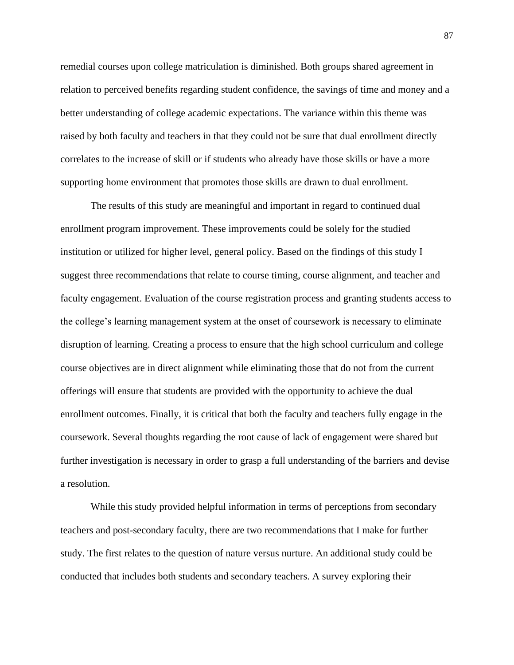remedial courses upon college matriculation is diminished. Both groups shared agreement in relation to perceived benefits regarding student confidence, the savings of time and money and a better understanding of college academic expectations. The variance within this theme was raised by both faculty and teachers in that they could not be sure that dual enrollment directly correlates to the increase of skill or if students who already have those skills or have a more supporting home environment that promotes those skills are drawn to dual enrollment.

The results of this study are meaningful and important in regard to continued dual enrollment program improvement. These improvements could be solely for the studied institution or utilized for higher level, general policy. Based on the findings of this study I suggest three recommendations that relate to course timing, course alignment, and teacher and faculty engagement. Evaluation of the course registration process and granting students access to the college's learning management system at the onset of coursework is necessary to eliminate disruption of learning. Creating a process to ensure that the high school curriculum and college course objectives are in direct alignment while eliminating those that do not from the current offerings will ensure that students are provided with the opportunity to achieve the dual enrollment outcomes. Finally, it is critical that both the faculty and teachers fully engage in the coursework. Several thoughts regarding the root cause of lack of engagement were shared but further investigation is necessary in order to grasp a full understanding of the barriers and devise a resolution.

While this study provided helpful information in terms of perceptions from secondary teachers and post-secondary faculty, there are two recommendations that I make for further study. The first relates to the question of nature versus nurture. An additional study could be conducted that includes both students and secondary teachers. A survey exploring their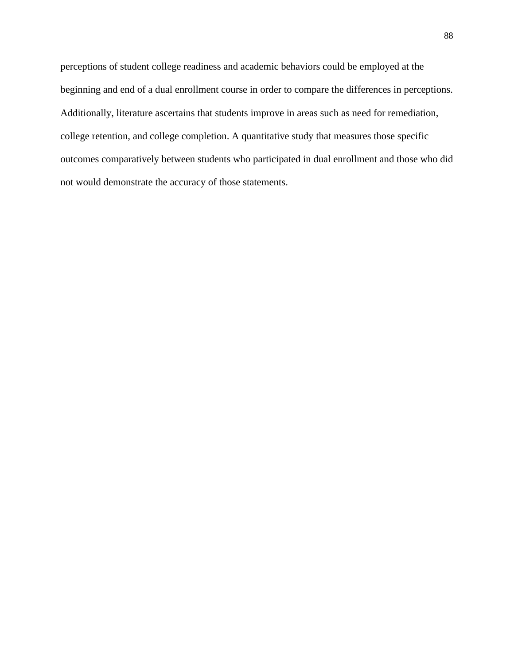perceptions of student college readiness and academic behaviors could be employed at the beginning and end of a dual enrollment course in order to compare the differences in perceptions. Additionally, literature ascertains that students improve in areas such as need for remediation, college retention, and college completion. A quantitative study that measures those specific outcomes comparatively between students who participated in dual enrollment and those who did not would demonstrate the accuracy of those statements.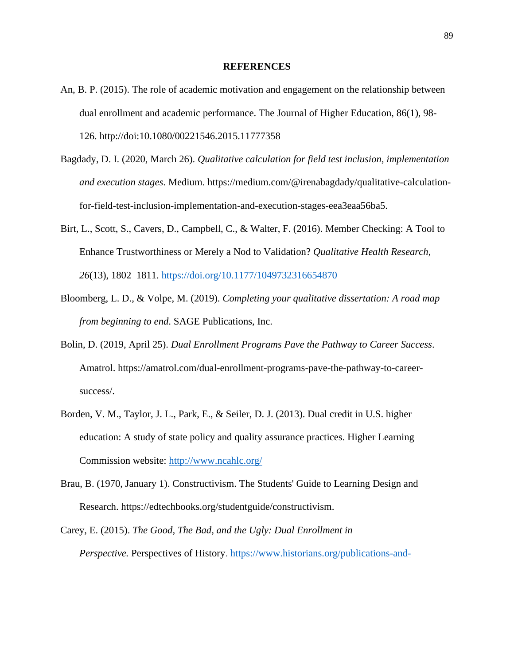#### **REFERENCES**

- An, B. P. (2015). The role of academic motivation and engagement on the relationship between dual enrollment and academic performance. The Journal of Higher Education, 86(1), 98- 126. http://doi:10.1080/00221546.2015.11777358
- Bagdady, D. I. (2020, March 26). *Qualitative calculation for field test inclusion, implementation and execution stages*. Medium. https://medium.com/@irenabagdady/qualitative-calculationfor-field-test-inclusion-implementation-and-execution-stages-eea3eaa56ba5.
- Birt, L., Scott, S., Cavers, D., Campbell, C., & Walter, F. (2016). Member Checking: A Tool to Enhance Trustworthiness or Merely a Nod to Validation? *Qualitative Health Research*, *26*(13), 1802–1811.<https://doi.org/10.1177/1049732316654870>
- Bloomberg, L. D., & Volpe, M. (2019). *Completing your qualitative dissertation: A road map from beginning to end*. SAGE Publications, Inc.
- Bolin, D. (2019, April 25). *Dual Enrollment Programs Pave the Pathway to Career Success*. Amatrol. https://amatrol.com/dual-enrollment-programs-pave-the-pathway-to-careersuccess/.
- Borden, V. M., Taylor, J. L., Park, E., & Seiler, D. J. (2013). Dual credit in U.S. higher education: A study of state policy and quality assurance practices. Higher Learning Commission website:<http://www.ncahlc.org/>
- Brau, B. (1970, January 1). Constructivism. The Students' Guide to Learning Design and Research. https://edtechbooks.org/studentguide/constructivism.
- Carey, E. (2015). *The Good, The Bad, and the Ugly: Dual Enrollment in Perspective.* Perspectives of History. [https://www.historians.org/publications-and-](https://www.historians.org/publications-and-directories/perspectives-on-history/september-2015/the-good-the-bad-and-the-ugly-dual-enrollment-in-perspective)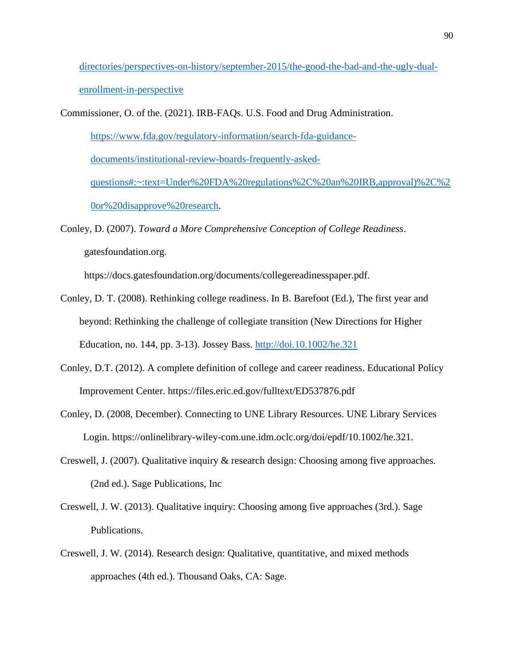[directories/perspectives-on-history/september-2015/the-good-the-bad-and-the-ugly-dual-](https://www.historians.org/publications-and-directories/perspectives-on-history/september-2015/the-good-the-bad-and-the-ugly-dual-enrollment-in-perspective)

[enrollment-in-perspective](https://www.historians.org/publications-and-directories/perspectives-on-history/september-2015/the-good-the-bad-and-the-ugly-dual-enrollment-in-perspective)

Commissioner, O. of the. (2021). IRB-FAQs. U.S. Food and Drug Administration.

[https://www.fda.gov/regulatory-information/search-fda-guidance-](https://www.fda.gov/regulatory-information/search-fda-guidance-documents/institutional-review-boards-frequently-asked-questions#:~:text=Under%20FDA%20regulations%2C%20an%20IRB,approval)%2C%20or%20disapprove%20research)

[documents/institutional-review-boards-frequently-asked-](https://www.fda.gov/regulatory-information/search-fda-guidance-documents/institutional-review-boards-frequently-asked-questions#:~:text=Under%20FDA%20regulations%2C%20an%20IRB,approval)%2C%20or%20disapprove%20research)

[questions#:~:text=Under%20FDA%20regulations%2C%20an%20IRB,approval\)%2C%2](https://www.fda.gov/regulatory-information/search-fda-guidance-documents/institutional-review-boards-frequently-asked-questions#:~:text=Under%20FDA%20regulations%2C%20an%20IRB,approval)%2C%20or%20disapprove%20research) [0or%20disapprove%20research.](https://www.fda.gov/regulatory-information/search-fda-guidance-documents/institutional-review-boards-frequently-asked-questions#:~:text=Under%20FDA%20regulations%2C%20an%20IRB,approval)%2C%20or%20disapprove%20research)

Conley, D. (2007). *Toward a More Comprehensive Conception of College Readiness*. gatesfoundation.org.

https://docs.gatesfoundation.org/documents/collegereadinesspaper.pdf.

- Conley, D. T. (2008). Rethinking college readiness. In B. Barefoot (Ed.), The first year and beyond: Rethinking the challenge of collegiate transition (New Directions for Higher Education, no. 144, pp. 3-13). Jossey Bass.<http://doi.10.1002/he.321>
- Conley, D.T. (2012). A complete definition of college and career readiness. Educational Policy Improvement Center. https://files.eric.ed.gov/fulltext/ED537876.pdf
- Conley, D. (2008, December). Connecting to UNE Library Resources. UNE Library Services Login. https://onlinelibrary-wiley-com.une.idm.oclc.org/doi/epdf/10.1002/he.321.
- Creswell, J. (2007). Qualitative inquiry & research design: Choosing among five approaches. (2nd ed.). Sage Publications, Inc
- Creswell, J. W. (2013). Qualitative inquiry: Choosing among five approaches (3rd.). Sage Publications.
- Creswell, J. W. (2014). Research design: Qualitative, quantitative, and mixed methods approaches (4th ed.). Thousand Oaks, CA: Sage.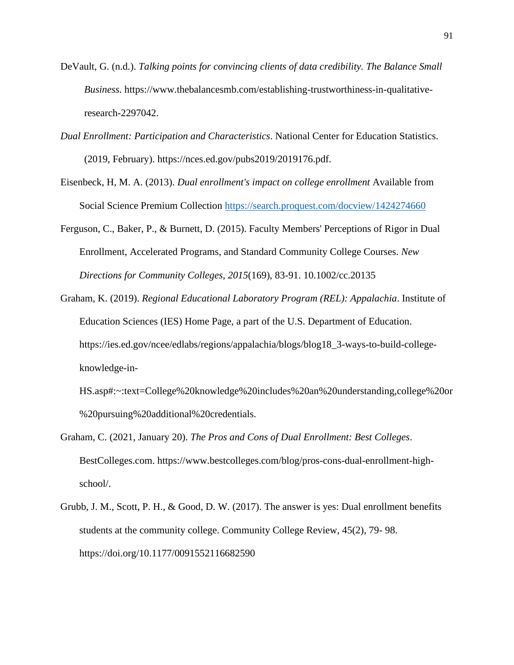- DeVault, G. (n.d.). *Talking points for convincing clients of data credibility. The Balance Small Business.* https://www.thebalancesmb.com/establishing-trustworthiness-in-qualitativeresearch-2297042.
- *Dual Enrollment: Participation and Characteristics*. National Center for Education Statistics. (2019, February). https://nces.ed.gov/pubs2019/2019176.pdf.
- Eisenbeck, H, M. A. (2013). *Dual enrollment's impact on college enrollment* Available from Social Science Premium Collection <https://search.proquest.com/docview/1424274660>
- Ferguson, C., Baker, P., & Burnett, D. (2015). Faculty Members' Perceptions of Rigor in Dual Enrollment, Accelerated Programs, and Standard Community College Courses. *New Directions for Community Colleges, 2015*(169), 83-91. 10.1002/cc.20135
- Graham, K. (2019). *Regional Educational Laboratory Program (REL): Appalachia*. Institute of Education Sciences (IES) Home Page, a part of the U.S. Department of Education. https://ies.ed.gov/ncee/edlabs/regions/appalachia/blogs/blog18\_3-ways-to-build-collegeknowledge-in-
	- HS.asp#:~:text=College%20knowledge%20includes%20an%20understanding,college%20or %20pursuing%20additional%20credentials.
- Graham, C. (2021, January 20). *The Pros and Cons of Dual Enrollment: Best Colleges*. BestColleges.com. https://www.bestcolleges.com/blog/pros-cons-dual-enrollment-highschool/.
- Grubb, J. M., Scott, P. H., & Good, D. W. (2017). The answer is yes: Dual enrollment benefits students at the community college. Community College Review, 45(2), 79- 98. https://doi.org/10.1177/0091552116682590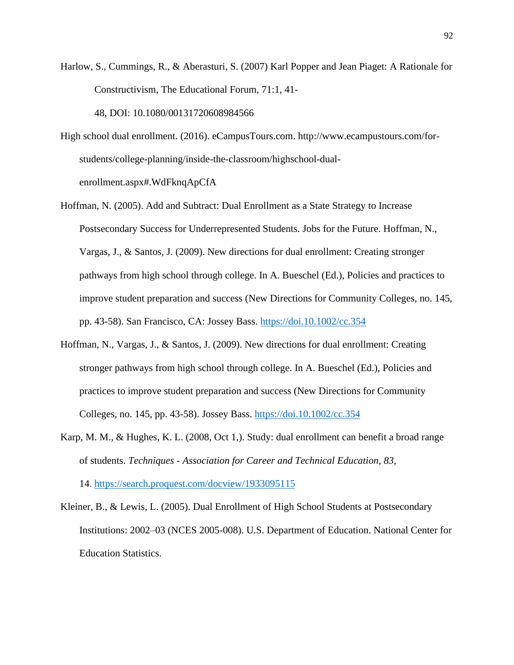- Harlow, S., Cummings, R., & Aberasturi, S. (2007) Karl Popper and Jean Piaget: A Rationale for Constructivism, The Educational Forum, 71:1, 41- 48, DOI: [10.1080/00131720608984566](https://doi-org.une.idm.oclc.org/10.1080/00131720608984566)
- High school dual enrollment. (2016). eCampusTours.com. http://www.ecampustours.com/forstudents/college-planning/inside-the-classroom/highschool-dualenrollment.aspx#.WdFknqApCfA
- Hoffman, N. (2005). Add and Subtract: Dual Enrollment as a State Strategy to Increase Postsecondary Success for Underrepresented Students. Jobs for the Future. Hoffman, N., Vargas, J., & Santos, J. (2009). New directions for dual enrollment: Creating stronger pathways from high school through college. In A. Bueschel (Ed.), Policies and practices to improve student preparation and success (New Directions for Community Colleges, no. 145, pp. 43-58). San Francisco, CA: Jossey Bass.<https://doi.10.1002/cc.354>
- Hoffman, N., Vargas, J., & Santos, J. (2009). New directions for dual enrollment: Creating stronger pathways from high school through college. In A. Bueschel (Ed.), Policies and practices to improve student preparation and success (New Directions for Community Colleges, no. 145, pp. 43-58). Jossey Bass.<https://doi.10.1002/cc.354>
- Karp, M. M., & Hughes, K. L. (2008, Oct 1,). Study: dual enrollment can benefit a broad range of students. *Techniques - Association for Career and Technical Education, 83*, 14. <https://search.proquest.com/docview/1933095115>
- Kleiner, B., & Lewis, L. (2005). Dual Enrollment of High School Students at Postsecondary Institutions: 2002–03 (NCES 2005-008). U.S. Department of Education. National Center for Education Statistics.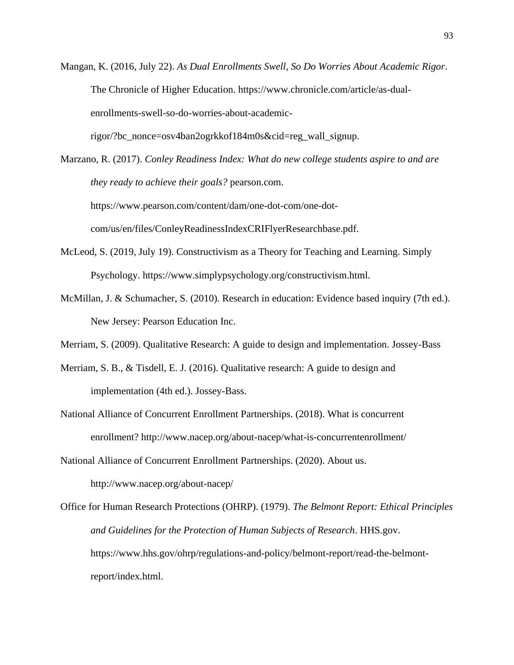Mangan, K. (2016, July 22). *As Dual Enrollments Swell, So Do Worries About Academic Rigor*. The Chronicle of Higher Education. https://www.chronicle.com/article/as-dualenrollments-swell-so-do-worries-about-academicrigor/?bc\_nonce=osv4ban2ogrkkof184m0s&cid=reg\_wall\_signup.

Marzano, R. (2017). *Conley Readiness Index: What do new college students aspire to and are they ready to achieve their goals?* pearson.com. https://www.pearson.com/content/dam/one-dot-com/one-dotcom/us/en/files/ConleyReadinessIndexCRIFlyerResearchbase.pdf.

- McLeod, S. (2019, July 19). Constructivism as a Theory for Teaching and Learning. Simply Psychology. https://www.simplypsychology.org/constructivism.html.
- McMillan, J. & Schumacher, S. (2010). Research in education: Evidence based inquiry (7th ed.). New Jersey: Pearson Education Inc.
- Merriam, S. (2009). Qualitative Research: A guide to design and implementation. Jossey-Bass
- Merriam, S. B., & Tisdell, E. J. (2016). Qualitative research: A guide to design and implementation (4th ed.). Jossey-Bass.
- National Alliance of Concurrent Enrollment Partnerships. (2018). What is concurrent enrollment? http://www.nacep.org/about-nacep/what-is-concurrentenrollment/
- National Alliance of Concurrent Enrollment Partnerships. (2020). About us. http://www.nacep.org/about-nacep/

Office for Human Research Protections (OHRP). (1979). *The Belmont Report: Ethical Principles and Guidelines for the Protection of Human Subjects of Research*. HHS.gov. https://www.hhs.gov/ohrp/regulations-and-policy/belmont-report/read-the-belmontreport/index.html.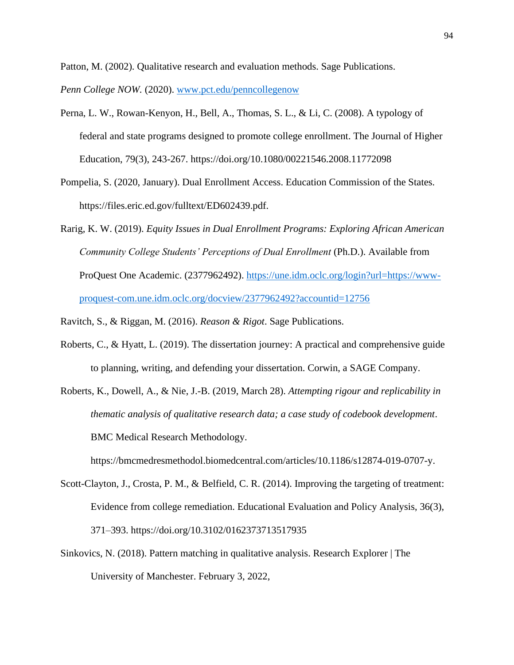Patton, M. (2002). Qualitative research and evaluation methods. Sage Publications.

*Penn College NOW.* (2020). [www.pct.edu/penncollegenow](http://www.pct.edu/penncollegenow)

- Perna, L. W., Rowan-Kenyon, H., Bell, A., Thomas, S. L., & Li, C. (2008). A typology of federal and state programs designed to promote college enrollment. The Journal of Higher Education, 79(3), 243-267. https://doi.org/10.1080/00221546.2008.11772098
- Pompelia, S. (2020, January). Dual Enrollment Access. Education Commission of the States. https://files.eric.ed.gov/fulltext/ED602439.pdf.
- Rarig, K. W. (2019). *Equity Issues in Dual Enrollment Programs: Exploring African American Community College Students' Perceptions of Dual Enrollment* (Ph.D.). Available from ProQuest One Academic. (2377962492). [https://une.idm.oclc.org/login?url=https://www](https://une.idm.oclc.org/login?url=https://www-proquest-com.une.idm.oclc.org/docview/2377962492?accountid=12756)[proquest-com.une.idm.oclc.org/docview/2377962492?accountid=12756](https://une.idm.oclc.org/login?url=https://www-proquest-com.une.idm.oclc.org/docview/2377962492?accountid=12756)

Ravitch, S., & Riggan, M. (2016). *Reason & Rigot*. Sage Publications.

- Roberts, C., & Hyatt, L. (2019). The dissertation journey: A practical and comprehensive guide to planning, writing, and defending your dissertation. Corwin, a SAGE Company.
- Roberts, K., Dowell, A., & Nie, J.-B. (2019, March 28). *Attempting rigour and replicability in thematic analysis of qualitative research data; a case study of codebook development*. BMC Medical Research Methodology.

https://bmcmedresmethodol.biomedcentral.com/articles/10.1186/s12874-019-0707-y.

- Scott-Clayton, J., Crosta, P. M., & Belfield, C. R. (2014). Improving the targeting of treatment: Evidence from college remediation. Educational Evaluation and Policy Analysis, 36(3), 371–393.<https://doi.org/10.3102/0162373713517935>
- Sinkovics, N. (2018). Pattern matching in qualitative analysis. Research Explorer | The University of Manchester. February 3, 2022,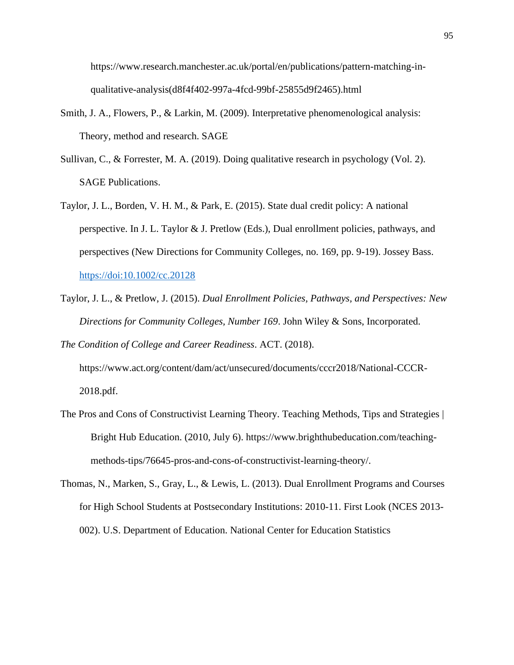https://www.research.manchester.ac.uk/portal/en/publications/pattern-matching-inqualitative-analysis(d8f4f402-997a-4fcd-99bf-25855d9f2465).html

- Smith, J. A., Flowers, P., & Larkin, M. (2009). Interpretative phenomenological analysis: Theory, method and research. SAGE
- Sullivan, C., & Forrester, M. A. (2019). Doing qualitative research in psychology (Vol. 2). SAGE Publications.
- Taylor, J. L., Borden, V. H. M., & Park, E. (2015). State dual credit policy: A national perspective. In J. L. Taylor & J. Pretlow (Eds.), Dual enrollment policies, pathways, and perspectives (New Directions for Community Colleges, no. 169, pp. 9-19). Jossey Bass. <https://doi:10.1002/cc.20128>
- Taylor, J. L., & Pretlow, J. (2015). *Dual Enrollment Policies, Pathways, and Perspectives: New Directions for Community Colleges, Number 169*. John Wiley & Sons, Incorporated.

*The Condition of College and Career Readiness*. ACT. (2018). https://www.act.org/content/dam/act/unsecured/documents/cccr2018/National-CCCR-2018.pdf.

- The Pros and Cons of Constructivist Learning Theory. Teaching Methods, Tips and Strategies | Bright Hub Education. (2010, July 6). https://www.brighthubeducation.com/teachingmethods-tips/76645-pros-and-cons-of-constructivist-learning-theory/.
- Thomas, N., Marken, S., Gray, L., & Lewis, L. (2013). Dual Enrollment Programs and Courses for High School Students at Postsecondary Institutions: 2010-11. First Look (NCES 2013- 002). U.S. Department of Education. National Center for Education Statistics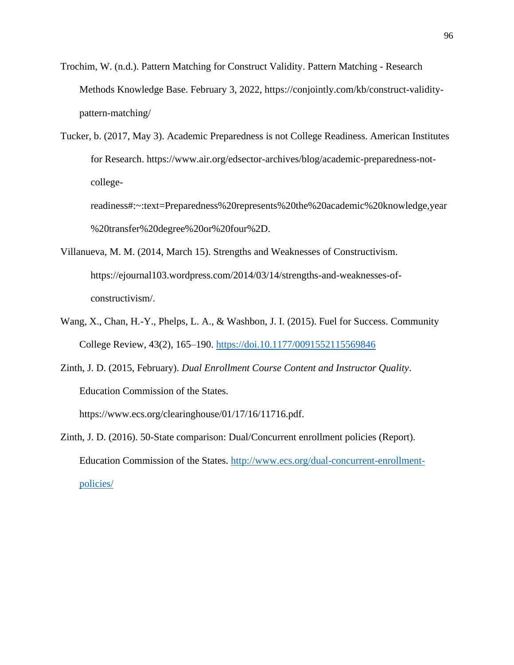- Trochim, W. (n.d.). Pattern Matching for Construct Validity. Pattern Matching Research Methods Knowledge Base. February 3, 2022, https://conjointly.com/kb/construct-validitypattern-matching/
- Tucker, b. (2017, May 3). Academic Preparedness is not College Readiness. American Institutes for Research. https://www.air.org/edsector-archives/blog/academic-preparedness-notcollege-

readiness#:~:text=Preparedness%20represents%20the%20academic%20knowledge,year %20transfer%20degree%20or%20four%2D.

- Villanueva, M. M. (2014, March 15). Strengths and Weaknesses of Constructivism. https://ejournal103.wordpress.com/2014/03/14/strengths-and-weaknesses-ofconstructivism/.
- Wang, X., Chan, H.-Y., Phelps, L. A., & Washbon, J. I. (2015). Fuel for Success. Community College Review, 43(2), 165–190.<https://doi.10.1177/0091552115569846>
- Zinth, J. D. (2015, February). *Dual Enrollment Course Content and Instructor Quality*. Education Commission of the States.

https://www.ecs.org/clearinghouse/01/17/16/11716.pdf.

Zinth, J. D. (2016). 50-State comparison: Dual/Concurrent enrollment policies (Report). Education Commission of the States. [http://www.ecs.org/dual-concurrent-enrollment](http://www.ecs.org/dual-concurrent-enrollment-policies/)[policies/](http://www.ecs.org/dual-concurrent-enrollment-policies/)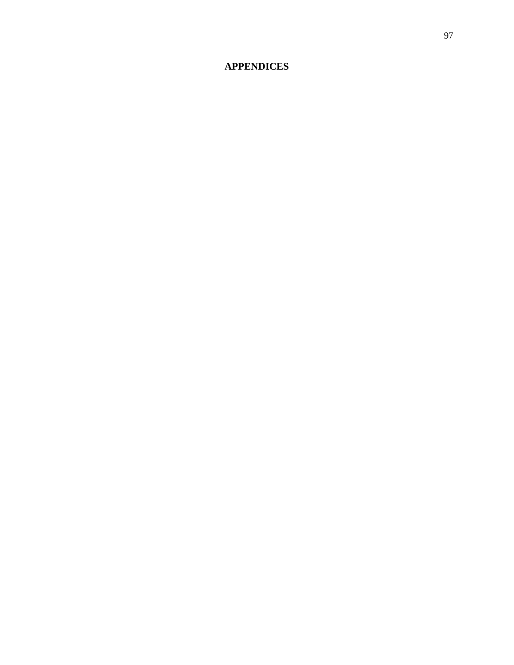# **APPENDICES**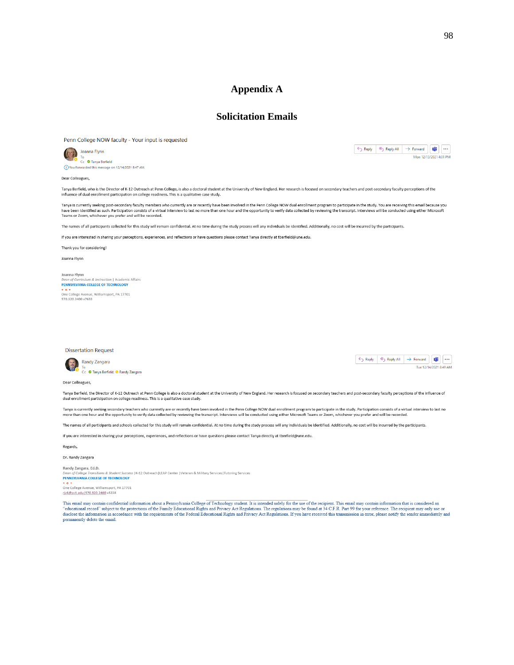## **Appendix A**

## **Solicitation Emails**

Penn College NOW faculty - Your input is requested



 $\fbox{$\Leftrightarrow$ Reply $${\Bbbk}$, Reply All $${\Bbbk}$, and $\Leftrightarrow$ {\tt Forward} and $\Leftrightarrow$ {\tt W}$.}$  $\overline{M}$  Mon 12/13/2021 4:01 PM

Dear Colleagues,

Tanya Berfield, who is the Director of K-12 Outreach at Penn College, is also a doctoral student at the University of New England. Her research is focused on secondary teachers and post-secondary faculty perceptions of the ice of dual enrollment participation on college readiness. This is a qualitative case study. influ

Tanya is currently seeking post-secondary faculty members who currently are or recently have been involved in the Penn College NOW dual enrollment program to participate in the study. You are receiving this email because y

The names of all participants collected for this study will remain confidential. At no time during the study process will any individuals be identified. Additionally, no cost will be incurred by the participants.

If you are interested in sharing your perceptions, experiences, and reflections or have questions please contact Tanya directly at tberfield@une.edu.

Thank you for considering!

Joanna Flynn

Joanna Flynn<br>Dean of Curriculum & Instruction | Academic Affairs PENNSYLVANIA COLLEGE OF TECHNOLOGY Ore College Avenue, Williamsport, PA 17701<br>570.320.2400 x7633

**Dissertation Request** 





Dear Colleagues,

Tanya Berfield, the Director of K-12 Outreach at Penn College is also a doctoral student at the University of New England. Her research is focused on secondary teachers and post-secondary faculty perceptions of the influen dual enrollment participation on college readiness. This is a qualitative case study

Tanya is currently seeking secondary teachers who currently are or recently have been involved in the Penn College NOW dual enrollment program to participate in the study. Participation consists of a virtual interview to l more than one hour and the opportunity to verify data collected by reviewing the transcript. Interviews will be conducted using either Microsoft Teams or Zoon, whichever you prefer and will be recorded

The names of all participants and schools collected for this study will remain confidential. At no time during the study process will any individuals be identified. Additionally, no cost will be incurred by the participant

If you are interested in sharing your perceptions, experiences, and reflections or have questions please contact Tanya directly at therfield@une.edu.

Regards,

Dr. Randy Zangara

Randy Zangara, Ed.D. Dean of College Transitions & Student Success | K-12 Outreach|LEAP Center | Veteran & Military Services|Tutoring Services PENNSYLVANIA COLLEGE OF TECHNOLOGY + o +<br>One College Avenue, Williamsport, PA 17701 riz6@pct.edu 570.320.2400 x5228

This email may contain confidential information about a Pennsylvania College of Technology student. It is intended solely for the use of the recipient. This email may contain information that is considered an "educational disclose the information in accordance with the requirements of the Federal Educational Rights and Privacy Act Regulations. If you have received this transmission in error, please notify the sender immediately and permanen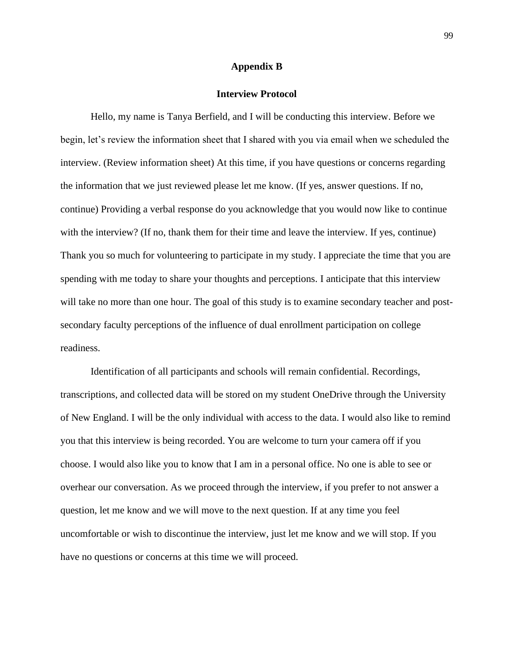#### **Appendix B**

### **Interview Protocol**

Hello, my name is Tanya Berfield, and I will be conducting this interview. Before we begin, let's review the information sheet that I shared with you via email when we scheduled the interview. (Review information sheet) At this time, if you have questions or concerns regarding the information that we just reviewed please let me know. (If yes, answer questions. If no, continue) Providing a verbal response do you acknowledge that you would now like to continue with the interview? (If no, thank them for their time and leave the interview. If yes, continue) Thank you so much for volunteering to participate in my study. I appreciate the time that you are spending with me today to share your thoughts and perceptions. I anticipate that this interview will take no more than one hour. The goal of this study is to examine secondary teacher and postsecondary faculty perceptions of the influence of dual enrollment participation on college readiness.

Identification of all participants and schools will remain confidential. Recordings, transcriptions, and collected data will be stored on my student OneDrive through the University of New England. I will be the only individual with access to the data. I would also like to remind you that this interview is being recorded. You are welcome to turn your camera off if you choose. I would also like you to know that I am in a personal office. No one is able to see or overhear our conversation. As we proceed through the interview, if you prefer to not answer a question, let me know and we will move to the next question. If at any time you feel uncomfortable or wish to discontinue the interview, just let me know and we will stop. If you have no questions or concerns at this time we will proceed.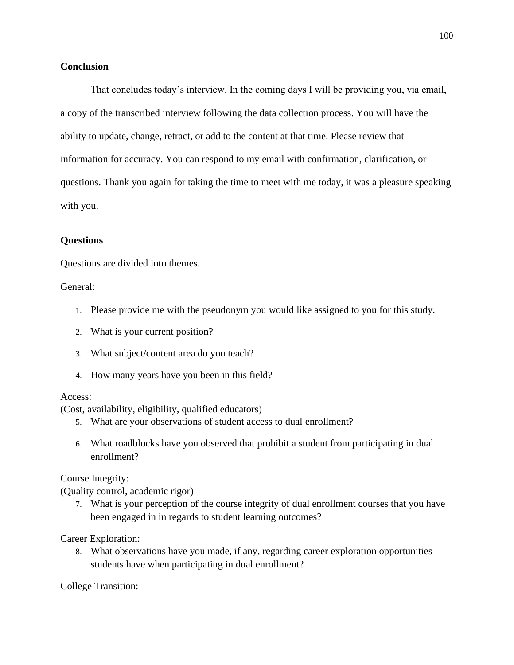## **Conclusion**

That concludes today's interview. In the coming days I will be providing you, via email, a copy of the transcribed interview following the data collection process. You will have the ability to update, change, retract, or add to the content at that time. Please review that information for accuracy. You can respond to my email with confirmation, clarification, or questions. Thank you again for taking the time to meet with me today, it was a pleasure speaking with you.

# **Questions**

Questions are divided into themes.

General:

- 1. Please provide me with the pseudonym you would like assigned to you for this study.
- 2. What is your current position?
- 3. What subject/content area do you teach?
- 4. How many years have you been in this field?

## Access:

(Cost, availability, eligibility, qualified educators)

- 5. What are your observations of student access to dual enrollment?
- 6. What roadblocks have you observed that prohibit a student from participating in dual enrollment?

Course Integrity:

(Quality control, academic rigor)

7. What is your perception of the course integrity of dual enrollment courses that you have been engaged in in regards to student learning outcomes?

Career Exploration:

8. What observations have you made, if any, regarding career exploration opportunities students have when participating in dual enrollment?

College Transition: